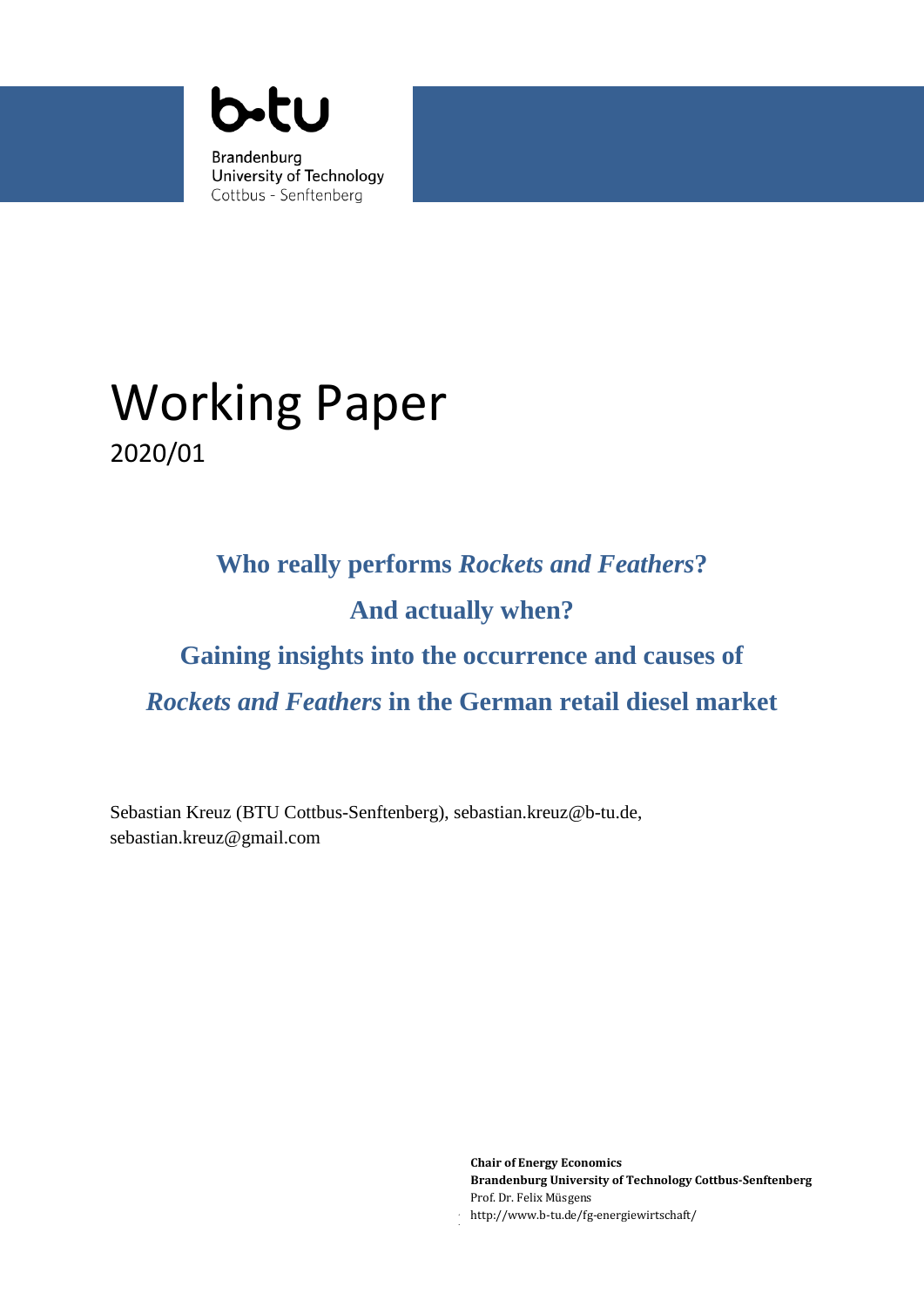

# Working Paper 2020/01

# **Who really performs** *Rockets and Feathers***? And actually when? Gaining insights into the occurrence and causes of**  *Rockets and Feathers* **in the German retail diesel market**

Sebastian Kreuz (BTU Cottbus-Senftenberg), sebastian.kreuz@b-tu.de, sebastian.kreuz@gmail.com

> **Chair of Energy Economics Brandenburg University of Technology Cottbus-Senftenberg** Prof. Dr. Felix Müsgens http://www.b-tu.de/fg-energiewirtschaft/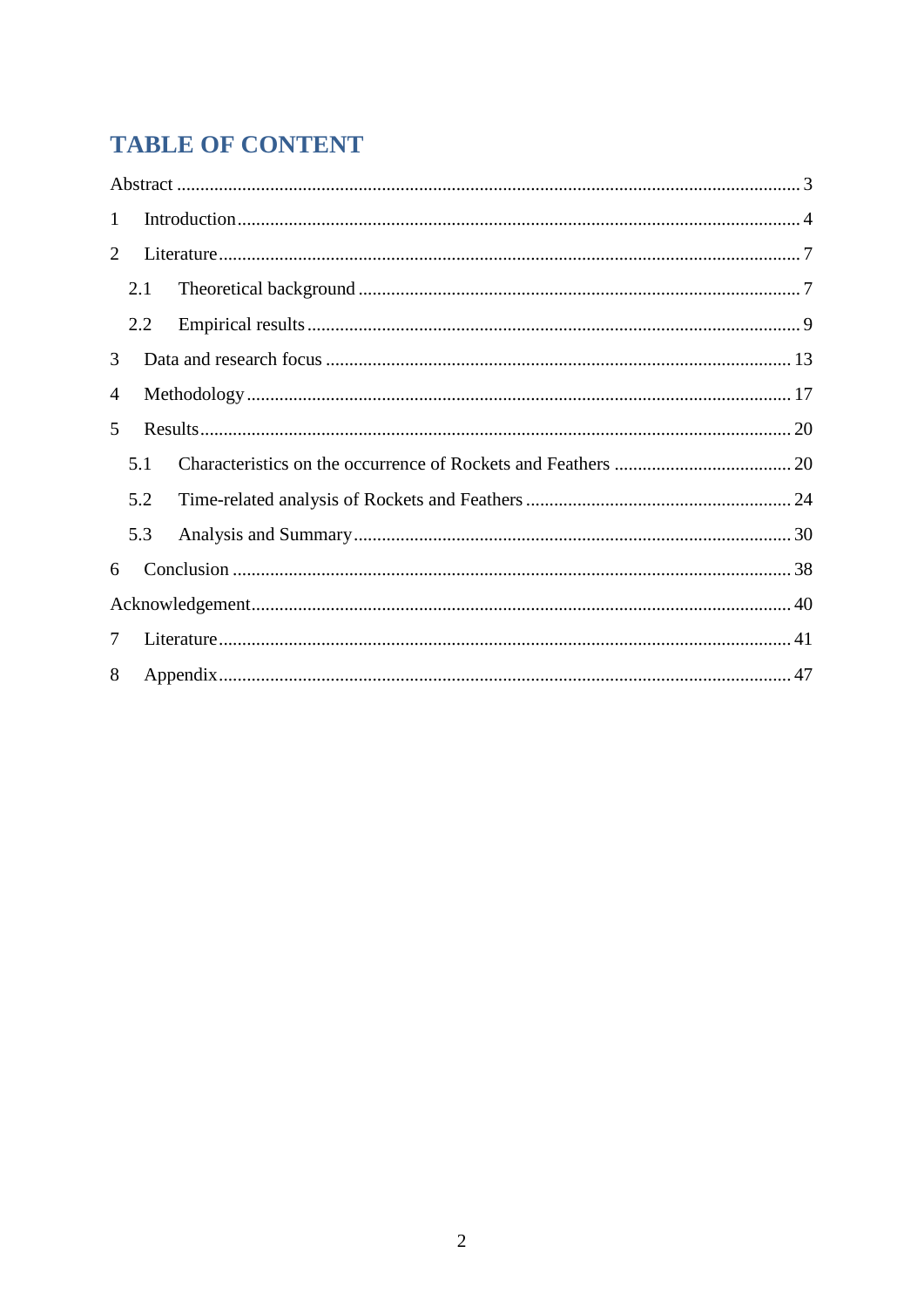## **TABLE OF CONTENT**

| $\mathbf{1}$ |     |  |  |  |  |
|--------------|-----|--|--|--|--|
| 2            |     |  |  |  |  |
|              | 2.1 |  |  |  |  |
|              | 2.2 |  |  |  |  |
| 3            |     |  |  |  |  |
| 4            |     |  |  |  |  |
| 5            |     |  |  |  |  |
|              | 5.1 |  |  |  |  |
|              | 5.2 |  |  |  |  |
|              | 5.3 |  |  |  |  |
| 6            |     |  |  |  |  |
|              |     |  |  |  |  |
| 7            |     |  |  |  |  |
| 8            |     |  |  |  |  |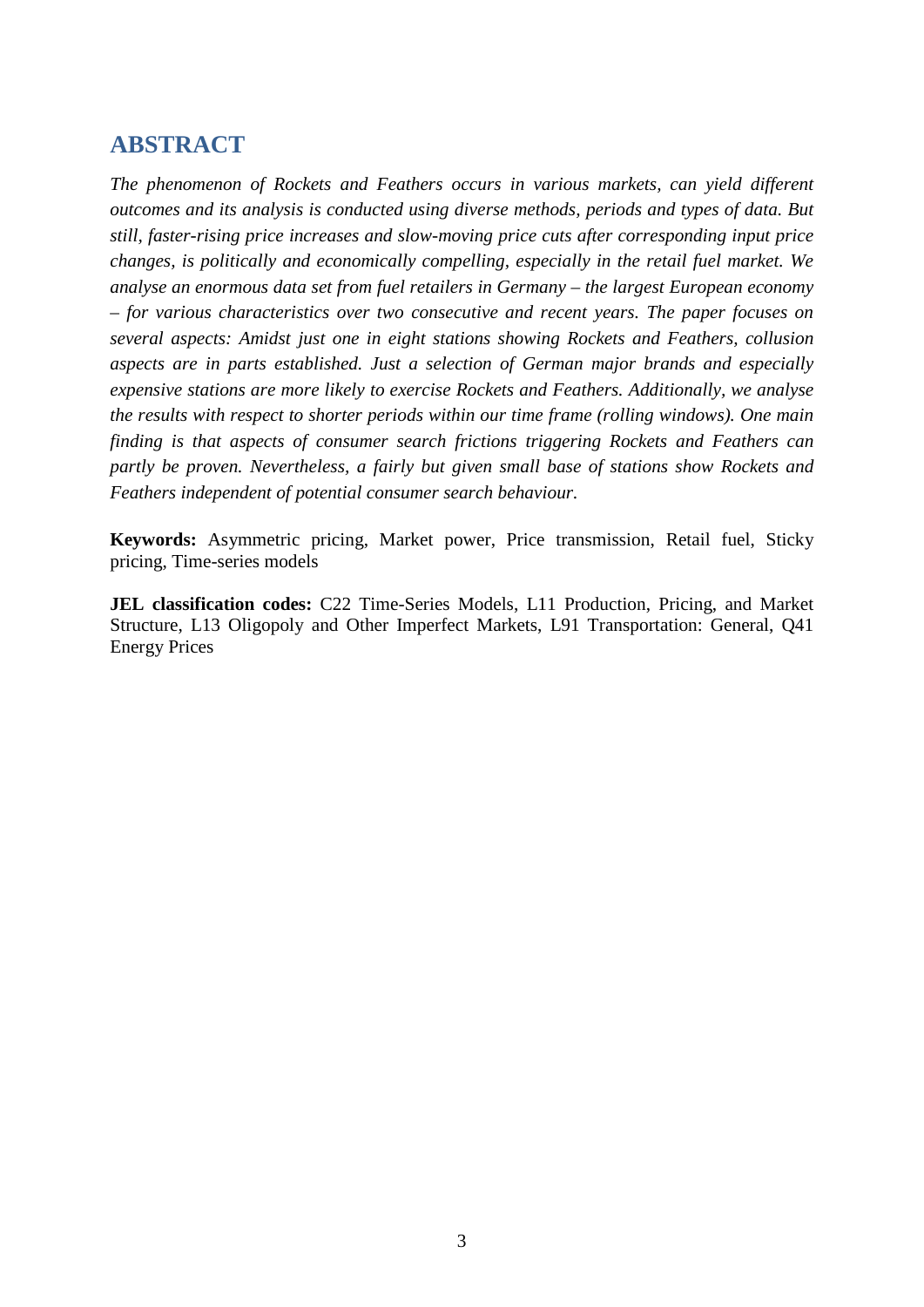### <span id="page-2-0"></span>**ABSTRACT**

*The phenomenon of Rockets and Feathers occurs in various markets, can yield different outcomes and its analysis is conducted using diverse methods, periods and types of data. But still, faster-rising price increases and slow-moving price cuts after corresponding input price changes, is politically and economically compelling, especially in the retail fuel market. We analyse an enormous data set from fuel retailers in Germany – the largest European economy – for various characteristics over two consecutive and recent years. The paper focuses on several aspects: Amidst just one in eight stations showing Rockets and Feathers, collusion aspects are in parts established. Just a selection of German major brands and especially expensive stations are more likely to exercise Rockets and Feathers. Additionally, we analyse the results with respect to shorter periods within our time frame (rolling windows). One main finding is that aspects of consumer search frictions triggering Rockets and Feathers can partly be proven. Nevertheless, a fairly but given small base of stations show Rockets and Feathers independent of potential consumer search behaviour.*

**Keywords:** Asymmetric pricing, Market power, Price transmission, Retail fuel, Sticky pricing, Time-series models

**JEL classification codes:** C22 Time-Series Models, L11 Production, Pricing, and Market Structure, L13 Oligopoly and Other Imperfect Markets, L91 Transportation: General, Q41 Energy Prices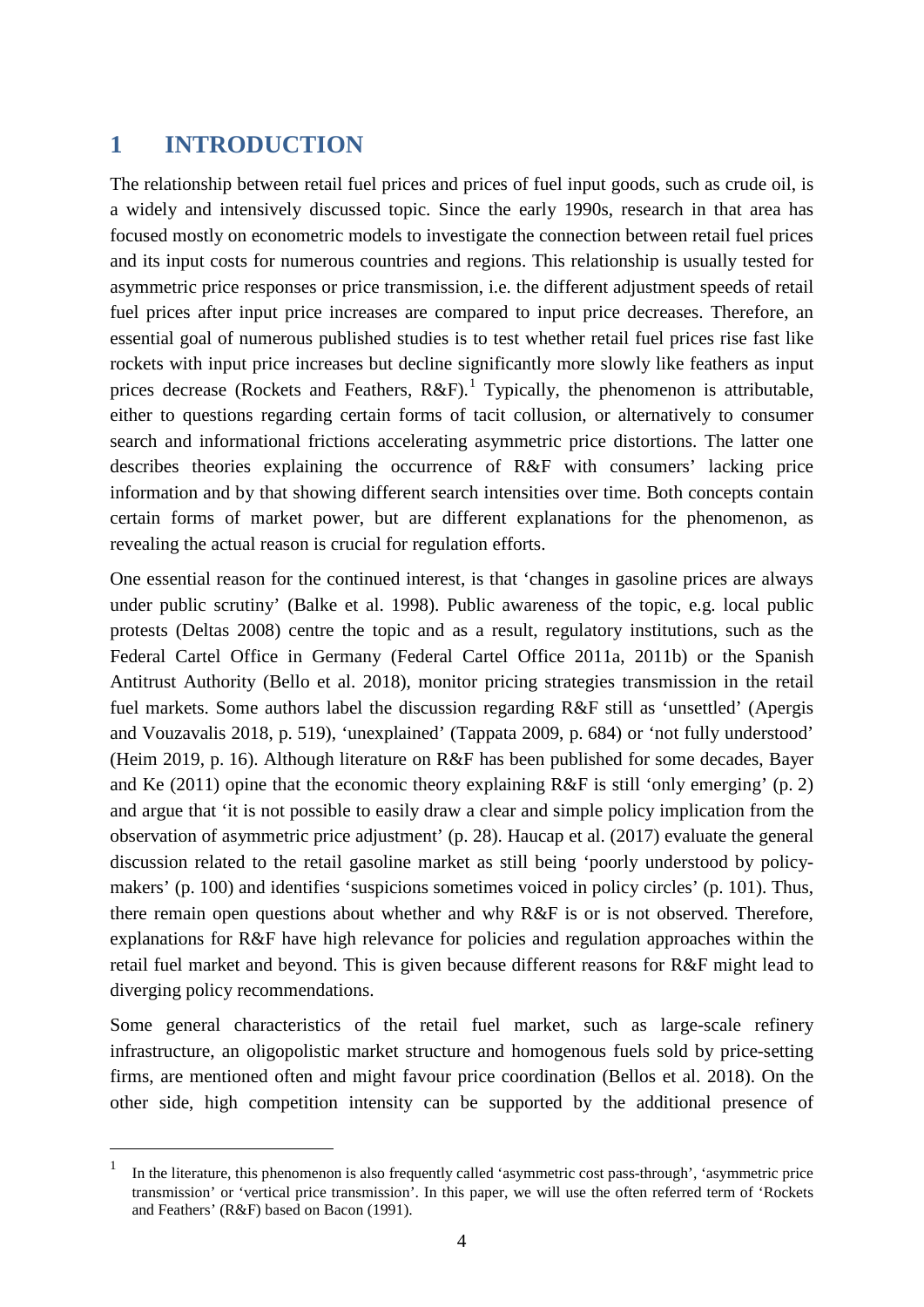## <span id="page-3-0"></span>**1 INTRODUCTION**

The relationship between retail fuel prices and prices of fuel input goods, such as crude oil, is a widely and intensively discussed topic. Since the early 1990s, research in that area has focused mostly on econometric models to investigate the connection between retail fuel prices and its input costs for numerous countries and regions. This relationship is usually tested for asymmetric price responses or price transmission, i.e. the different adjustment speeds of retail fuel prices after input price increases are compared to input price decreases. Therefore, an essential goal of numerous published studies is to test whether retail fuel prices rise fast like rockets with input price increases but decline significantly more slowly like feathers as input prices decrease (Rockets and Feathers,  $R\&F$ ).<sup>[1](#page-3-1)</sup> Typically, the phenomenon is attributable, either to questions regarding certain forms of tacit collusion, or alternatively to consumer search and informational frictions accelerating asymmetric price distortions. The latter one describes theories explaining the occurrence of R&F with consumers' lacking price information and by that showing different search intensities over time. Both concepts contain certain forms of market power, but are different explanations for the phenomenon, as revealing the actual reason is crucial for regulation efforts.

One essential reason for the continued interest, is that 'changes in gasoline prices are always under public scrutiny' (Balke et al. 1998). Public awareness of the topic, e.g. local public protests (Deltas 2008) centre the topic and as a result, regulatory institutions, such as the Federal Cartel Office in Germany (Federal Cartel Office 2011a, 2011b) or the Spanish Antitrust Authority (Bello et al. 2018), monitor pricing strategies transmission in the retail fuel markets. Some authors label the discussion regarding R&F still as 'unsettled' (Apergis and Vouzavalis 2018, p. 519), 'unexplained' (Tappata 2009, p. 684) or 'not fully understood' (Heim 2019, p. 16). Although literature on R&F has been published for some decades, Bayer and Ke (2011) opine that the economic theory explaining R&F is still 'only emerging' (p. 2) and argue that 'it is not possible to easily draw a clear and simple policy implication from the observation of asymmetric price adjustment' (p. 28). Haucap et al. (2017) evaluate the general discussion related to the retail gasoline market as still being 'poorly understood by policymakers' (p. 100) and identifies 'suspicions sometimes voiced in policy circles' (p. 101). Thus, there remain open questions about whether and why R&F is or is not observed. Therefore, explanations for R&F have high relevance for policies and regulation approaches within the retail fuel market and beyond. This is given because different reasons for R&F might lead to diverging policy recommendations.

Some general characteristics of the retail fuel market, such as large-scale refinery infrastructure, an oligopolistic market structure and homogenous fuels sold by price-setting firms, are mentioned often and might favour price coordination (Bellos et al. 2018). On the other side, high competition intensity can be supported by the additional presence of

<span id="page-3-1"></span><sup>&</sup>lt;sup>1</sup> In the literature, this phenomenon is also frequently called 'asymmetric cost pass-through', 'asymmetric price transmission' or 'vertical price transmission'. In this paper, we will use the often referred term of 'Rockets and Feathers' (R&F) based on Bacon (1991).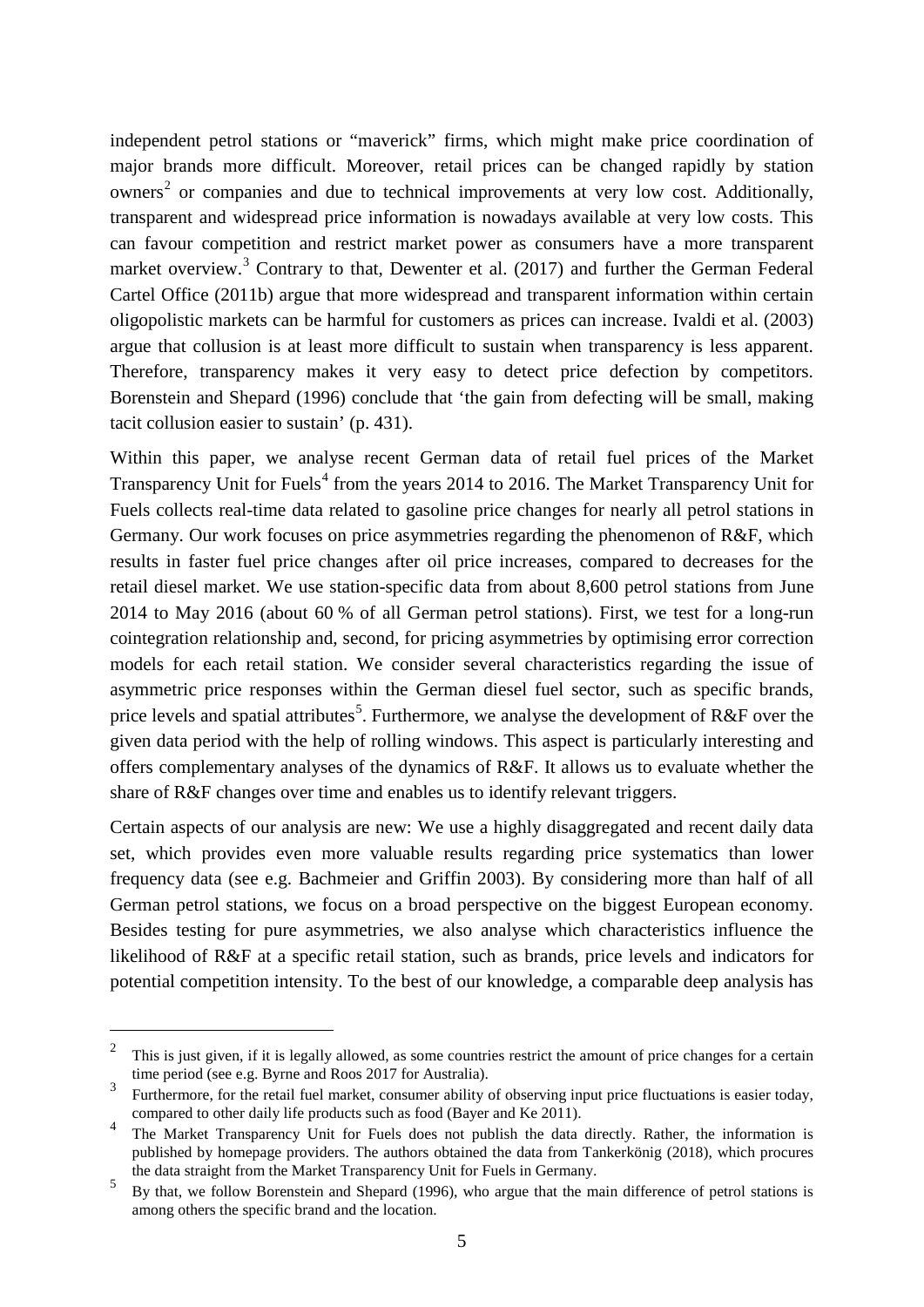independent petrol stations or "maverick" firms, which might make price coordination of major brands more difficult. Moreover, retail prices can be changed rapidly by station owners<sup>[2](#page-4-0)</sup> or companies and due to technical improvements at very low cost. Additionally, transparent and widespread price information is nowadays available at very low costs. This can favour competition and restrict market power as consumers have a more transparent market overview.<sup>[3](#page-4-1)</sup> Contrary to that, Dewenter et al. (2017) and further the German Federal Cartel Office (2011b) argue that more widespread and transparent information within certain oligopolistic markets can be harmful for customers as prices can increase. Ivaldi et al. (2003) argue that collusion is at least more difficult to sustain when transparency is less apparent. Therefore, transparency makes it very easy to detect price defection by competitors. Borenstein and Shepard (1996) conclude that 'the gain from defecting will be small, making tacit collusion easier to sustain' (p. 431).

Within this paper, we analyse recent German data of retail fuel prices of the Market Transparency Unit for Fuels<sup>[4](#page-4-2)</sup> from the years 2014 to 2016. The Market Transparency Unit for Fuels collects real-time data related to gasoline price changes for nearly all petrol stations in Germany. Our work focuses on price asymmetries regarding the phenomenon of R&F, which results in faster fuel price changes after oil price increases, compared to decreases for the retail diesel market. We use station-specific data from about 8,600 petrol stations from June 2014 to May 2016 (about 60 % of all German petrol stations). First, we test for a long-run cointegration relationship and, second, for pricing asymmetries by optimising error correction models for each retail station. We consider several characteristics regarding the issue of asymmetric price responses within the German diesel fuel sector, such as specific brands, price levels and spatial attributes<sup>[5](#page-4-3)</sup>. Furthermore, we analyse the development of R&F over the given data period with the help of rolling windows. This aspect is particularly interesting and offers complementary analyses of the dynamics of R&F. It allows us to evaluate whether the share of R&F changes over time and enables us to identify relevant triggers.

Certain aspects of our analysis are new: We use a highly disaggregated and recent daily data set, which provides even more valuable results regarding price systematics than lower frequency data (see e.g. Bachmeier and Griffin 2003). By considering more than half of all German petrol stations, we focus on a broad perspective on the biggest European economy. Besides testing for pure asymmetries, we also analyse which characteristics influence the likelihood of R&F at a specific retail station, such as brands, price levels and indicators for potential competition intensity. To the best of our knowledge, a comparable deep analysis has

<span id="page-4-0"></span> $\frac{2}{3}$  This is just given, if it is legally allowed, as some countries restrict the amount of price changes for a certain time period (see e.g. Byrne and Roos 2017 for Australia).<br>5 Furthermore, for the retail fuel market, consumer ability of observing input price fluctuations is easier today,

<span id="page-4-1"></span>compared to other daily life products such as food (Bayer and Ke 2011).

<span id="page-4-2"></span><sup>&</sup>lt;sup>4</sup> The Market Transparency Unit for Fuels does not publish the data directly. Rather, the information is published by homepage providers. The authors obtained the data from Tankerkönig (2018), which procures the data straight from the Market Transparency Unit for Fuels in Germany.

<span id="page-4-3"></span> $\frac{5}{10}$  By that, we follow Borenstein and Shepard (1996), who argue that the main difference of petrol stations is among others the specific brand and the location.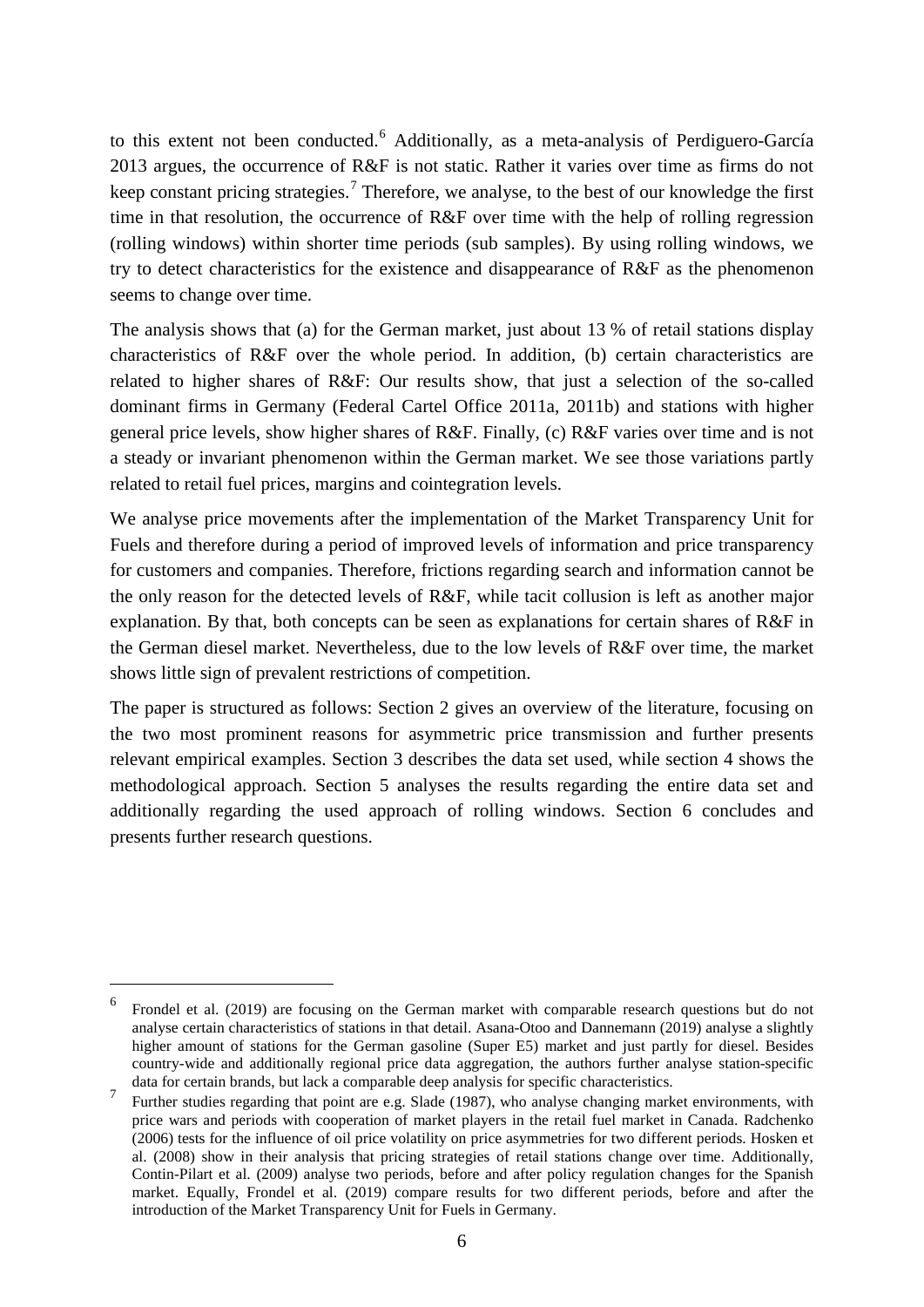to this extent not been conducted.<sup>[6](#page-5-0)</sup> Additionally, as a meta-analysis of Perdiguero-García 2013 argues, the occurrence of R&F is not static. Rather it varies over time as firms do not keep constant pricing strategies.<sup>[7](#page-5-1)</sup> Therefore, we analyse, to the best of our knowledge the first time in that resolution, the occurrence of R&F over time with the help of rolling regression (rolling windows) within shorter time periods (sub samples). By using rolling windows, we try to detect characteristics for the existence and disappearance of R&F as the phenomenon seems to change over time.

The analysis shows that (a) for the German market, just about 13 % of retail stations display characteristics of R&F over the whole period. In addition, (b) certain characteristics are related to higher shares of R&F: Our results show, that just a selection of the so-called dominant firms in Germany (Federal Cartel Office 2011a, 2011b) and stations with higher general price levels, show higher shares of R&F. Finally, (c) R&F varies over time and is not a steady or invariant phenomenon within the German market. We see those variations partly related to retail fuel prices, margins and cointegration levels.

We analyse price movements after the implementation of the Market Transparency Unit for Fuels and therefore during a period of improved levels of information and price transparency for customers and companies. Therefore, frictions regarding search and information cannot be the only reason for the detected levels of R&F, while tacit collusion is left as another major explanation. By that, both concepts can be seen as explanations for certain shares of R&F in the German diesel market. Nevertheless, due to the low levels of R&F over time, the market shows little sign of prevalent restrictions of competition.

The paper is structured as follows: Section 2 gives an overview of the literature, focusing on the two most prominent reasons for asymmetric price transmission and further presents relevant empirical examples. Section 3 describes the data set used, while section 4 shows the methodological approach. Section 5 analyses the results regarding the entire data set and additionally regarding the used approach of rolling windows. Section 6 concludes and presents further research questions.

<span id="page-5-0"></span> <sup>6</sup> Frondel et al. (2019) are focusing on the German market with comparable research questions but do not analyse certain characteristics of stations in that detail. Asana-Otoo and Dannemann (2019) analyse a slightly higher amount of stations for the German gasoline (Super E5) market and just partly for diesel. Besides country-wide and additionally regional price data aggregation, the authors further analyse station-specific data for certain brands, but lack a comparable deep analysis for specific characteristics.

<span id="page-5-1"></span><sup>&</sup>lt;sup>7</sup> Further studies regarding that point are e.g. Slade (1987), who analyse changing market environments, with price wars and periods with cooperation of market players in the retail fuel market in Canada. Radchenko (2006) tests for the influence of oil price volatility on price asymmetries for two different periods. Hosken et al. (2008) show in their analysis that pricing strategies of retail stations change over time. Additionally, Contin-Pilart et al. (2009) analyse two periods, before and after policy regulation changes for the Spanish market. Equally, Frondel et al. (2019) compare results for two different periods, before and after the introduction of the Market Transparency Unit for Fuels in Germany.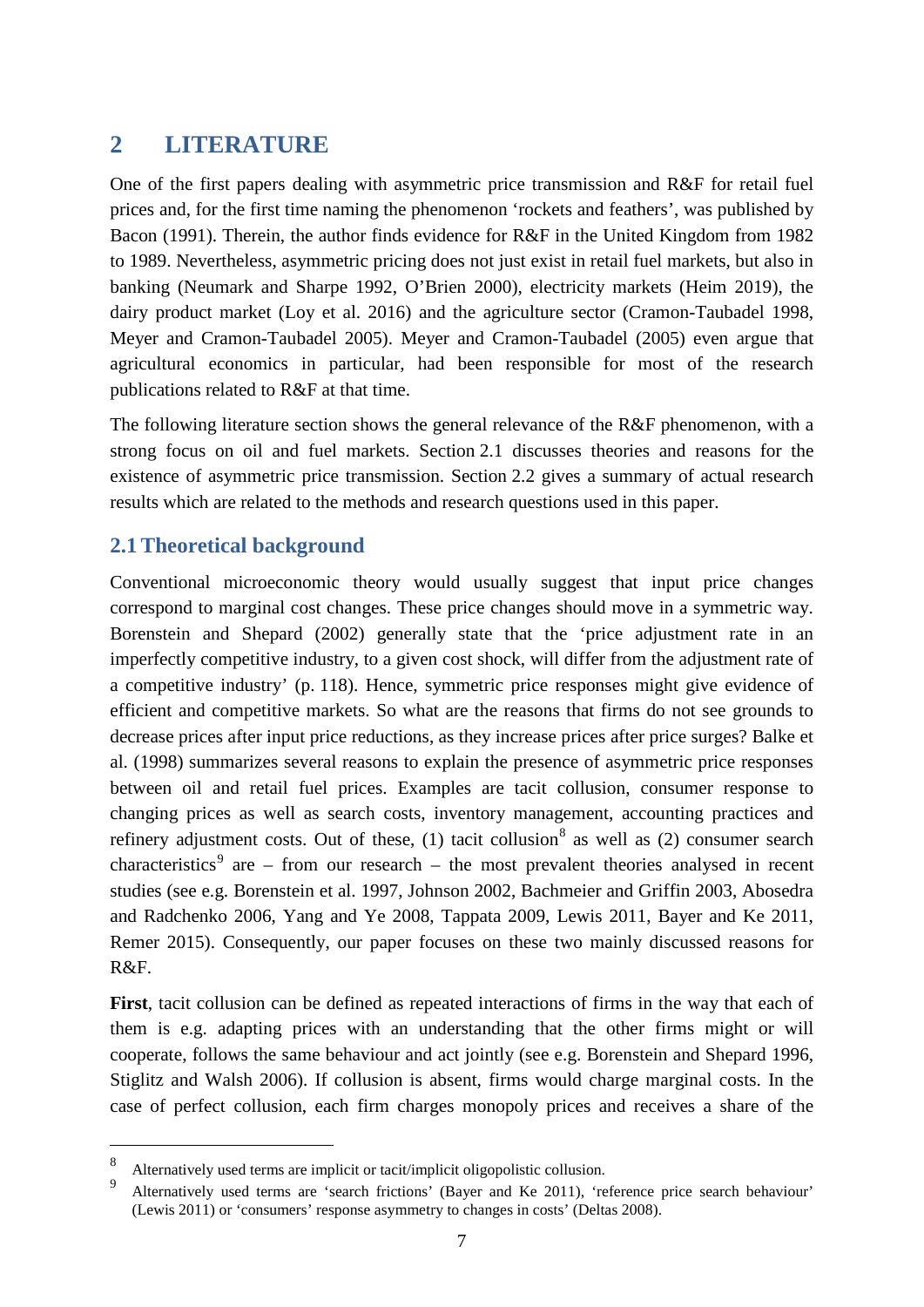## <span id="page-6-0"></span>**2 LITERATURE**

One of the first papers dealing with asymmetric price transmission and R&F for retail fuel prices and, for the first time naming the phenomenon 'rockets and feathers', was published by Bacon (1991). Therein, the author finds evidence for R&F in the United Kingdom from 1982 to 1989. Nevertheless, asymmetric pricing does not just exist in retail fuel markets, but also in banking (Neumark and Sharpe 1992, O'Brien 2000), electricity markets (Heim 2019), the dairy product market (Loy et al. 2016) and the agriculture sector (Cramon-Taubadel 1998, Meyer and Cramon-Taubadel 2005). Meyer and Cramon-Taubadel (2005) even argue that agricultural economics in particular, had been responsible for most of the research publications related to R&F at that time.

The following literature section shows the general relevance of the R&F phenomenon, with a strong focus on oil and fuel markets. Section 2.1 discusses theories and reasons for the existence of asymmetric price transmission. Section 2.2 gives a summary of actual research results which are related to the methods and research questions used in this paper.

#### <span id="page-6-1"></span>**2.1Theoretical background**

Conventional microeconomic theory would usually suggest that input price changes correspond to marginal cost changes. These price changes should move in a symmetric way. Borenstein and Shepard (2002) generally state that the 'price adjustment rate in an imperfectly competitive industry, to a given cost shock, will differ from the adjustment rate of a competitive industry' (p. 118). Hence, symmetric price responses might give evidence of efficient and competitive markets. So what are the reasons that firms do not see grounds to decrease prices after input price reductions, as they increase prices after price surges? Balke et al. (1998) summarizes several reasons to explain the presence of asymmetric price responses between oil and retail fuel prices. Examples are tacit collusion, consumer response to changing prices as well as search costs, inventory management, accounting practices and refinery adjustment costs. Out of these,  $(1)$  tacit collusion<sup>[8](#page-6-2)</sup> as well as  $(2)$  consumer search characteristics<sup>[9](#page-6-3)</sup> are – from our research – the most prevalent theories analysed in recent studies (see e.g. Borenstein et al. 1997, Johnson 2002, Bachmeier and Griffin 2003, Abosedra and Radchenko 2006, Yang and Ye 2008, Tappata 2009, Lewis 2011, Bayer and Ke 2011, Remer 2015). Consequently, our paper focuses on these two mainly discussed reasons for R&F.

**First**, tacit collusion can be defined as repeated interactions of firms in the way that each of them is e.g. adapting prices with an understanding that the other firms might or will cooperate, follows the same behaviour and act jointly (see e.g. Borenstein and Shepard 1996, Stiglitz and Walsh 2006). If collusion is absent, firms would charge marginal costs. In the case of perfect collusion, each firm charges monopoly prices and receives a share of the

<span id="page-6-2"></span><sup>&</sup>lt;sup>8</sup> Alternatively used terms are implicit or tacit/implicit oligopolistic collusion.

<span id="page-6-3"></span>Alternatively used terms are 'search frictions' (Bayer and Ke 2011), 'reference price search behaviour' (Lewis 2011) or 'consumers' response asymmetry to changes in costs' (Deltas 2008).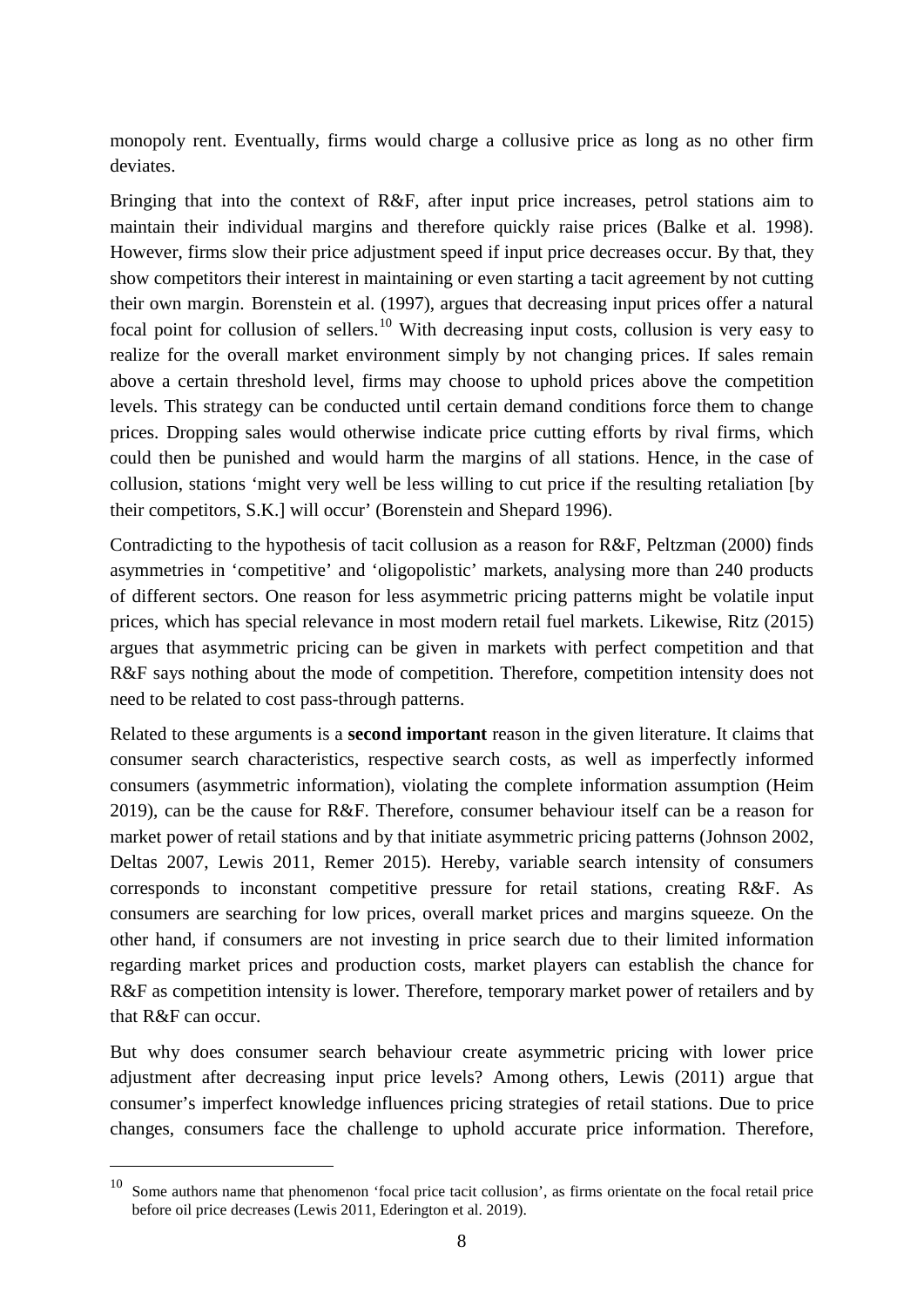monopoly rent. Eventually, firms would charge a collusive price as long as no other firm deviates.

Bringing that into the context of R&F, after input price increases, petrol stations aim to maintain their individual margins and therefore quickly raise prices (Balke et al. 1998). However, firms slow their price adjustment speed if input price decreases occur. By that, they show competitors their interest in maintaining or even starting a tacit agreement by not cutting their own margin. Borenstein et al. (1997), argues that decreasing input prices offer a natural focal point for collusion of sellers.<sup>[10](#page-7-0)</sup> With decreasing input costs, collusion is very easy to realize for the overall market environment simply by not changing prices. If sales remain above a certain threshold level, firms may choose to uphold prices above the competition levels. This strategy can be conducted until certain demand conditions force them to change prices. Dropping sales would otherwise indicate price cutting efforts by rival firms, which could then be punished and would harm the margins of all stations. Hence, in the case of collusion, stations 'might very well be less willing to cut price if the resulting retaliation [by their competitors, S.K.] will occur' (Borenstein and Shepard 1996).

Contradicting to the hypothesis of tacit collusion as a reason for R&F, Peltzman (2000) finds asymmetries in 'competitive' and 'oligopolistic' markets, analysing more than 240 products of different sectors. One reason for less asymmetric pricing patterns might be volatile input prices, which has special relevance in most modern retail fuel markets. Likewise, Ritz (2015) argues that asymmetric pricing can be given in markets with perfect competition and that R&F says nothing about the mode of competition. Therefore, competition intensity does not need to be related to cost pass-through patterns.

Related to these arguments is a **second important** reason in the given literature. It claims that consumer search characteristics, respective search costs, as well as imperfectly informed consumers (asymmetric information), violating the complete information assumption (Heim 2019), can be the cause for R&F. Therefore, consumer behaviour itself can be a reason for market power of retail stations and by that initiate asymmetric pricing patterns (Johnson 2002, Deltas 2007, Lewis 2011, Remer 2015). Hereby, variable search intensity of consumers corresponds to inconstant competitive pressure for retail stations, creating R&F. As consumers are searching for low prices, overall market prices and margins squeeze. On the other hand, if consumers are not investing in price search due to their limited information regarding market prices and production costs, market players can establish the chance for R&F as competition intensity is lower. Therefore, temporary market power of retailers and by that R&F can occur.

But why does consumer search behaviour create asymmetric pricing with lower price adjustment after decreasing input price levels? Among others, Lewis (2011) argue that consumer's imperfect knowledge influences pricing strategies of retail stations. Due to price changes, consumers face the challenge to uphold accurate price information. Therefore,

<span id="page-7-0"></span><sup>&</sup>lt;sup>10</sup> Some authors name that phenomenon 'focal price tacit collusion', as firms orientate on the focal retail price before oil price decreases (Lewis 2011, Ederington et al. 2019).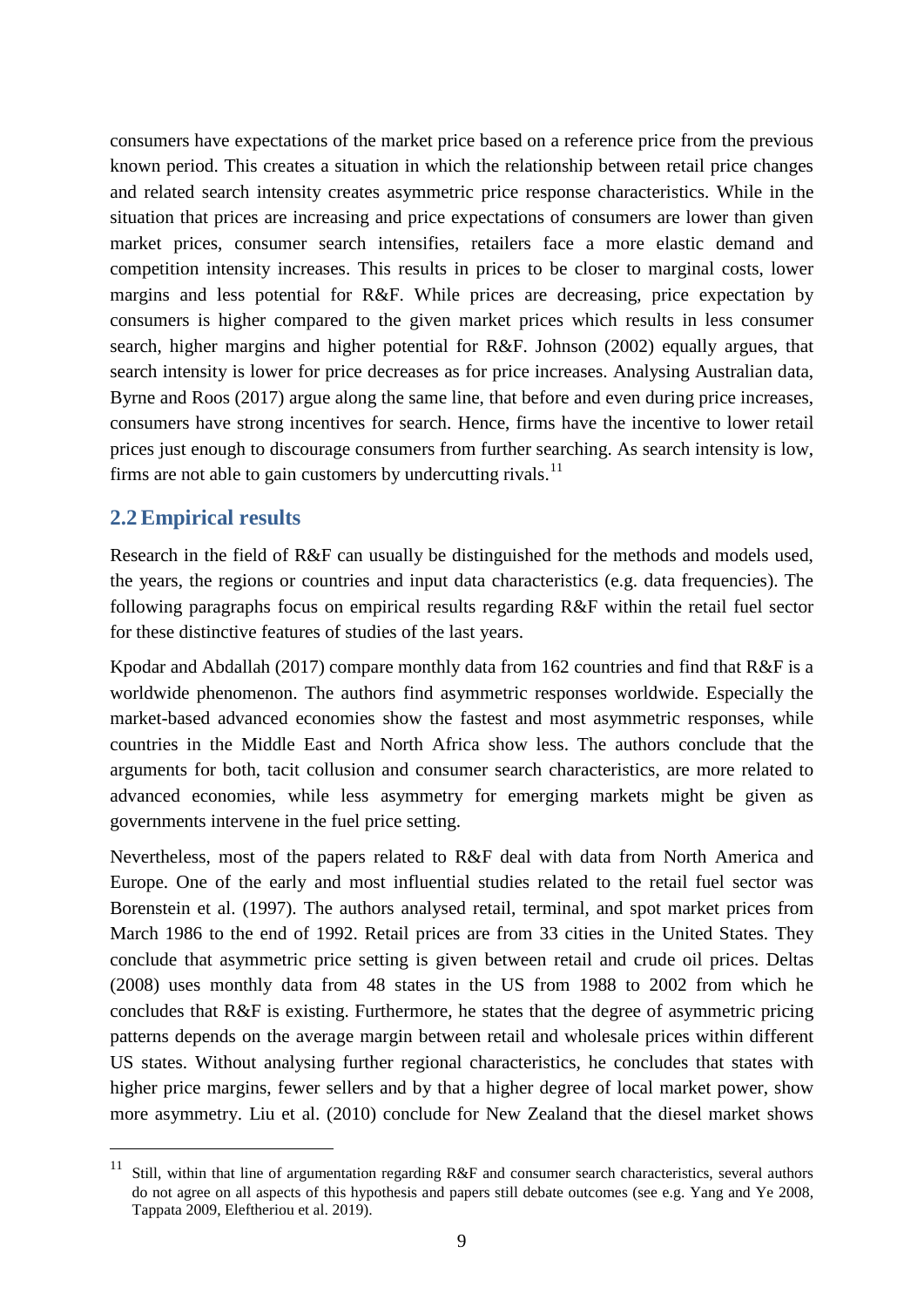consumers have expectations of the market price based on a reference price from the previous known period. This creates a situation in which the relationship between retail price changes and related search intensity creates asymmetric price response characteristics. While in the situation that prices are increasing and price expectations of consumers are lower than given market prices, consumer search intensifies, retailers face a more elastic demand and competition intensity increases. This results in prices to be closer to marginal costs, lower margins and less potential for R&F. While prices are decreasing, price expectation by consumers is higher compared to the given market prices which results in less consumer search, higher margins and higher potential for R&F. Johnson (2002) equally argues, that search intensity is lower for price decreases as for price increases. Analysing Australian data, Byrne and Roos (2017) argue along the same line, that before and even during price increases, consumers have strong incentives for search. Hence, firms have the incentive to lower retail prices just enough to discourage consumers from further searching. As search intensity is low, firms are not able to gain customers by undercutting rivals.<sup>[11](#page-8-1)</sup>

#### <span id="page-8-0"></span>**2.2Empirical results**

Research in the field of R&F can usually be distinguished for the methods and models used, the years, the regions or countries and input data characteristics (e.g. data frequencies). The following paragraphs focus on empirical results regarding R&F within the retail fuel sector for these distinctive features of studies of the last years.

Kpodar and Abdallah (2017) compare monthly data from 162 countries and find that R&F is a worldwide phenomenon. The authors find asymmetric responses worldwide. Especially the market-based advanced economies show the fastest and most asymmetric responses, while countries in the Middle East and North Africa show less. The authors conclude that the arguments for both, tacit collusion and consumer search characteristics, are more related to advanced economies, while less asymmetry for emerging markets might be given as governments intervene in the fuel price setting.

Nevertheless, most of the papers related to R&F deal with data from North America and Europe. One of the early and most influential studies related to the retail fuel sector was Borenstein et al. (1997). The authors analysed retail, terminal, and spot market prices from March 1986 to the end of 1992. Retail prices are from 33 cities in the United States. They conclude that asymmetric price setting is given between retail and crude oil prices. Deltas (2008) uses monthly data from 48 states in the US from 1988 to 2002 from which he concludes that R&F is existing. Furthermore, he states that the degree of asymmetric pricing patterns depends on the average margin between retail and wholesale prices within different US states. Without analysing further regional characteristics, he concludes that states with higher price margins, fewer sellers and by that a higher degree of local market power, show more asymmetry. Liu et al. (2010) conclude for New Zealand that the diesel market shows

<span id="page-8-1"></span><sup>&</sup>lt;sup>11</sup> Still, within that line of argumentation regarding R&F and consumer search characteristics, several authors do not agree on all aspects of this hypothesis and papers still debate outcomes (see e.g. Yang and Ye 2008, Tappata 2009, Eleftheriou et al. 2019).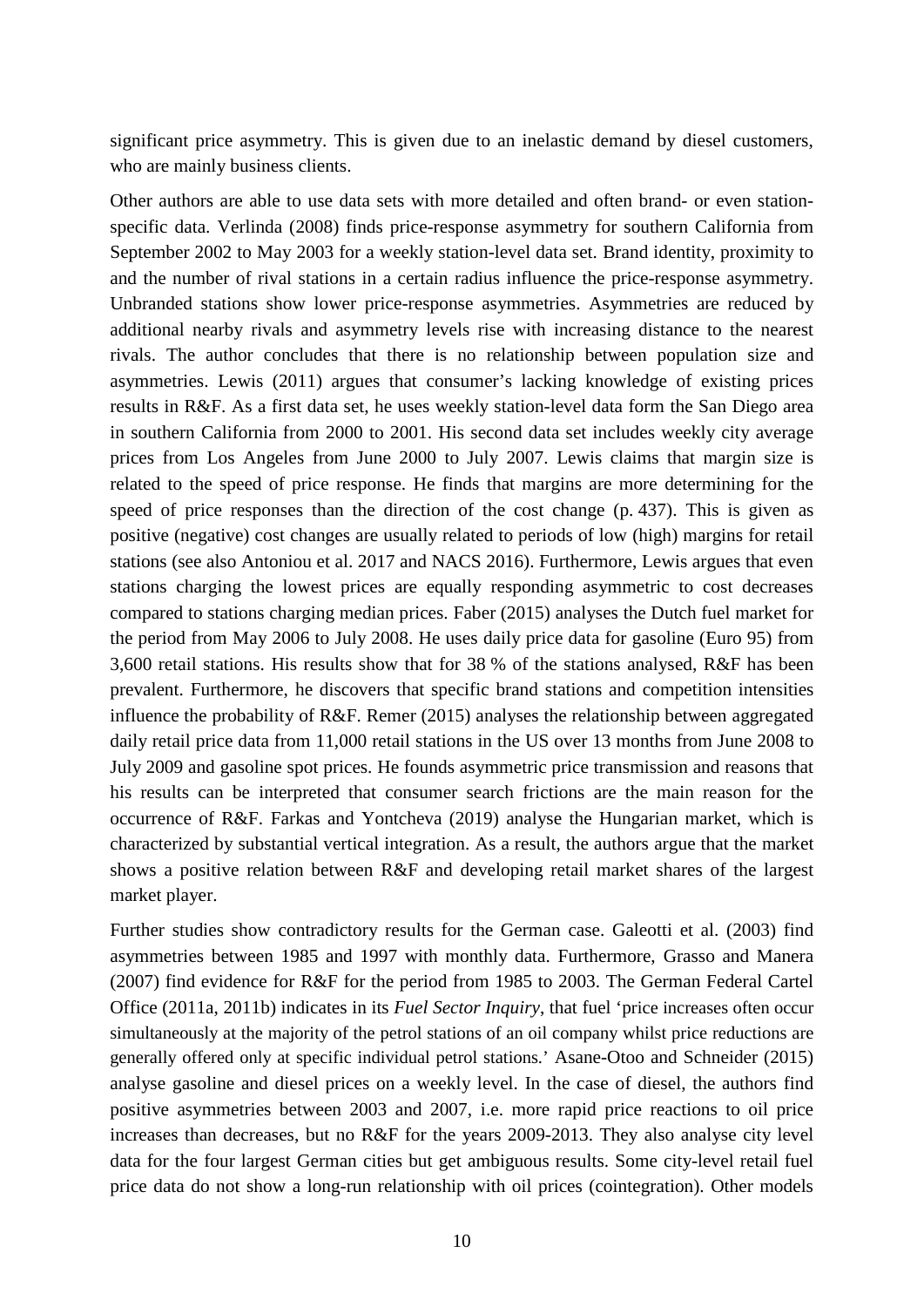significant price asymmetry. This is given due to an inelastic demand by diesel customers, who are mainly business clients.

Other authors are able to use data sets with more detailed and often brand- or even stationspecific data. Verlinda (2008) finds price-response asymmetry for southern California from September 2002 to May 2003 for a weekly station-level data set. Brand identity, proximity to and the number of rival stations in a certain radius influence the price-response asymmetry. Unbranded stations show lower price-response asymmetries. Asymmetries are reduced by additional nearby rivals and asymmetry levels rise with increasing distance to the nearest rivals. The author concludes that there is no relationship between population size and asymmetries. Lewis (2011) argues that consumer's lacking knowledge of existing prices results in R&F. As a first data set, he uses weekly station-level data form the San Diego area in southern California from 2000 to 2001. His second data set includes weekly city average prices from Los Angeles from June 2000 to July 2007. Lewis claims that margin size is related to the speed of price response. He finds that margins are more determining for the speed of price responses than the direction of the cost change (p. 437). This is given as positive (negative) cost changes are usually related to periods of low (high) margins for retail stations (see also Antoniou et al. 2017 and NACS 2016). Furthermore, Lewis argues that even stations charging the lowest prices are equally responding asymmetric to cost decreases compared to stations charging median prices. Faber (2015) analyses the Dutch fuel market for the period from May 2006 to July 2008. He uses daily price data for gasoline (Euro 95) from 3,600 retail stations. His results show that for 38 % of the stations analysed, R&F has been prevalent. Furthermore, he discovers that specific brand stations and competition intensities influence the probability of R&F. Remer (2015) analyses the relationship between aggregated daily retail price data from 11,000 retail stations in the US over 13 months from June 2008 to July 2009 and gasoline spot prices. He founds asymmetric price transmission and reasons that his results can be interpreted that consumer search frictions are the main reason for the occurrence of R&F. Farkas and Yontcheva (2019) analyse the Hungarian market, which is characterized by substantial vertical integration. As a result, the authors argue that the market shows a positive relation between R&F and developing retail market shares of the largest market player.

Further studies show contradictory results for the German case. Galeotti et al. (2003) find asymmetries between 1985 and 1997 with monthly data. Furthermore, Grasso and Manera (2007) find evidence for R&F for the period from 1985 to 2003. The German Federal Cartel Office (2011a, 2011b) indicates in its *Fuel Sector Inquiry*, that fuel 'price increases often occur simultaneously at the majority of the petrol stations of an oil company whilst price reductions are generally offered only at specific individual petrol stations.' Asane-Otoo and Schneider (2015) analyse gasoline and diesel prices on a weekly level. In the case of diesel, the authors find positive asymmetries between 2003 and 2007, i.e. more rapid price reactions to oil price increases than decreases, but no R&F for the years 2009-2013. They also analyse city level data for the four largest German cities but get ambiguous results. Some city-level retail fuel price data do not show a long-run relationship with oil prices (cointegration). Other models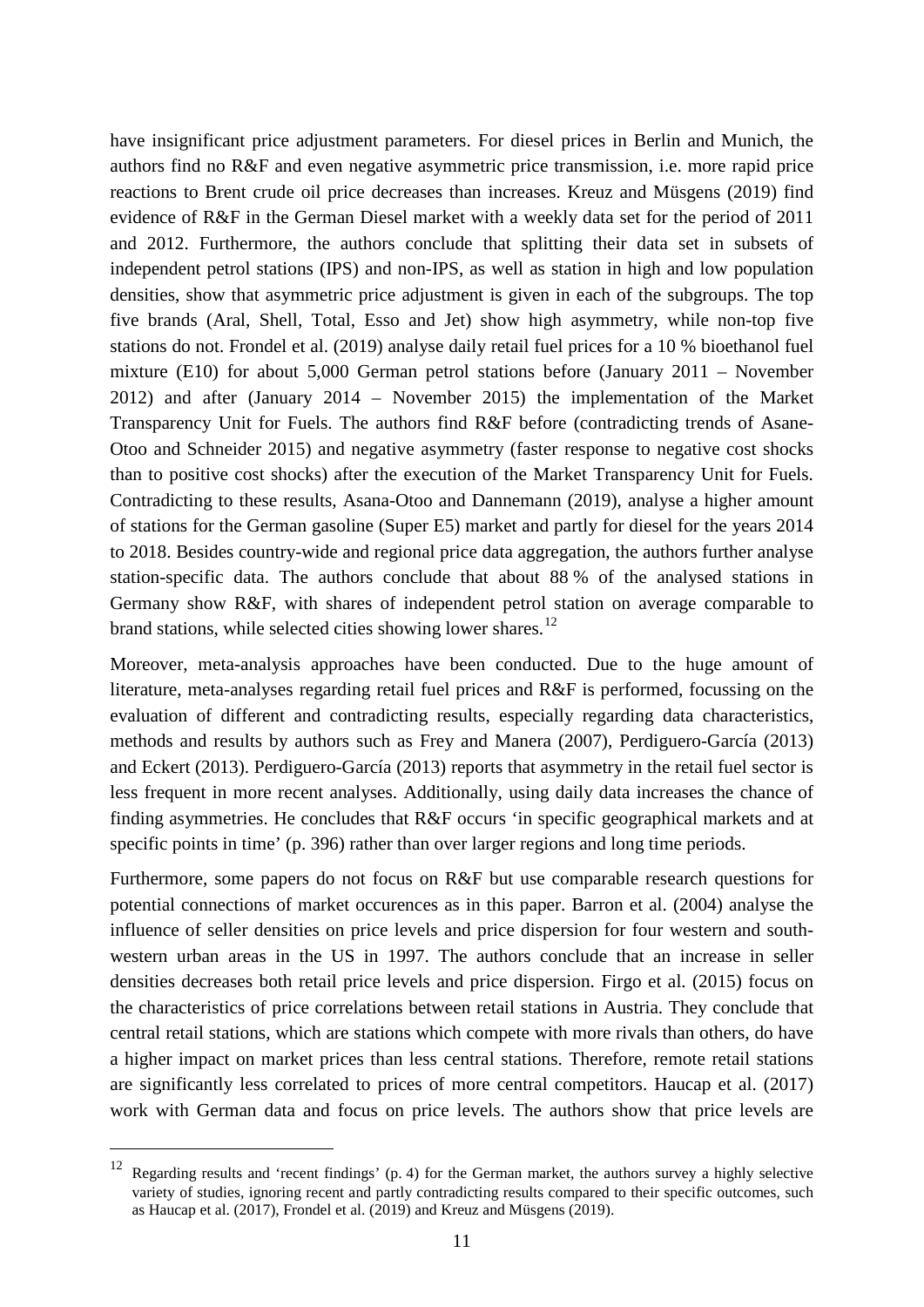have insignificant price adjustment parameters. For diesel prices in Berlin and Munich, the authors find no R&F and even negative asymmetric price transmission, i.e. more rapid price reactions to Brent crude oil price decreases than increases. Kreuz and Müsgens (2019) find evidence of R&F in the German Diesel market with a weekly data set for the period of 2011 and 2012. Furthermore, the authors conclude that splitting their data set in subsets of independent petrol stations (IPS) and non-IPS, as well as station in high and low population densities, show that asymmetric price adjustment is given in each of the subgroups. The top five brands (Aral, Shell, Total, Esso and Jet) show high asymmetry, while non-top five stations do not. Frondel et al. (2019) analyse daily retail fuel prices for a 10 % bioethanol fuel mixture (E10) for about 5,000 German petrol stations before (January 2011 – November 2012) and after (January 2014 – November 2015) the implementation of the Market Transparency Unit for Fuels. The authors find R&F before (contradicting trends of Asane-Otoo and Schneider 2015) and negative asymmetry (faster response to negative cost shocks than to positive cost shocks) after the execution of the Market Transparency Unit for Fuels. Contradicting to these results, Asana-Otoo and Dannemann (2019), analyse a higher amount of stations for the German gasoline (Super E5) market and partly for diesel for the years 2014 to 2018. Besides country-wide and regional price data aggregation, the authors further analyse station-specific data. The authors conclude that about 88 % of the analysed stations in Germany show R&F, with shares of independent petrol station on average comparable to brand stations, while selected cities showing lower shares.<sup>[12](#page-10-0)</sup>

Moreover, meta-analysis approaches have been conducted. Due to the huge amount of literature, meta-analyses regarding retail fuel prices and R&F is performed, focussing on the evaluation of different and contradicting results, especially regarding data characteristics, methods and results by authors such as Frey and Manera (2007), Perdiguero-García (2013) and Eckert (2013). Perdiguero-García (2013) reports that asymmetry in the retail fuel sector is less frequent in more recent analyses. Additionally, using daily data increases the chance of finding asymmetries. He concludes that R&F occurs 'in specific geographical markets and at specific points in time' (p. 396) rather than over larger regions and long time periods.

Furthermore, some papers do not focus on R&F but use comparable research questions for potential connections of market occurences as in this paper. Barron et al. (2004) analyse the influence of seller densities on price levels and price dispersion for four western and southwestern urban areas in the US in 1997. The authors conclude that an increase in seller densities decreases both retail price levels and price dispersion. Firgo et al. (2015) focus on the characteristics of price correlations between retail stations in Austria. They conclude that central retail stations, which are stations which compete with more rivals than others, do have a higher impact on market prices than less central stations. Therefore, remote retail stations are significantly less correlated to prices of more central competitors. Haucap et al. (2017) work with German data and focus on price levels. The authors show that price levels are

<span id="page-10-0"></span> <sup>12</sup> Regarding results and 'recent findings' (p. 4) for the German market, the authors survey a highly selective variety of studies, ignoring recent and partly contradicting results compared to their specific outcomes, such as Haucap et al. (2017), Frondel et al. (2019) and Kreuz and Müsgens (2019).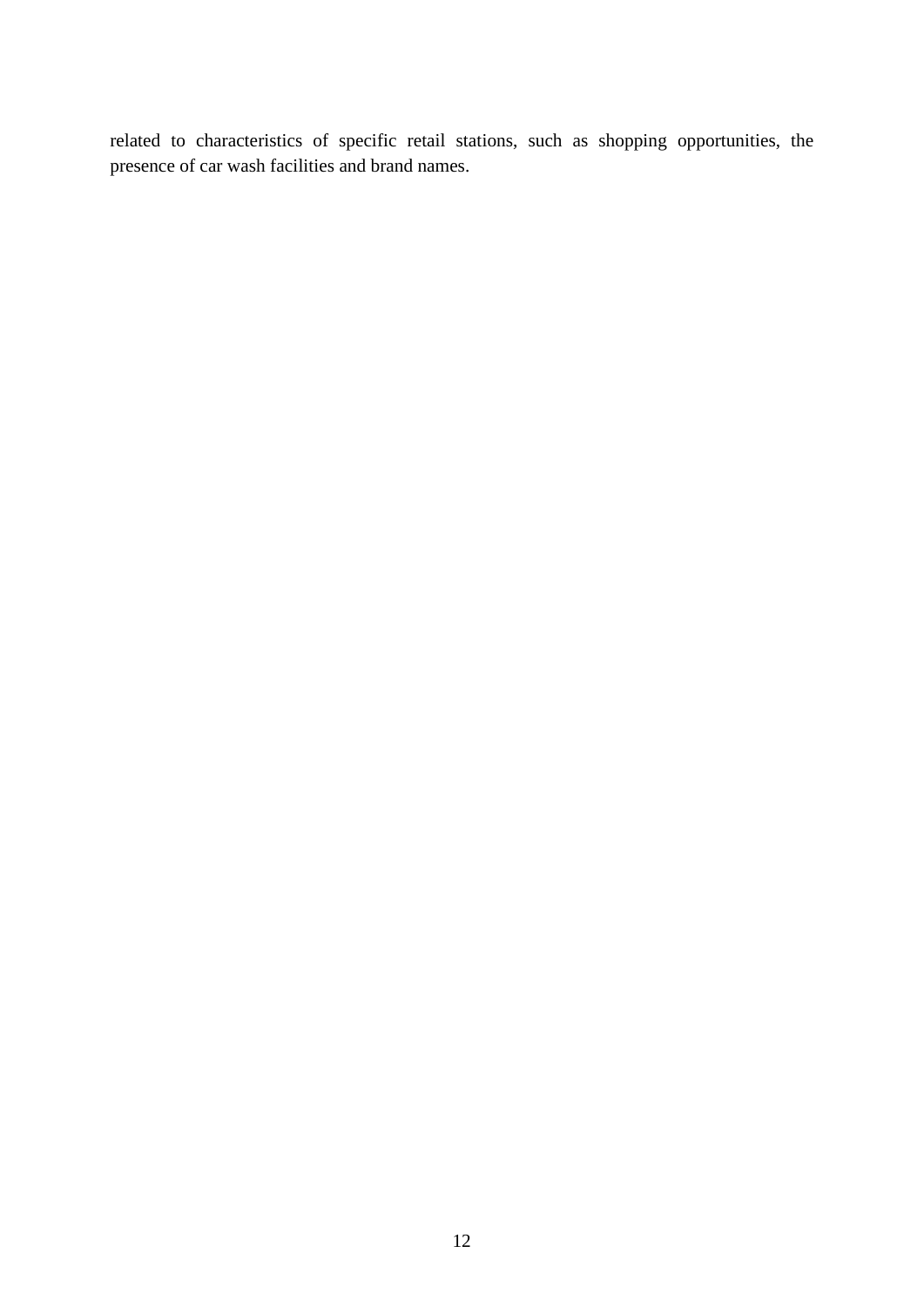related to characteristics of specific retail stations, such as shopping opportunities, the presence of car wash facilities and brand names.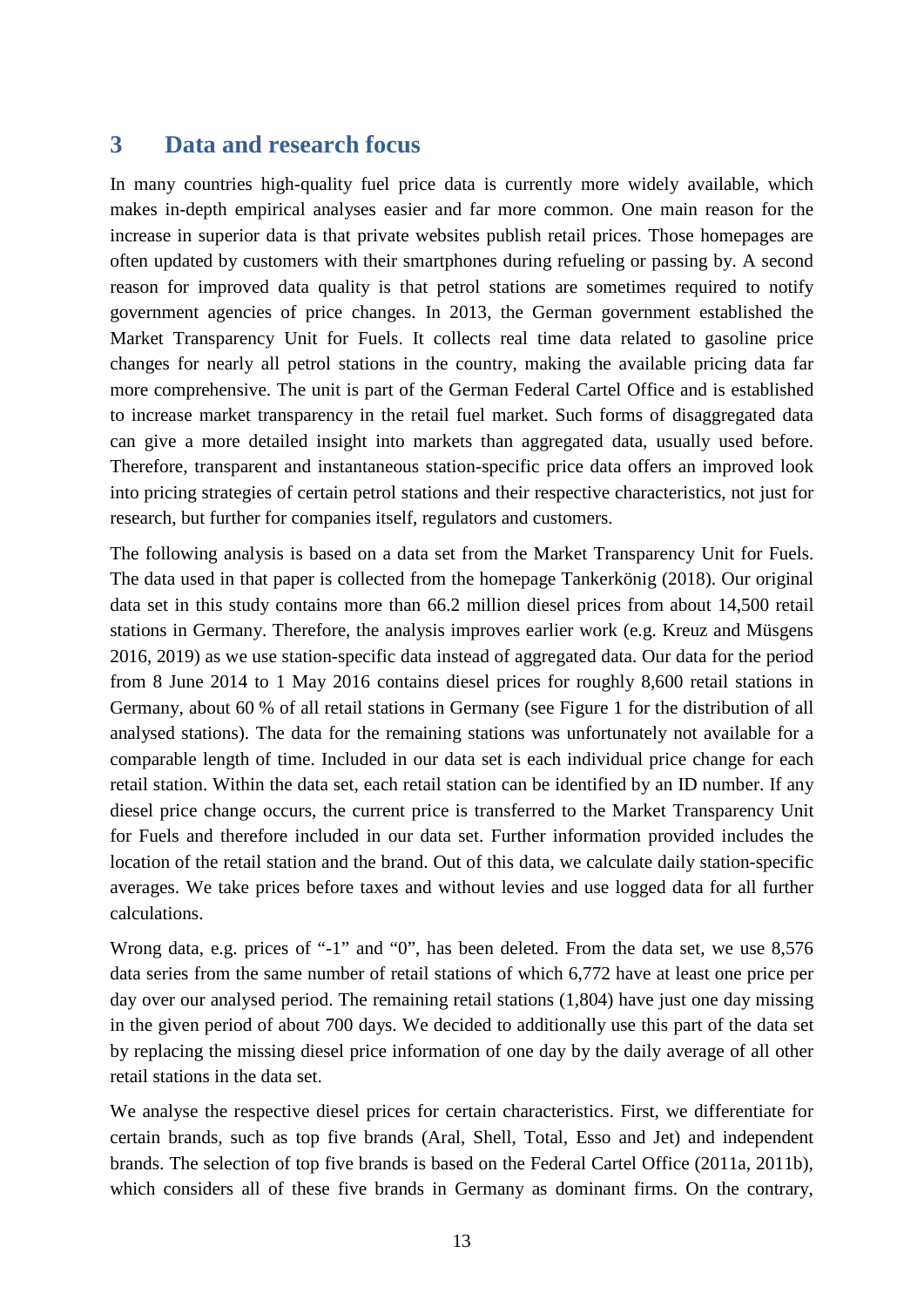#### <span id="page-12-0"></span>**3 Data and research focus**

In many countries high-quality fuel price data is currently more widely available, which makes in-depth empirical analyses easier and far more common. One main reason for the increase in superior data is that private websites publish retail prices. Those homepages are often updated by customers with their smartphones during refueling or passing by. A second reason for improved data quality is that petrol stations are sometimes required to notify government agencies of price changes. In 2013, the German government established the Market Transparency Unit for Fuels. It collects real time data related to gasoline price changes for nearly all petrol stations in the country, making the available pricing data far more comprehensive. The unit is part of the German Federal Cartel Office and is established to increase market transparency in the retail fuel market. Such forms of disaggregated data can give a more detailed insight into markets than aggregated data, usually used before. Therefore, transparent and instantaneous station-specific price data offers an improved look into pricing strategies of certain petrol stations and their respective characteristics, not just for research, but further for companies itself, regulators and customers.

The following analysis is based on a data set from the Market Transparency Unit for Fuels. The data used in that paper is collected from the homepage Tankerkönig (2018). Our original data set in this study contains more than 66.2 million diesel prices from about 14,500 retail stations in Germany. Therefore, the analysis improves earlier work (e.g. Kreuz and Müsgens 2016, 2019) as we use station-specific data instead of aggregated data. Our data for the period from 8 June 2014 to 1 May 2016 contains diesel prices for roughly 8,600 retail stations in Germany, about 60 % of all retail stations in Germany (see [Figure 1](#page-14-0) for the distribution of all analysed stations). The data for the remaining stations was unfortunately not available for a comparable length of time. Included in our data set is each individual price change for each retail station. Within the data set, each retail station can be identified by an ID number. If any diesel price change occurs, the current price is transferred to the Market Transparency Unit for Fuels and therefore included in our data set. Further information provided includes the location of the retail station and the brand. Out of this data, we calculate daily station-specific averages. We take prices before taxes and without levies and use logged data for all further calculations.

Wrong data, e.g. prices of "-1" and "0", has been deleted. From the data set, we use 8,576 data series from the same number of retail stations of which 6,772 have at least one price per day over our analysed period. The remaining retail stations (1,804) have just one day missing in the given period of about 700 days. We decided to additionally use this part of the data set by replacing the missing diesel price information of one day by the daily average of all other retail stations in the data set.

We analyse the respective diesel prices for certain characteristics. First, we differentiate for certain brands, such as top five brands (Aral, Shell, Total, Esso and Jet) and independent brands. The selection of top five brands is based on the Federal Cartel Office (2011a, 2011b), which considers all of these five brands in Germany as dominant firms. On the contrary,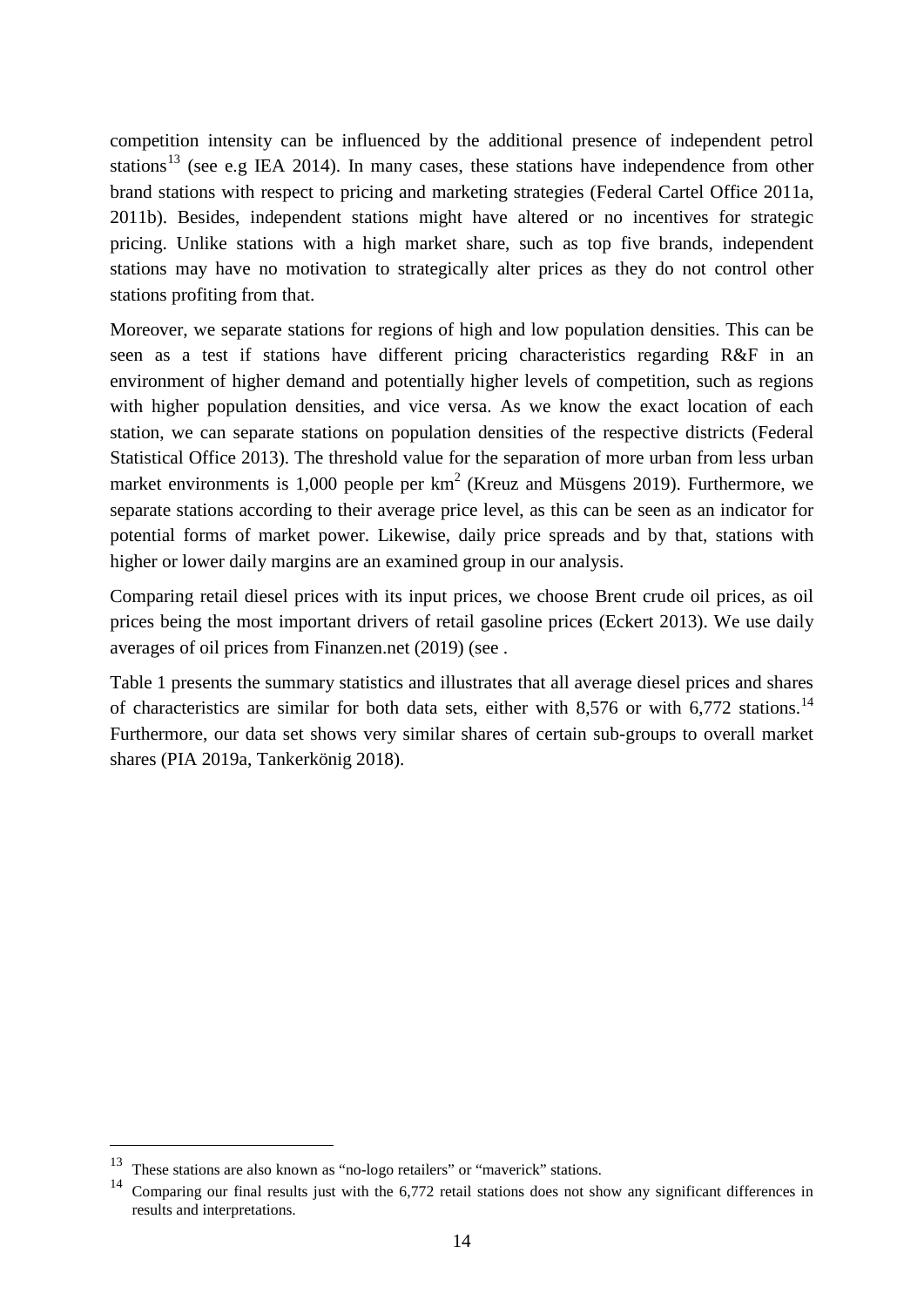competition intensity can be influenced by the additional presence of independent petrol stations<sup>[13](#page-13-0)</sup> (see e.g IEA 2014). In many cases, these stations have independence from other brand stations with respect to pricing and marketing strategies (Federal Cartel Office 2011a, 2011b). Besides, independent stations might have altered or no incentives for strategic pricing. Unlike stations with a high market share, such as top five brands, independent stations may have no motivation to strategically alter prices as they do not control other stations profiting from that.

Moreover, we separate stations for regions of high and low population densities. This can be seen as a test if stations have different pricing characteristics regarding R&F in an environment of higher demand and potentially higher levels of competition, such as regions with higher population densities, and vice versa. As we know the exact location of each station, we can separate stations on population densities of the respective districts (Federal Statistical Office 2013). The threshold value for the separation of more urban from less urban market environments is 1,000 people per  $km^2$  (Kreuz and Müsgens 2019). Furthermore, we separate stations according to their average price level, as this can be seen as an indicator for potential forms of market power. Likewise, daily price spreads and by that, stations with higher or lower daily margins are an examined group in our analysis.

Comparing retail diesel prices with its input prices, we choose Brent crude oil prices, as oil prices being the most important drivers of retail gasoline prices (Eckert 2013). We use daily averages of oil prices from Finanzen.net (2019) (see .

Table 1 presents the summary statistics and illustrates that all average diesel prices and shares of characteristics are similar for both data sets, either with 8,576 or with 6,772 stations.<sup>[14](#page-13-1)</sup> Furthermore, our data set shows very similar shares of certain sub-groups to overall market shares (PIA 2019a, Tankerkönig 2018).

<span id="page-13-0"></span> <sup>13</sup> These stations are also known as "no-logo retailers" or "maverick" stations.

<span id="page-13-1"></span><sup>&</sup>lt;sup>14</sup> Comparing our final results just with the 6,772 retail stations does not show any significant differences in results and interpretations.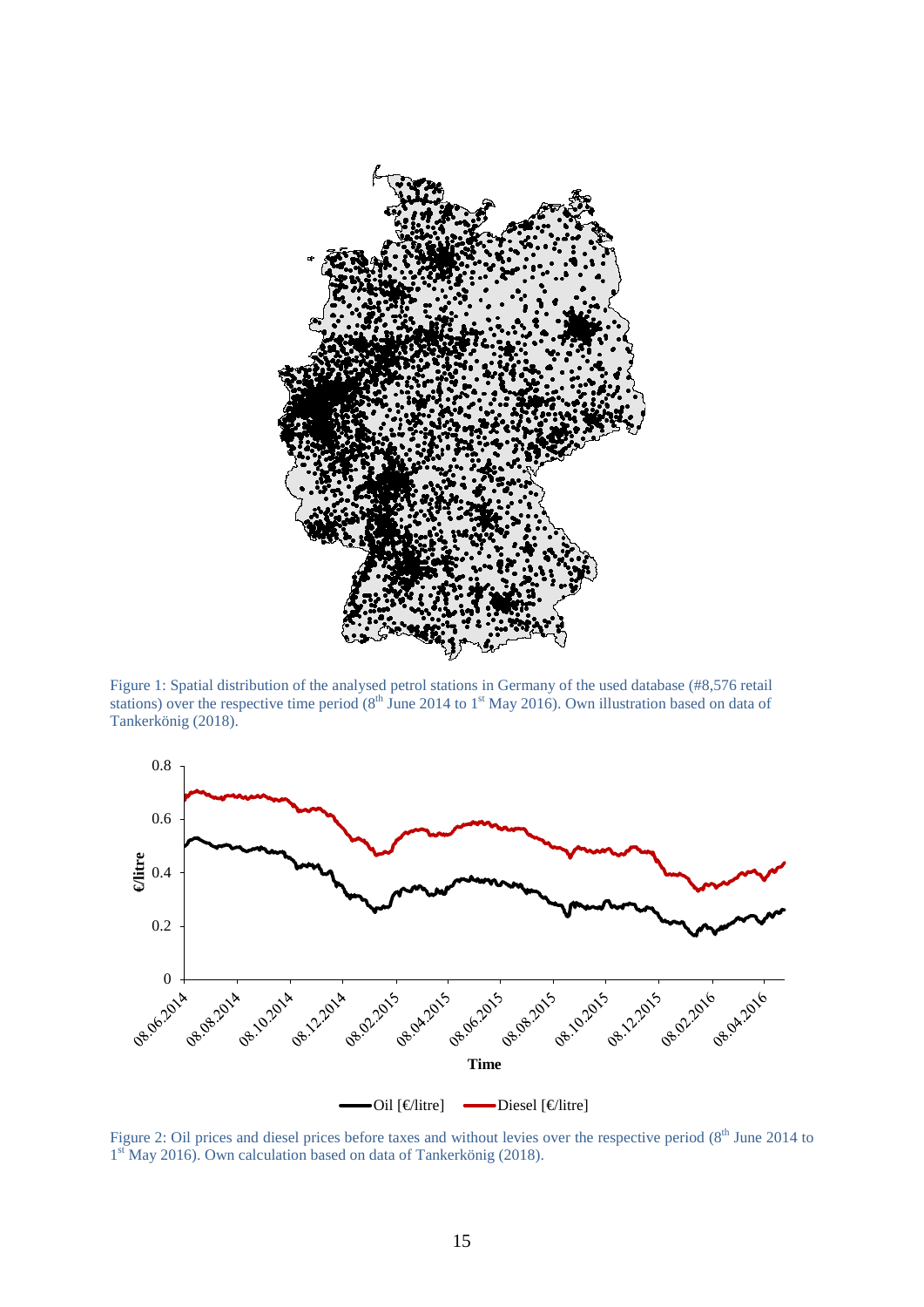

Figure 1: Spatial distribution of the analysed petrol stations in Germany of the used database (#8,576 retail stations) over the respective time period ( $8<sup>th</sup>$  June 2014 to 1<sup>st</sup> May 2016). Own illustration based on data of Tankerkönig (2018).

<span id="page-14-0"></span>

Figure 2: Oil prices and diesel prices before taxes and without levies over the respective period (8<sup>th</sup> June 2014 to 1<sup>st</sup> May 2016). Own calculation based on data of Tankerkönig (2018).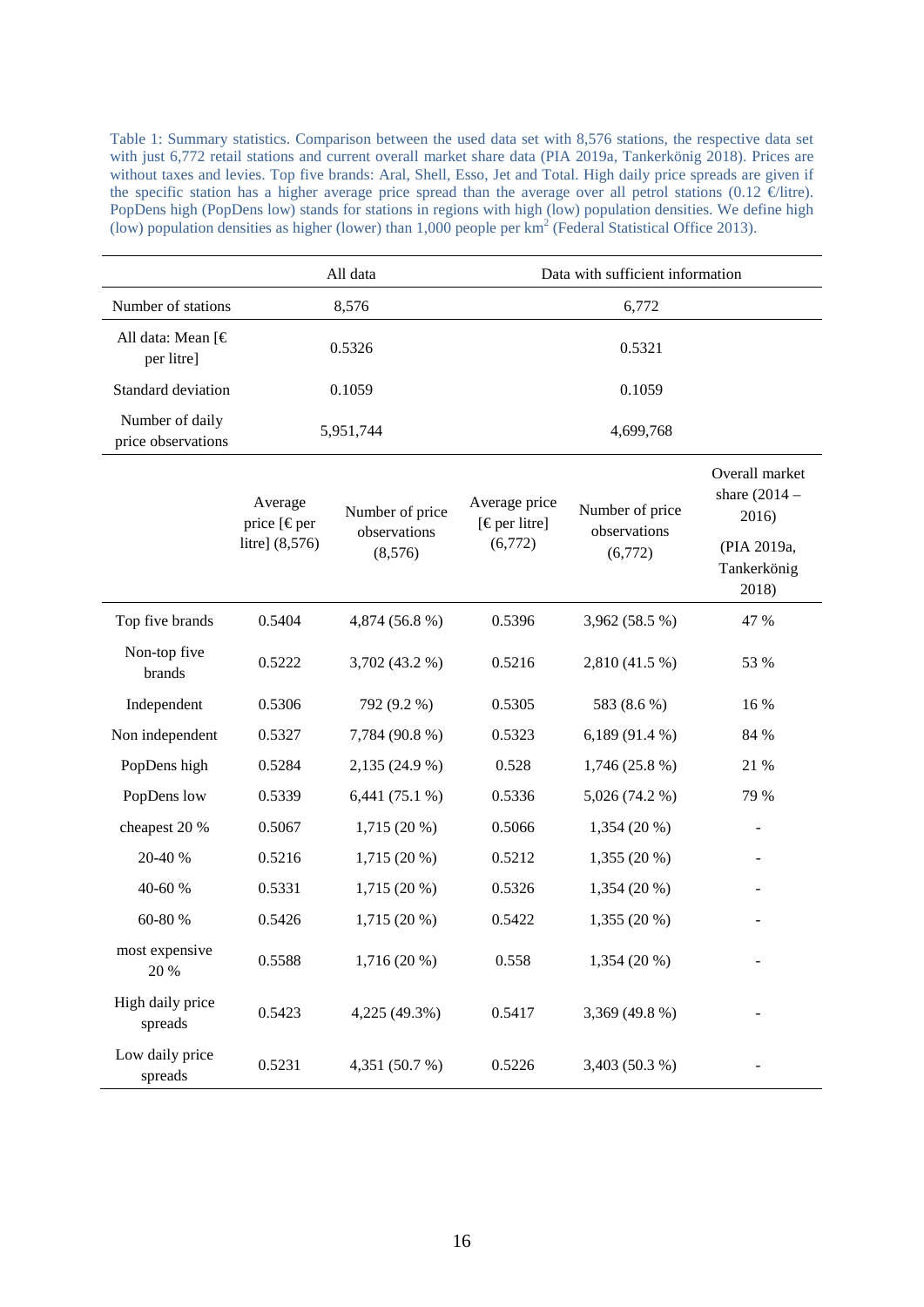Table 1: Summary statistics. Comparison between the used data set with 8,576 stations, the respective data set with just 6,772 retail stations and current overall market share data (PIA 2019a, Tankerkönig 2018). Prices are without taxes and levies. Top five brands: Aral, Shell, Esso, Jet and Total. High daily price spreads are given if the specific station has a higher average price spread than the average over all petrol stations (0.12  $\in$ litre). PopDens high (PopDens low) stands for stations in regions with high (low) population densities. We define high (low) population densities as higher (lower) than 1,000 people per  $km^2$  (Federal Statistical Office 2013).

|                                       |                                            | All data                        |                                                  | Data with sufficient information |                                                           |
|---------------------------------------|--------------------------------------------|---------------------------------|--------------------------------------------------|----------------------------------|-----------------------------------------------------------|
| Number of stations                    |                                            | 8,576                           |                                                  | 6,772                            |                                                           |
| All data: Mean [€<br>per litre]       |                                            | 0.5326                          |                                                  | 0.5321                           |                                                           |
| Standard deviation                    |                                            | 0.1059                          |                                                  | 0.1059                           |                                                           |
| Number of daily<br>price observations |                                            | 5,951,744                       | 4,699,768                                        |                                  |                                                           |
|                                       | Average<br>price [€per<br>litre] $(8,576)$ | Number of price<br>observations | Average price<br>$[$ $\in$ per litre]<br>(6,772) | Number of price<br>observations  | Overall market<br>share $(2014 -$<br>2016)<br>(PIA 2019a, |
|                                       |                                            | (8,576)                         |                                                  | (6,772)                          | Tankerkönig<br>2018)                                      |
| Top five brands                       | 0.5404                                     | 4,874 (56.8 %)                  | 0.5396                                           | 3,962 (58.5 %)                   | 47 %                                                      |
| Non-top five<br>brands                | 0.5222                                     | 3,702 (43.2 %)                  | 0.5216                                           | 2,810 (41.5 %)                   | 53 %                                                      |
| Independent                           | 0.5306                                     | 792 (9.2 %)                     | 0.5305                                           | 583 (8.6 %)                      | 16 %                                                      |
| Non independent                       | 0.5327                                     | 7,784 (90.8 %)                  | 0.5323                                           | 6,189 (91.4 %)                   | 84 %                                                      |
| PopDens high                          | 0.5284                                     | 2,135 (24.9 %)                  | 0.528                                            | 1,746(25.8%)                     | 21 %                                                      |
| PopDens low                           | 0.5339                                     | 6,441 (75.1 %)                  | 0.5336                                           | 5,026 (74.2 %)                   | 79 %                                                      |
| cheapest 20 %                         | 0.5067                                     | 1,715 (20 %)                    | 0.5066                                           | 1,354 (20 %)                     |                                                           |
| 20-40 %                               | 0.5216                                     | 1,715 (20 %)                    | 0.5212                                           | $1,355(20\%)$                    |                                                           |
| 40-60 %                               | 0.5331                                     | 1,715 (20 %)                    | 0.5326                                           | 1,354 (20 %)                     |                                                           |
| 60-80 %                               | 0.5426                                     | 1,715 (20 %)                    | 0.5422                                           | 1,355 (20 %)                     |                                                           |
| most expensive<br>20 %                | 0.5588                                     | 1,716 (20 %)                    | 0.558                                            | 1,354 (20 %)                     |                                                           |
| High daily price<br>spreads           | 0.5423                                     | 4,225 (49.3%)                   | 0.5417                                           | 3,369 (49.8 %)                   |                                                           |
| Low daily price<br>spreads            | 0.5231                                     | 4,351 (50.7 %)                  | 0.5226                                           | 3,403 (50.3 %)                   |                                                           |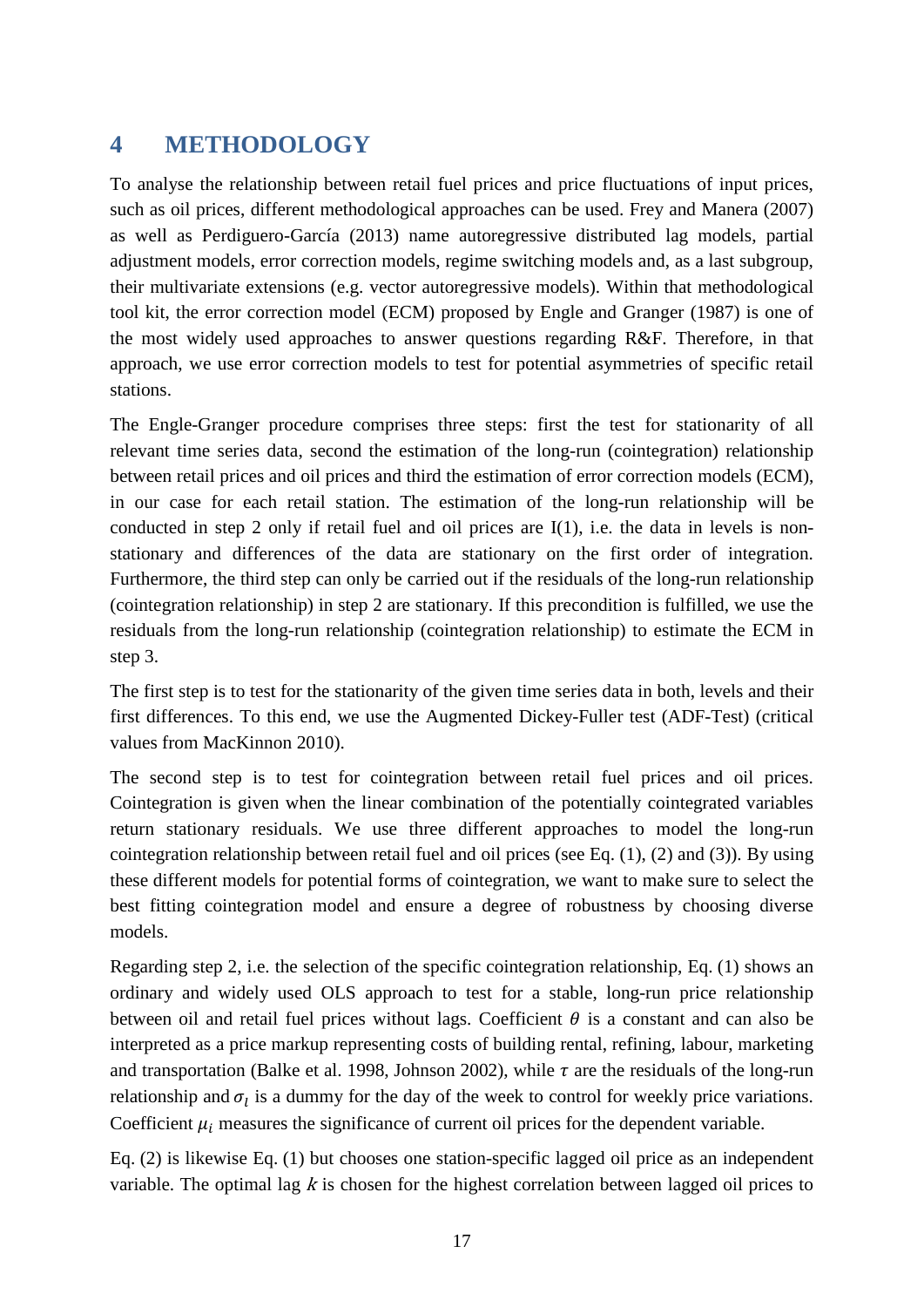## <span id="page-16-0"></span>**4 METHODOLOGY**

To analyse the relationship between retail fuel prices and price fluctuations of input prices, such as oil prices, different methodological approaches can be used. Frey and Manera (2007) as well as Perdiguero-García (2013) name autoregressive distributed lag models, partial adjustment models, error correction models, regime switching models and, as a last subgroup, their multivariate extensions (e.g. vector autoregressive models). Within that methodological tool kit, the error correction model (ECM) proposed by Engle and Granger (1987) is one of the most widely used approaches to answer questions regarding R&F. Therefore, in that approach, we use error correction models to test for potential asymmetries of specific retail stations.

The Engle-Granger procedure comprises three steps: first the test for stationarity of all relevant time series data, second the estimation of the long-run (cointegration) relationship between retail prices and oil prices and third the estimation of error correction models (ECM), in our case for each retail station. The estimation of the long-run relationship will be conducted in step 2 only if retail fuel and oil prices are I(1), i.e. the data in levels is nonstationary and differences of the data are stationary on the first order of integration. Furthermore, the third step can only be carried out if the residuals of the long-run relationship (cointegration relationship) in step 2 are stationary. If this precondition is fulfilled, we use the residuals from the long-run relationship (cointegration relationship) to estimate the ECM in step 3.

The first step is to test for the stationarity of the given time series data in both, levels and their first differences. To this end, we use the Augmented Dickey-Fuller test (ADF-Test) (critical values from MacKinnon 2010).

The second step is to test for cointegration between retail fuel prices and oil prices. Cointegration is given when the linear combination of the potentially cointegrated variables return stationary residuals. We use three different approaches to model the long-run cointegration relationship between retail fuel and oil prices (see Eq. (1), (2) and (3)). By using these different models for potential forms of cointegration, we want to make sure to select the best fitting cointegration model and ensure a degree of robustness by choosing diverse models.

Regarding step 2, i.e. the selection of the specific cointegration relationship, Eq. (1) shows an ordinary and widely used OLS approach to test for a stable, long-run price relationship between oil and retail fuel prices without lags. Coefficient  $\theta$  is a constant and can also be interpreted as a price markup representing costs of building rental, refining, labour, marketing and transportation (Balke et al. 1998, Johnson 2002), while  $\tau$  are the residuals of the long-run relationship and  $\sigma_l$  is a dummy for the day of the week to control for weekly price variations. Coefficient  $\mu_i$  measures the significance of current oil prices for the dependent variable.

Eq. (2) is likewise Eq. (1) but chooses one station-specific lagged oil price as an independent variable. The optimal lag  $k$  is chosen for the highest correlation between lagged oil prices to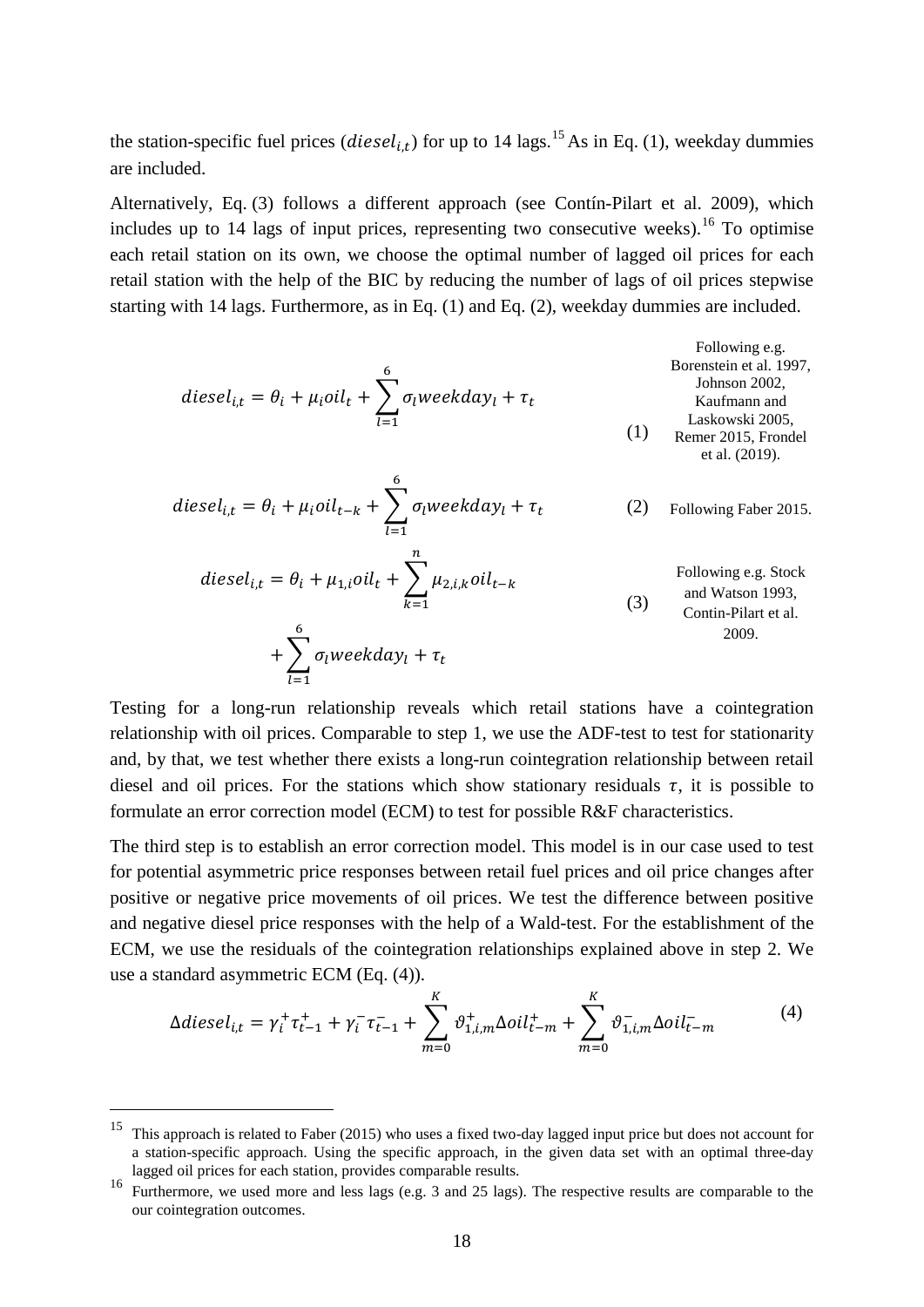the station-specific fuel prices ( $diesel_{it}$ ) for up to 14 lags.<sup>[15](#page-17-0)</sup> As in Eq. (1), weekday dummies are included.

Alternatively, Eq. (3) follows a different approach (see Contín-Pilart et al. 2009), which includes up to  $14$  lags of input prices, representing two consecutive weeks).<sup>[16](#page-17-1)</sup> To optimise each retail station on its own, we choose the optimal number of lagged oil prices for each retail station with the help of the BIC by reducing the number of lags of oil prices stepwise starting with 14 lags. Furthermore, as in Eq. (1) and Eq. (2), weekday dummies are included.

\n
$$
diesel_{i,t} = \theta_i + \mu_i oil_t + \sum_{l=1}^{6} \sigma_l weekday_l + \tau_t
$$
\n

\n\n
$$
f_{\text{Johnson 2002, Konfunann and Laskowski 2005, Konf (1) Konf (2019).} \quad f_{\text{Eemer 2015, Frondel}
$$
\n

\n\n
$$
f_{\text{Eemer 2015, Frondel}}
$$
\n

\n\n
$$
f_{\text{Eemer 2015, Frondel}}
$$
\n

\n\n
$$
f_{\text{Eemer 2015, Frondel}}
$$
\n

$$
diesel_{i,t} = \theta_i + \mu_i oil_{t-k} + \sum_{l=1}^{6} \sigma_l weekday_l + \tau_t
$$
 (2) Following Faber 2015.

$$
diesel_{i,t} = \theta_i + \mu_{1,i}oil_t + \sum_{k=1}^{n} \mu_{2,i,k} oil_{t-k}
$$
  
Following e.g. Stock  
and Watson 1993,  
Contin-Plart et al.  
2009.  
(3) *Following e.g. Stock  
anti-Plart et al.*  
2009.

Testing for a long-run relationship reveals which retail stations have a cointegration relationship with oil prices. Comparable to step 1, we use the ADF-test to test for stationarity and, by that, we test whether there exists a long-run cointegration relationship between retail diesel and oil prices. For the stations which show stationary residuals  $\tau$ , it is possible to formulate an error correction model (ECM) to test for possible R&F characteristics.

The third step is to establish an error correction model. This model is in our case used to test for potential asymmetric price responses between retail fuel prices and oil price changes after positive or negative price movements of oil prices. We test the difference between positive and negative diesel price responses with the help of a Wald-test. For the establishment of the ECM, we use the residuals of the cointegration relationships explained above in step 2. We use a standard asymmetric ECM (Eq. (4)).

$$
\Delta diesel_{i,t} = \gamma_i^+ \tau_{t-1}^+ + \gamma_i^- \tau_{t-1}^- + \sum_{m=0}^K \vartheta_{1,i,m}^+ \Delta oil_{t-m}^+ + \sum_{m=0}^K \vartheta_{1,i,m}^- \Delta oil_{t-m}^- \tag{4}
$$

<span id="page-17-0"></span><sup>&</sup>lt;sup>15</sup> This approach is related to Faber (2015) who uses a fixed two-day lagged input price but does not account for a station-specific approach. Using the specific approach, in the given data set with an optimal three-day lagged oil prices for each station, provides comparable results.

<span id="page-17-1"></span>lagged oil prices for each station, provides comparable results. <sup>16</sup> Furthermore, we used more and less lags (e.g. 3 and 25 lags). The respective results are comparable to the our cointegration outcomes.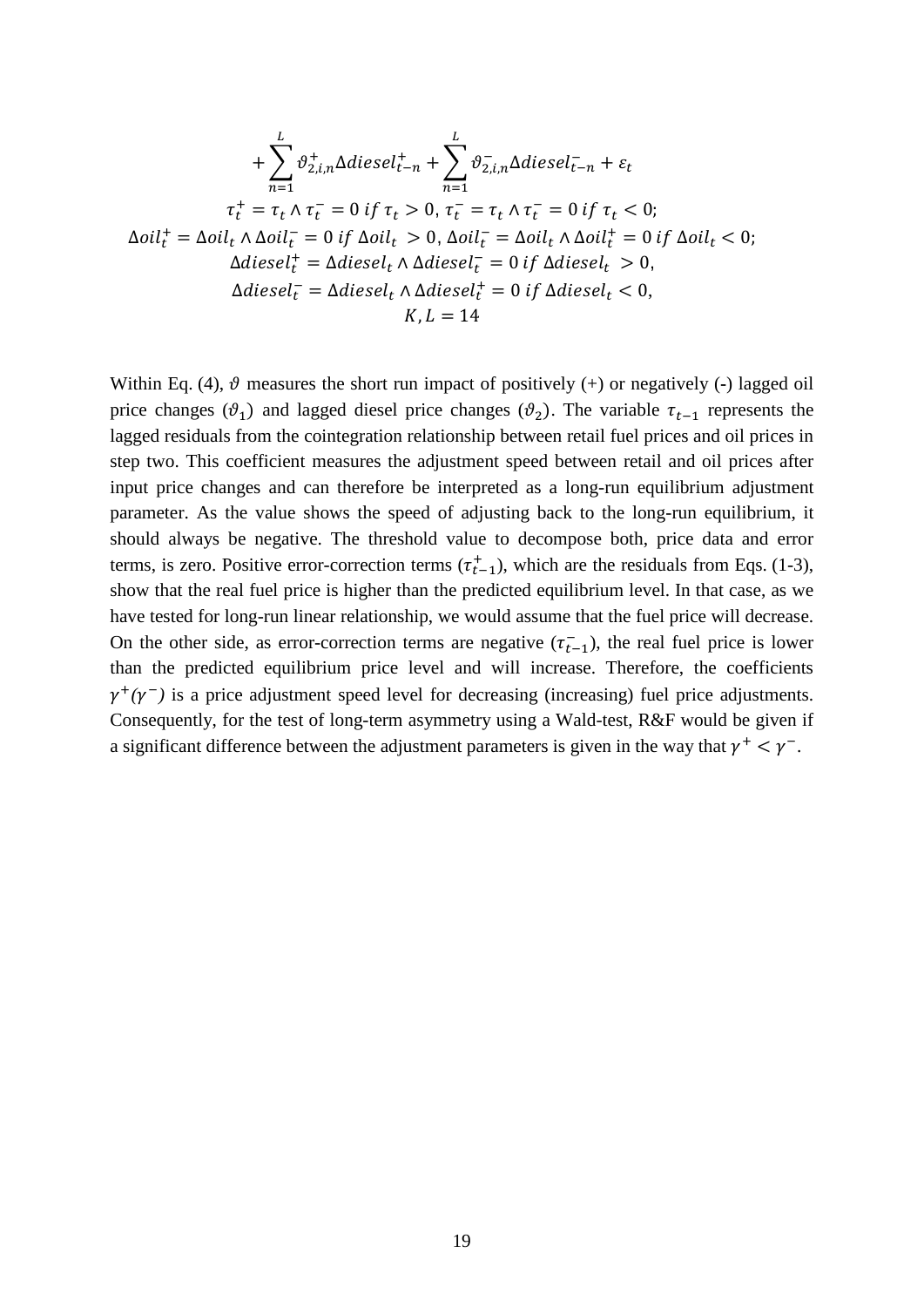$$
+\sum_{n=1}^{L} \vartheta_{2,i,n}^{+} \Delta diesel_{t-n}^{+} + \sum_{n=1}^{L} \vartheta_{2,i,n}^{-} \Delta diesel_{t-n}^{-} + \varepsilon_{t}
$$
  
\n
$$
\tau_{t}^{+} = \tau_{t} \wedge \tau_{t}^{-} = 0 \text{ if } \tau_{t} > 0, \tau_{t}^{-} = \tau_{t} \wedge \tau_{t}^{-} = 0 \text{ if } \tau_{t} < 0;
$$
  
\n
$$
\Delta oil_{t}^{+} = \Delta oil_{t} \wedge \Delta oil_{t}^{-} = 0 \text{ if } \Delta oil_{t} > 0, \Delta oil_{t}^{-} = \Delta oil_{t} \wedge \Delta oil_{t}^{+} = 0 \text{ if } \Delta oil_{t} < 0;
$$
  
\n
$$
\Delta diesel_{t}^{+} = \Delta diesel_{t} \wedge \Delta diesel_{t}^{+} = 0 \text{ if } \Delta diesel_{t} > 0,
$$
  
\n
$$
\Delta diesel_{t}^{-} = \Delta diesel_{t} \wedge \Delta diesel_{t}^{+} = 0 \text{ if } \Delta diesel_{t} < 0,
$$
  
\n
$$
K, L = 14
$$

Within Eq. (4),  $\vartheta$  measures the short run impact of positively (+) or negatively (-) lagged oil price changes ( $\vartheta_1$ ) and lagged diesel price changes ( $\vartheta_2$ ). The variable  $\tau_{t-1}$  represents the lagged residuals from the cointegration relationship between retail fuel prices and oil prices in step two. This coefficient measures the adjustment speed between retail and oil prices after input price changes and can therefore be interpreted as a long-run equilibrium adjustment parameter. As the value shows the speed of adjusting back to the long-run equilibrium, it should always be negative. The threshold value to decompose both, price data and error terms, is zero. Positive error-correction terms  $(\tau_{t-1}^+)$ , which are the residuals from Eqs. (1-3), show that the real fuel price is higher than the predicted equilibrium level. In that case, as we have tested for long-run linear relationship, we would assume that the fuel price will decrease. On the other side, as error-correction terms are negative  $(\tau_{t-1})$ , the real fuel price is lower than the predicted equilibrium price level and will increase. Therefore, the coefficients  $\gamma^+(\gamma^-)$  is a price adjustment speed level for decreasing (increasing) fuel price adjustments. Consequently, for the test of long-term asymmetry using a Wald-test, R&F would be given if a significant difference between the adjustment parameters is given in the way that  $\gamma^+ < \gamma^-$ .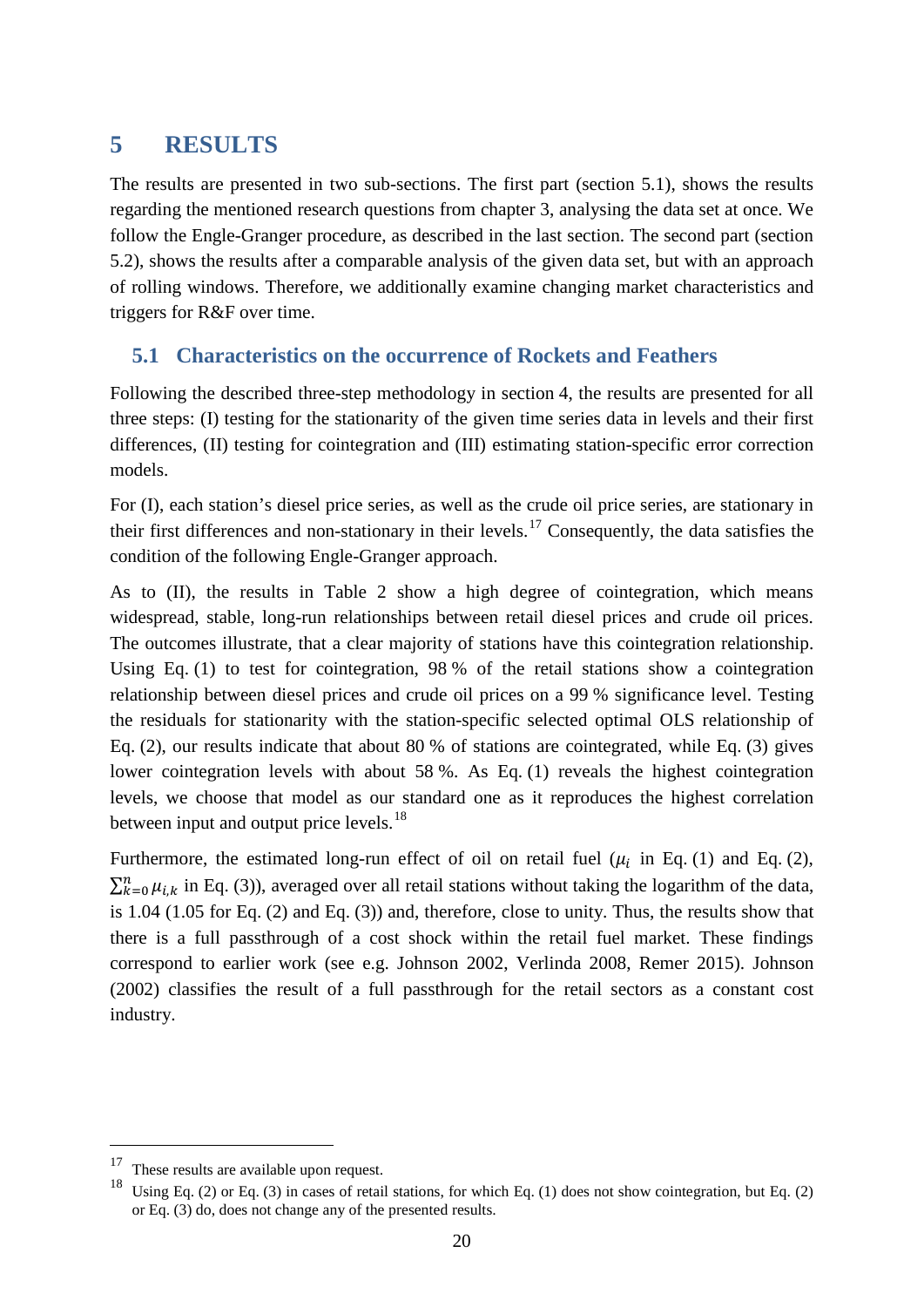## <span id="page-19-0"></span>**5 RESULTS**

The results are presented in two sub-sections. The first part (section [5.1\)](#page-19-1), shows the results regarding the mentioned research questions from chapter [3,](#page-12-0) analysing the data set at once. We follow the Engle-Granger procedure, as described in the last section. The second part (section [5.2\)](#page-23-0), shows the results after a comparable analysis of the given data set, but with an approach of rolling windows. Therefore, we additionally examine changing market characteristics and triggers for R&F over time.

#### <span id="page-19-1"></span>**5.1 Characteristics on the occurrence of Rockets and Feathers**

Following the described three-step methodology in section [4,](#page-16-0) the results are presented for all three steps: (I) testing for the stationarity of the given time series data in levels and their first differences, (II) testing for cointegration and (III) estimating station-specific error correction models.

For (I), each station's diesel price series, as well as the crude oil price series, are stationary in their first differences and non-stationary in their levels.<sup>[17](#page-19-2)</sup> Consequently, the data satisfies the condition of the following Engle-Granger approach.

As to (II), the results in [Table 2](#page-20-0) show a high degree of cointegration, which means widespread, stable, long-run relationships between retail diesel prices and crude oil prices. The outcomes illustrate, that a clear majority of stations have this cointegration relationship. Using Eq. (1) to test for cointegration, 98 % of the retail stations show a cointegration relationship between diesel prices and crude oil prices on a 99 % significance level. Testing the residuals for stationarity with the station-specific selected optimal OLS relationship of Eq. (2), our results indicate that about 80 % of stations are cointegrated, while Eq. (3) gives lower cointegration levels with about 58 %. As Eq. (1) reveals the highest cointegration levels, we choose that model as our standard one as it reproduces the highest correlation between input and output price levels.<sup>[18](#page-19-3)</sup>

Furthermore, the estimated long-run effect of oil on retail fuel ( $\mu_i$  in Eq. (1) and Eq. (2),  $\sum_{k=0}^{n} \mu_{i,k}$  in Eq. (3)), averaged over all retail stations without taking the logarithm of the data, is 1.04 (1.05 for Eq. (2) and Eq. (3)) and, therefore, close to unity. Thus, the results show that there is a full passthrough of a cost shock within the retail fuel market. These findings correspond to earlier work (see e.g. Johnson 2002, Verlinda 2008, Remer 2015). Johnson (2002) classifies the result of a full passthrough for the retail sectors as a constant cost industry.

<span id="page-19-2"></span><sup>&</sup>lt;sup>17</sup> These results are available upon request.

<span id="page-19-3"></span> $18$  Using Eq. (2) or Eq. (3) in cases of retail stations, for which Eq. (1) does not show cointegration, but Eq. (2) or Eq. (3) do, does not change any of the presented results.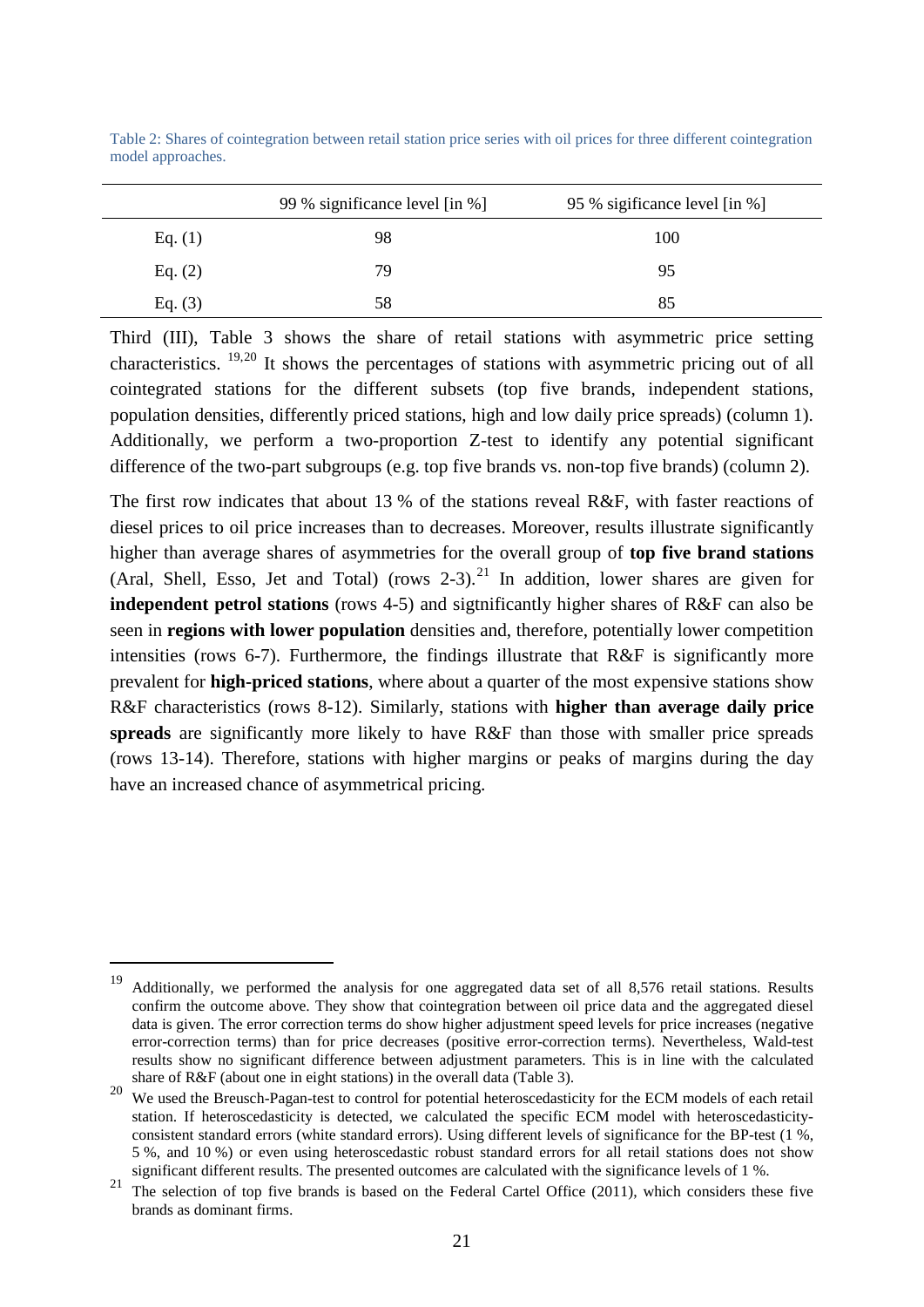|           | 99 % significance level [in %] | 95 % sigificance level [in %] |
|-----------|--------------------------------|-------------------------------|
| Eq. $(1)$ | 98                             | 100                           |
| Eq. $(2)$ | 79                             | 95                            |
| Eq. $(3)$ | 58                             | 85                            |

<span id="page-20-0"></span>Table 2: Shares of cointegration between retail station price series with oil prices for three different cointegration model approaches.

Third (III), [Table 3](#page-21-0) shows the share of retail stations with asymmetric price setting characteristics. [19,](#page-20-1)[20](#page-20-2) It shows the percentages of stations with asymmetric pricing out of all cointegrated stations for the different subsets (top five brands, independent stations, population densities, differently priced stations, high and low daily price spreads) (column 1). Additionally, we perform a two-proportion Z-test to identify any potential significant difference of the two-part subgroups (e.g. top five brands vs. non-top five brands) (column 2).

The first row indicates that about 13 % of the stations reveal R&F, with faster reactions of diesel prices to oil price increases than to decreases. Moreover, results illustrate significantly higher than average shares of asymmetries for the overall group of **top five brand stations** (Aral, Shell, Esso, Jet and Total) (rows  $2-3$ ).<sup>[21](#page-20-3)</sup> In addition, lower shares are given for **independent petrol stations** (rows 4-5) and sigtnificantly higher shares of R&F can also be seen in **regions with lower population** densities and, therefore, potentially lower competition intensities (rows 6-7). Furthermore, the findings illustrate that R&F is significantly more prevalent for **high-priced stations**, where about a quarter of the most expensive stations show R&F characteristics (rows 8-12). Similarly, stations with **higher than average daily price spreads** are significantly more likely to have R&F than those with smaller price spreads (rows 13-14). Therefore, stations with higher margins or peaks of margins during the day have an increased chance of asymmetrical pricing.

<span id="page-20-1"></span><sup>&</sup>lt;sup>19</sup> Additionally, we performed the analysis for one aggregated data set of all 8,576 retail stations. Results confirm the outcome above. They show that cointegration between oil price data and the aggregated diesel data is given. The error correction terms do show higher adjustment speed levels for price increases (negative error-correction terms) than for price decreases (positive error-correction terms). Nevertheless, Wald-test results show no significant difference between adjustment parameters. This is in line with the calculated share of R&F (about one in eight stations) in the overall data (Table 3).

<span id="page-20-2"></span><sup>&</sup>lt;sup>20</sup> We used the Breusch-Pagan-test to control for potential heteroscedasticity for the ECM models of each retail station. If heteroscedasticity is detected, we calculated the specific ECM model with heteroscedasticityconsistent standard errors (white standard errors). Using different levels of significance for the BP-test (1 %, 5 %, and 10 %) or even using heteroscedastic robust standard errors for all retail stations does not show significant different results. The presented outcomes are calculated with the significance levels of 1 %.

<span id="page-20-3"></span><sup>&</sup>lt;sup>21</sup> The selection of top five brands is based on the Federal Cartel Office (2011), which considers these five brands as dominant firms.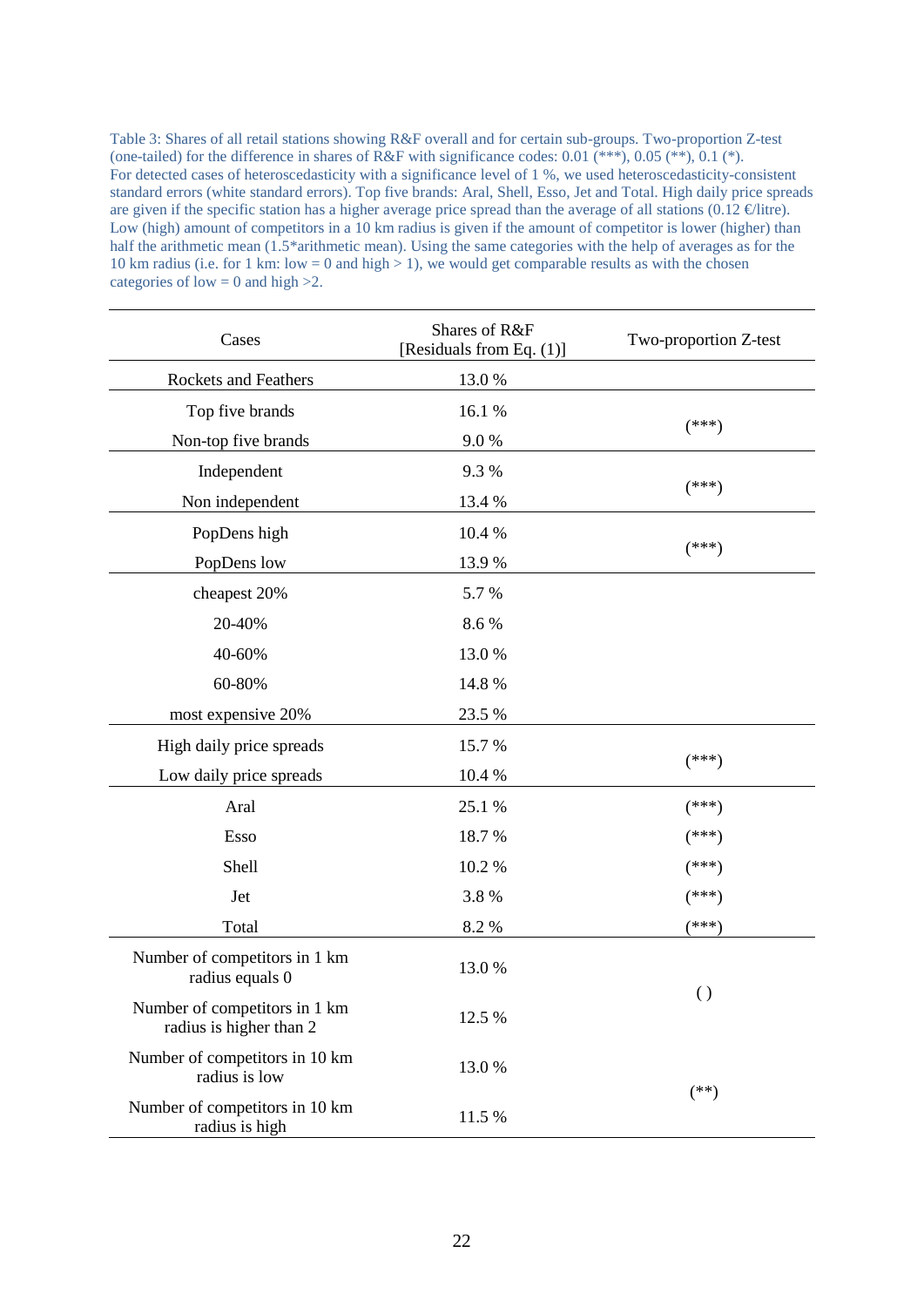<span id="page-21-0"></span>Table 3: Shares of all retail stations showing R&F overall and for certain sub-groups. Two-proportion Z-test (one-tailed) for the difference in shares of R&F with significance codes:  $0.01$  (\*\*\*),  $0.05$  (\*\*),  $0.1$  (\*). For detected cases of heteroscedasticity with a significance level of 1 %, we used heteroscedasticity-consistent standard errors (white standard errors). Top five brands: Aral, Shell, Esso, Jet and Total. High daily price spreads are given if the specific station has a higher average price spread than the average of all stations (0.12  $\epsilon$ litre). Low (high) amount of competitors in a 10 km radius is given if the amount of competitor is lower (higher) than half the arithmetic mean (1.5\*arithmetic mean). Using the same categories with the help of averages as for the 10 km radius (i.e. for 1 km: low = 0 and high > 1), we would get comparable results as with the chosen categories of  $\text{low} = 0$  and high  $>2$ .

| Cases                                                                                                                                                                                                                                                                                                                                                                                                                   | Shares of R&F<br>[Residuals from Eq. (1)] | Two-proportion Z-test |
|-------------------------------------------------------------------------------------------------------------------------------------------------------------------------------------------------------------------------------------------------------------------------------------------------------------------------------------------------------------------------------------------------------------------------|-------------------------------------------|-----------------------|
| Rockets and Feathers                                                                                                                                                                                                                                                                                                                                                                                                    | 13.0%                                     |                       |
| Top five brands                                                                                                                                                                                                                                                                                                                                                                                                         | 16.1 %                                    |                       |
| Non-top five brands                                                                                                                                                                                                                                                                                                                                                                                                     | 9.0%                                      | $(***)$               |
| Independent                                                                                                                                                                                                                                                                                                                                                                                                             | 9.3%                                      |                       |
| Non independent<br>PopDens high<br>PopDens low<br>cheapest 20%<br>20-40%<br>40-60%<br>60-80%<br>most expensive 20%<br>High daily price spreads<br>Low daily price spreads<br>Aral<br>Esso<br>Shell<br>Jet<br>Total<br>Number of competitors in 1 km<br>radius equals 0<br>Number of competitors in 1 km<br>radius is higher than 2<br>Number of competitors in 10 km<br>radius is low<br>Number of competitors in 10 km | 13.4 %                                    | $(***)$               |
|                                                                                                                                                                                                                                                                                                                                                                                                                         | 10.4 %                                    |                       |
|                                                                                                                                                                                                                                                                                                                                                                                                                         | 13.9%                                     | $(***)$               |
|                                                                                                                                                                                                                                                                                                                                                                                                                         | 5.7%                                      |                       |
|                                                                                                                                                                                                                                                                                                                                                                                                                         | 8.6%                                      |                       |
|                                                                                                                                                                                                                                                                                                                                                                                                                         | 13.0%                                     |                       |
|                                                                                                                                                                                                                                                                                                                                                                                                                         | 14.8%                                     |                       |
|                                                                                                                                                                                                                                                                                                                                                                                                                         | 23.5 %                                    |                       |
|                                                                                                                                                                                                                                                                                                                                                                                                                         | 15.7%                                     |                       |
|                                                                                                                                                                                                                                                                                                                                                                                                                         | 10.4 %                                    | $(***)$               |
|                                                                                                                                                                                                                                                                                                                                                                                                                         | 25.1 %                                    | $(***)$               |
|                                                                                                                                                                                                                                                                                                                                                                                                                         | 18.7%                                     | $(***)$               |
|                                                                                                                                                                                                                                                                                                                                                                                                                         | 10.2 %                                    | $(***)$               |
|                                                                                                                                                                                                                                                                                                                                                                                                                         | 3.8%                                      | $(***)$               |
|                                                                                                                                                                                                                                                                                                                                                                                                                         | 8.2%                                      | $(***)$               |
|                                                                                                                                                                                                                                                                                                                                                                                                                         | 13.0%                                     |                       |
|                                                                                                                                                                                                                                                                                                                                                                                                                         | 12.5 %                                    | $\left( \ \right)$    |
|                                                                                                                                                                                                                                                                                                                                                                                                                         | 13.0%                                     |                       |
| radius is high                                                                                                                                                                                                                                                                                                                                                                                                          | 11.5 %                                    | $(**)$                |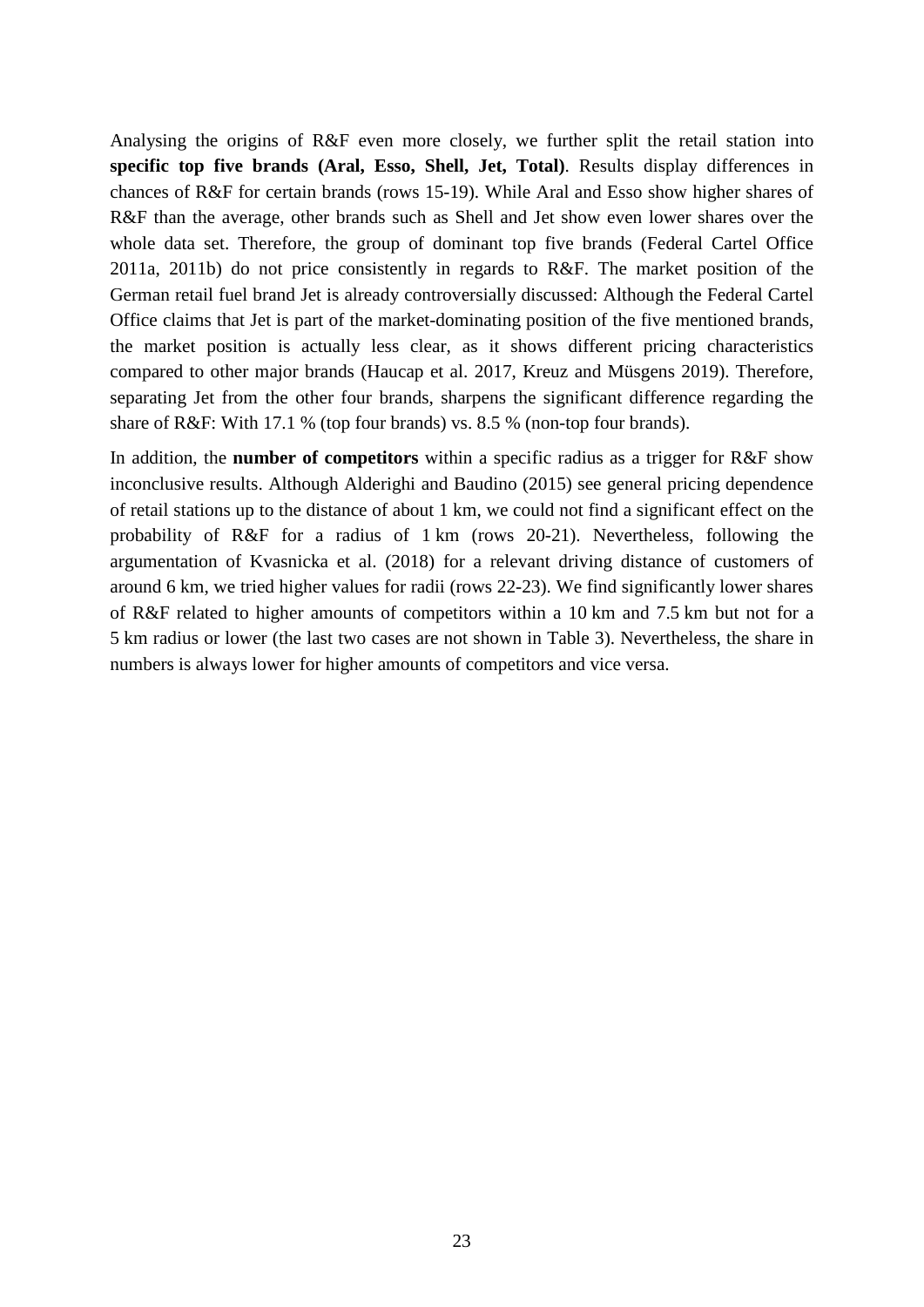Analysing the origins of R&F even more closely, we further split the retail station into **specific top five brands (Aral, Esso, Shell, Jet, Total)**. Results display differences in chances of R&F for certain brands (rows 15-19). While Aral and Esso show higher shares of R&F than the average, other brands such as Shell and Jet show even lower shares over the whole data set. Therefore, the group of dominant top five brands (Federal Cartel Office 2011a, 2011b) do not price consistently in regards to R&F. The market position of the German retail fuel brand Jet is already controversially discussed: Although the Federal Cartel Office claims that Jet is part of the market-dominating position of the five mentioned brands, the market position is actually less clear, as it shows different pricing characteristics compared to other major brands (Haucap et al. 2017, Kreuz and Müsgens 2019). Therefore, separating Jet from the other four brands, sharpens the significant difference regarding the share of R&F: With 17.1 % (top four brands) vs. 8.5 % (non-top four brands).

In addition, the **number of competitors** within a specific radius as a trigger for R&F show inconclusive results. Although Alderighi and Baudino (2015) see general pricing dependence of retail stations up to the distance of about 1 km, we could not find a significant effect on the probability of R&F for a radius of 1 km (rows 20-21). Nevertheless, following the argumentation of Kvasnicka et al. (2018) for a relevant driving distance of customers of around 6 km, we tried higher values for radii (rows 22-23). We find significantly lower shares of R&F related to higher amounts of competitors within a 10 km and 7.5 km but not for a 5 km radius or lower (the last two cases are not shown in [Table 3\)](#page-21-0). Nevertheless, the share in numbers is always lower for higher amounts of competitors and vice versa.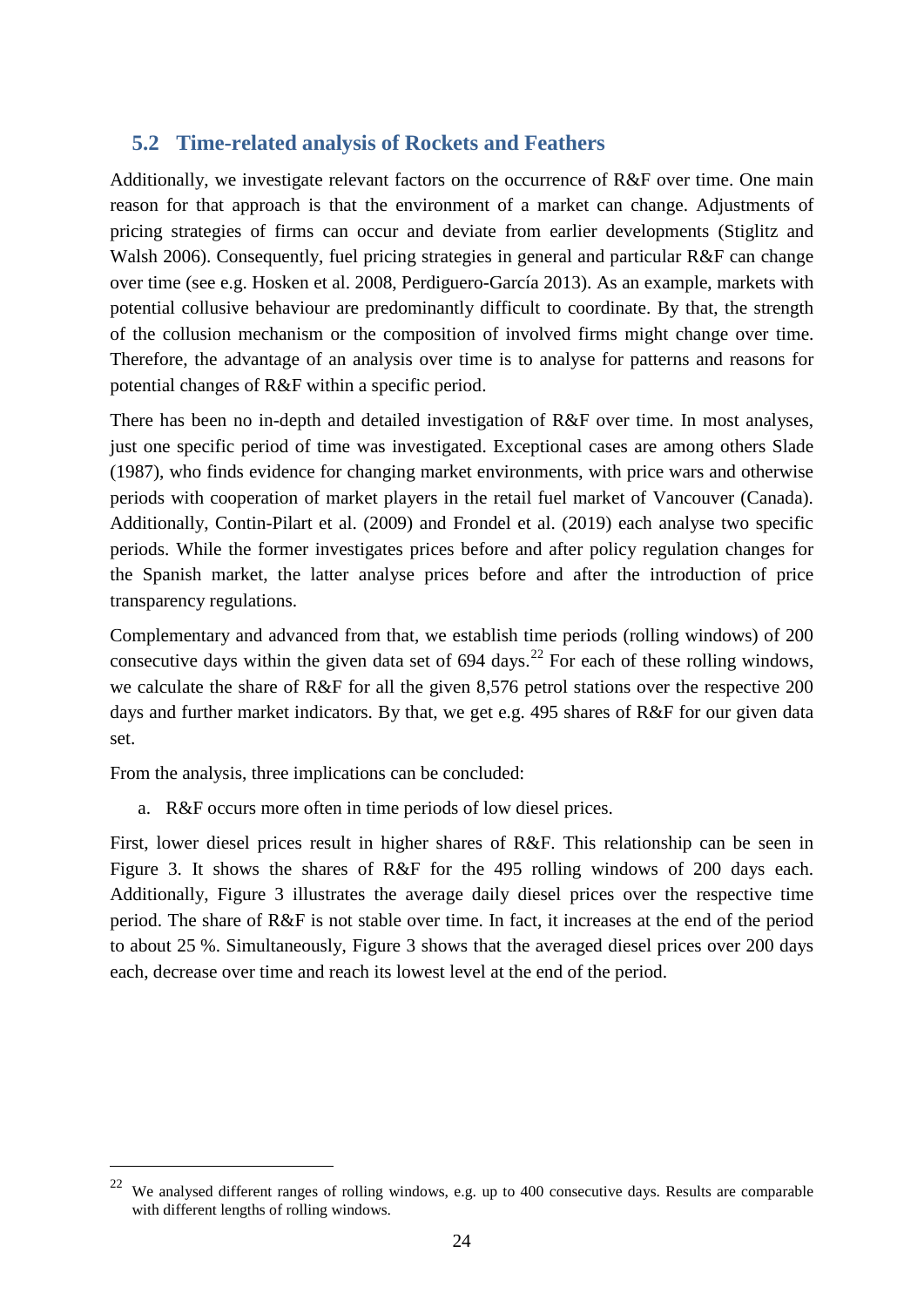#### <span id="page-23-0"></span>**5.2 Time-related analysis of Rockets and Feathers**

Additionally, we investigate relevant factors on the occurrence of R&F over time. One main reason for that approach is that the environment of a market can change. Adjustments of pricing strategies of firms can occur and deviate from earlier developments (Stiglitz and Walsh 2006). Consequently, fuel pricing strategies in general and particular R&F can change over time (see e.g. Hosken et al. 2008, Perdiguero-García 2013). As an example, markets with potential collusive behaviour are predominantly difficult to coordinate. By that, the strength of the collusion mechanism or the composition of involved firms might change over time. Therefore, the advantage of an analysis over time is to analyse for patterns and reasons for potential changes of R&F within a specific period.

There has been no in-depth and detailed investigation of R&F over time. In most analyses, just one specific period of time was investigated. Exceptional cases are among others Slade (1987), who finds evidence for changing market environments, with price wars and otherwise periods with cooperation of market players in the retail fuel market of Vancouver (Canada). Additionally, Contin-Pilart et al. (2009) and Frondel et al. (2019) each analyse two specific periods. While the former investigates prices before and after policy regulation changes for the Spanish market, the latter analyse prices before and after the introduction of price transparency regulations.

Complementary and advanced from that, we establish time periods (rolling windows) of 200 consecutive days within the given data set of  $694$  days.<sup>[22](#page-23-1)</sup> For each of these rolling windows, we calculate the share of R&F for all the given 8,576 petrol stations over the respective 200 days and further market indicators. By that, we get e.g. 495 shares of R&F for our given data set.

From the analysis, three implications can be concluded:

a. R&F occurs more often in time periods of low diesel prices.

First, lower diesel prices result in higher shares of R&F. This relationship can be seen in [Figure 3.](#page-24-0) It shows the shares of R&F for the 495 rolling windows of 200 days each. Additionally, [Figure 3](#page-24-0) illustrates the average daily diesel prices over the respective time period. The share of R&F is not stable over time. In fact, it increases at the end of the period to about 25 %. Simultaneously, [Figure 3](#page-24-0) shows that the averaged diesel prices over 200 days each, decrease over time and reach its lowest level at the end of the period.

<span id="page-23-1"></span> <sup>22</sup> We analysed different ranges of rolling windows, e.g. up to 400 consecutive days. Results are comparable with different lengths of rolling windows.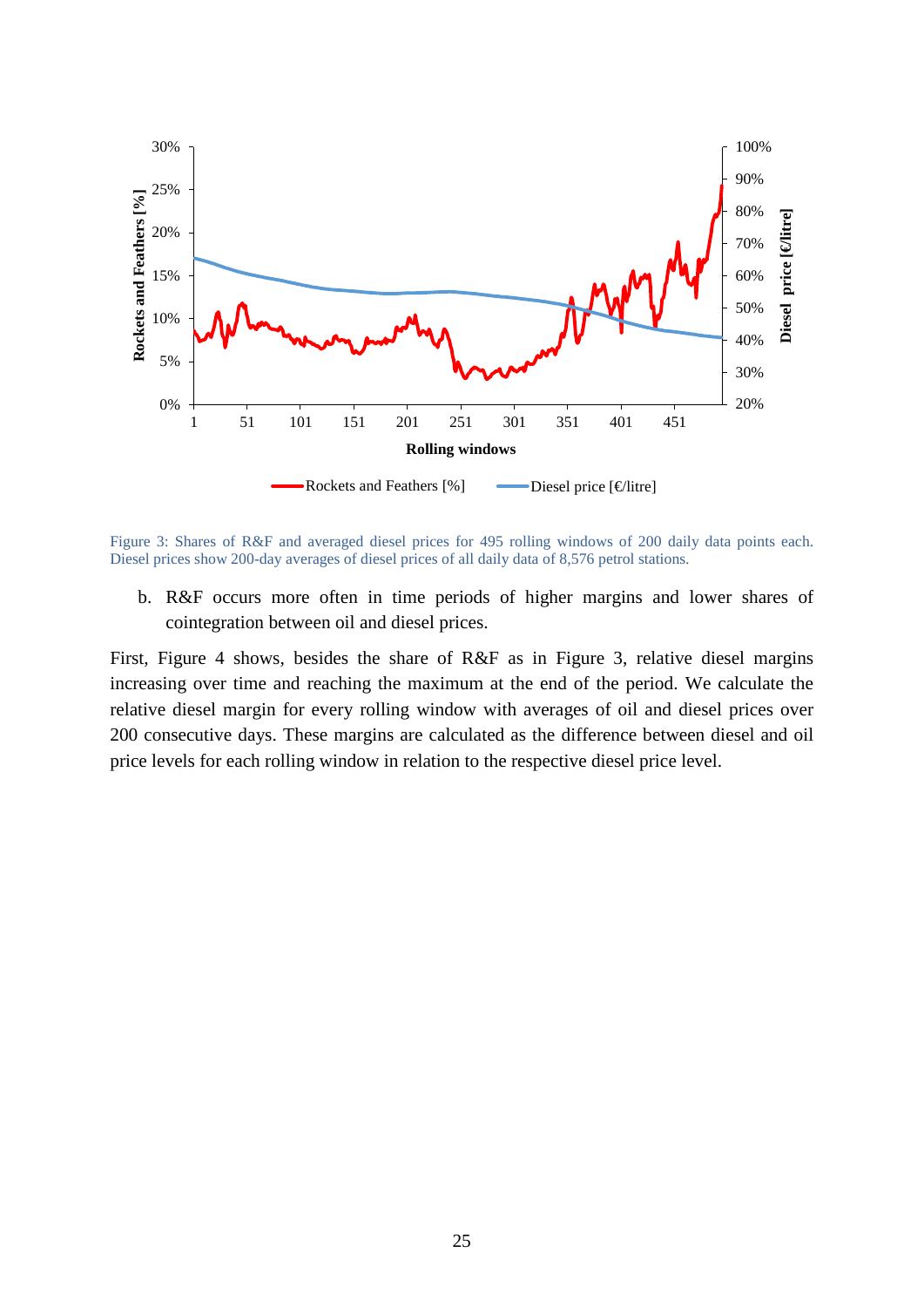

<span id="page-24-0"></span>Figure 3: Shares of R&F and averaged diesel prices for 495 rolling windows of 200 daily data points each. Diesel prices show 200-day averages of diesel prices of all daily data of 8,576 petrol stations.

b. R&F occurs more often in time periods of higher margins and lower shares of cointegration between oil and diesel prices.

First, [Figure 4](#page-25-0) shows, besides the share of R&F as in [Figure 3,](#page-24-0) relative diesel margins increasing over time and reaching the maximum at the end of the period. We calculate the relative diesel margin for every rolling window with averages of oil and diesel prices over 200 consecutive days. These margins are calculated as the difference between diesel and oil price levels for each rolling window in relation to the respective diesel price level.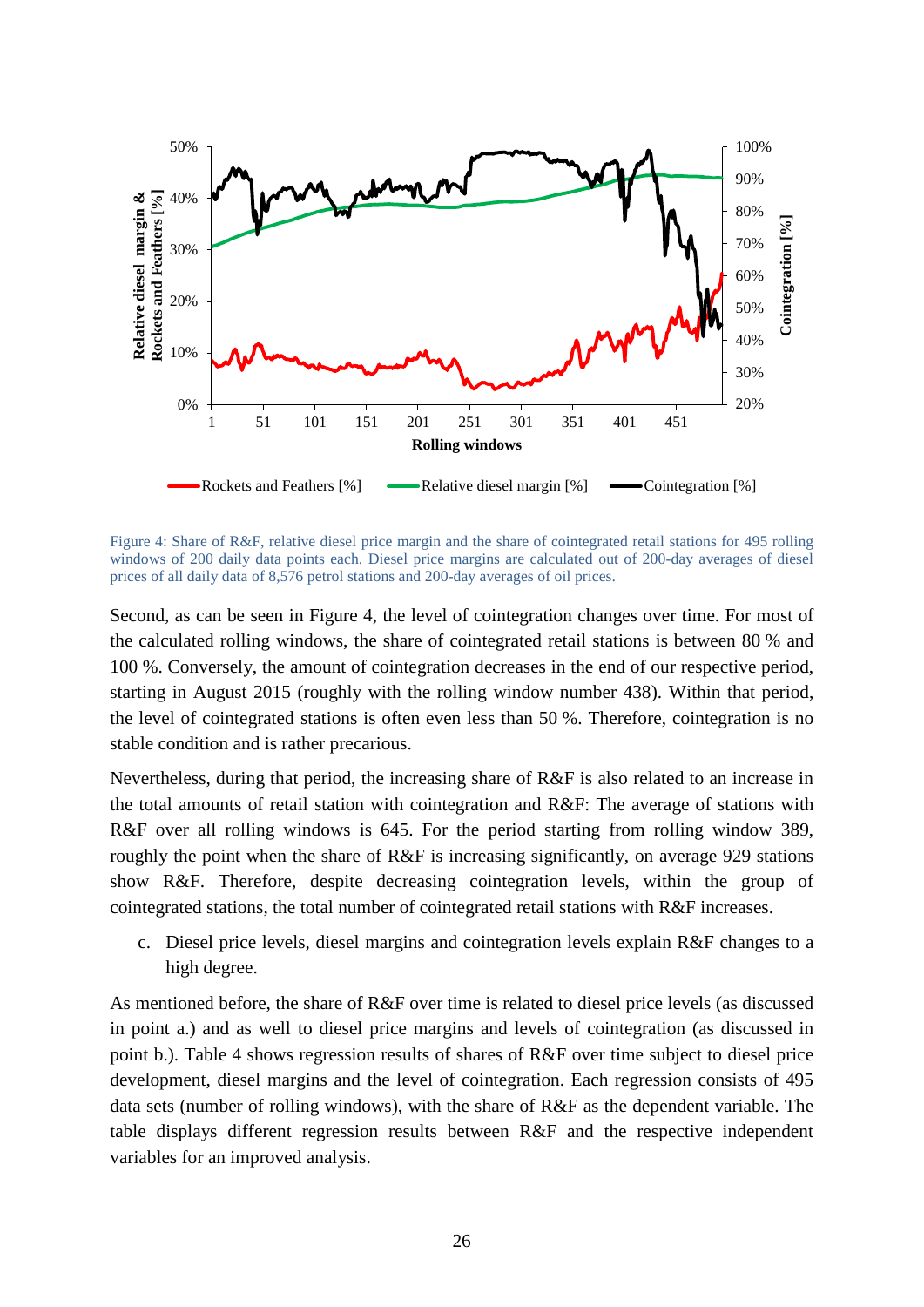

<span id="page-25-0"></span>Figure 4: Share of R&F, relative diesel price margin and the share of cointegrated retail stations for 495 rolling windows of 200 daily data points each. Diesel price margins are calculated out of 200-day averages of diesel prices of all daily data of 8,576 petrol stations and 200-day averages of oil prices.

Second, as can be seen in [Figure](#page-25-0) 4, the level of cointegration changes over time. For most of the calculated rolling windows, the share of cointegrated retail stations is between 80 % and 100 %. Conversely, the amount of cointegration decreases in the end of our respective period, starting in August 2015 (roughly with the rolling window number 438). Within that period, the level of cointegrated stations is often even less than 50 %. Therefore, cointegration is no stable condition and is rather precarious.

Nevertheless, during that period, the increasing share of R&F is also related to an increase in the total amounts of retail station with cointegration and R&F: The average of stations with R&F over all rolling windows is 645. For the period starting from rolling window 389, roughly the point when the share of R&F is increasing significantly, on average 929 stations show R&F. Therefore, despite decreasing cointegration levels, within the group of cointegrated stations, the total number of cointegrated retail stations with R&F increases.

c. Diesel price levels, diesel margins and cointegration levels explain R&F changes to a high degree.

As mentioned before, the share of R&F over time is related to diesel price levels (as discussed in point a.) and as well to diesel price margins and levels of cointegration (as discussed in point b.). [Table 4](#page-26-0) shows regression results of shares of R&F over time subject to diesel price development, diesel margins and the level of cointegration. Each regression consists of 495 data sets (number of rolling windows), with the share of R&F as the dependent variable. The table displays different regression results between R&F and the respective independent variables for an improved analysis.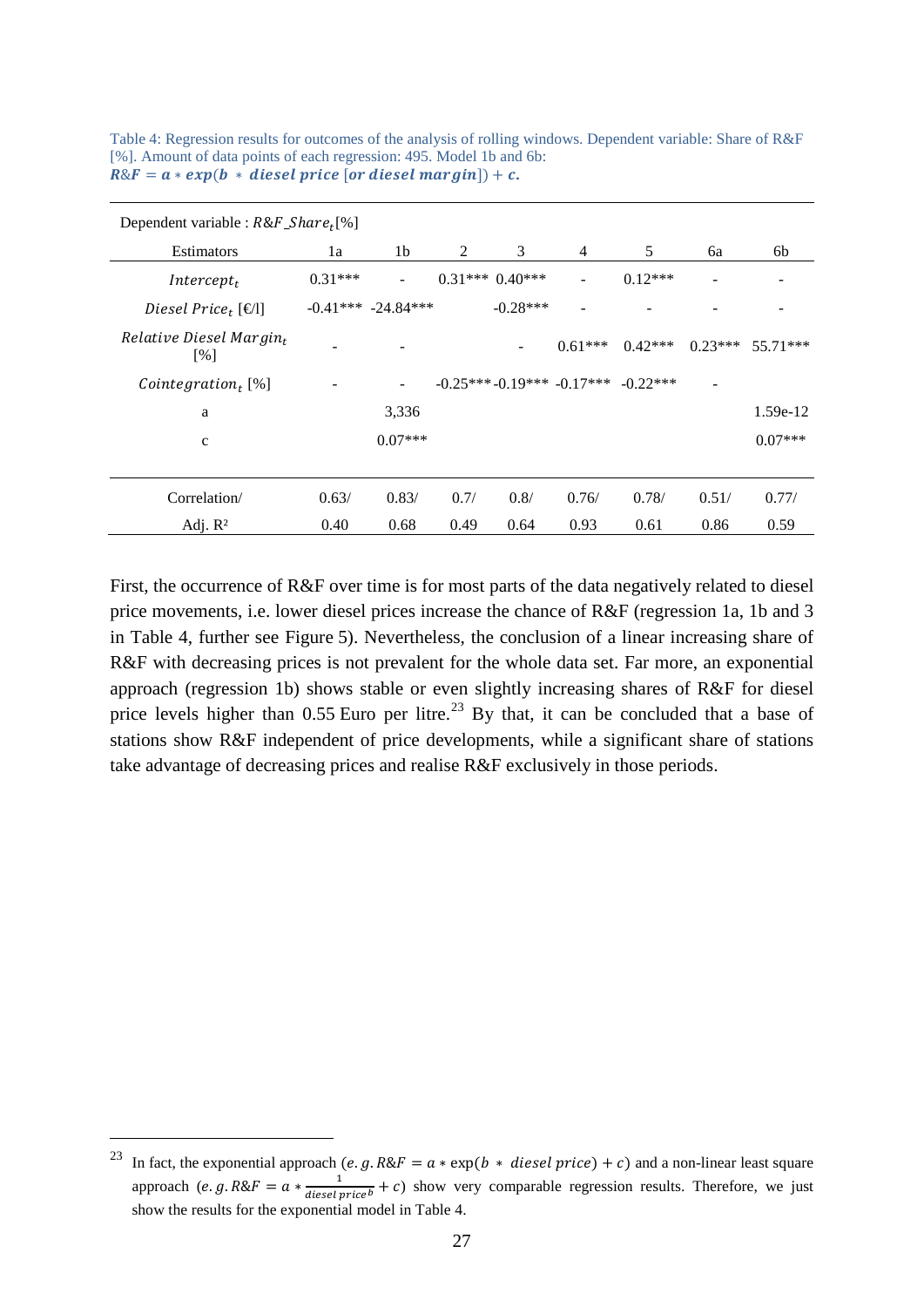| Dependent variable : $R\&F\_Share_t[\%]$ |           |                        |      |                     |                            |            |           |           |
|------------------------------------------|-----------|------------------------|------|---------------------|----------------------------|------------|-----------|-----------|
| Estimators                               | 1a        | 1b                     | 2    | 3                   | $\overline{4}$             | 5          | 6a        | 6b        |
| $Intercept_t$                            | $0.31***$ | $\blacksquare$         |      | $0.31***$ $0.40***$ | $\overline{\phantom{0}}$   | $0.12***$  |           |           |
| Diesel Price, $[\infty]$                 |           | $-0.41***$ $-24.84***$ |      | $-0.28***$          |                            |            |           |           |
| Relative Diesel Margin $_t$<br>[%]       |           |                        |      |                     | $0.61***$                  | $0.42***$  | $0.23***$ | 55.71***  |
| Cointegration <sub>t</sub> [%]           |           | ٠                      |      |                     | $-0.25***-0.19***-0.17***$ | $-0.22***$ |           |           |
| a                                        |           | 3,336                  |      |                     |                            |            |           | 1.59e-12  |
| $\mathbf c$                              |           | $0.07***$              |      |                     |                            |            |           | $0.07***$ |
|                                          |           |                        |      |                     |                            |            |           |           |
| Correlation/                             | 0.63/     | 0.83/                  | 0.7/ | 0.8/                | 0.76/                      | 0.78/      | 0.51/     | 0.77/     |
| Adj. $R^2$                               | 0.40      | 0.68                   | 0.49 | 0.64                | 0.93                       | 0.61       | 0.86      | 0.59      |

<span id="page-26-0"></span>Table 4: Regression results for outcomes of the analysis of rolling windows. Dependent variable: Share of R&F [%]. Amount of data points of each regression: 495. Model 1b and 6b:  $R\&F = a * exp(b * diesel price [or diesel margin]) + c.$ 

First, the occurrence of R&F over time is for most parts of the data negatively related to diesel price movements, i.e. lower diesel prices increase the chance of R&F (regression 1a, 1b and 3 in [Table 4,](#page-26-0) further see Figure 5). Nevertheless, the conclusion of a linear increasing share of R&F with decreasing prices is not prevalent for the whole data set. Far more, an exponential approach (regression 1b) shows stable or even slightly increasing shares of R&F for diesel price levels higher than  $0.55$  Euro per litre.<sup>[23](#page-26-1)</sup> By that, it can be concluded that a base of stations show R&F independent of price developments, while a significant share of stations take advantage of decreasing prices and realise R&F exclusively in those periods.

<span id="page-26-1"></span>In fact, the exponential approach  $(e.g. R\&F = a * \exp(b * diesel price) + c)$  and a non-linear least square approach  $(e, g, R\&F = a * \frac{1}{diesel price^b} + c)$  show very comparable regression results. Therefore, we just show the results for the exponential model in [Table 4.](#page-26-0)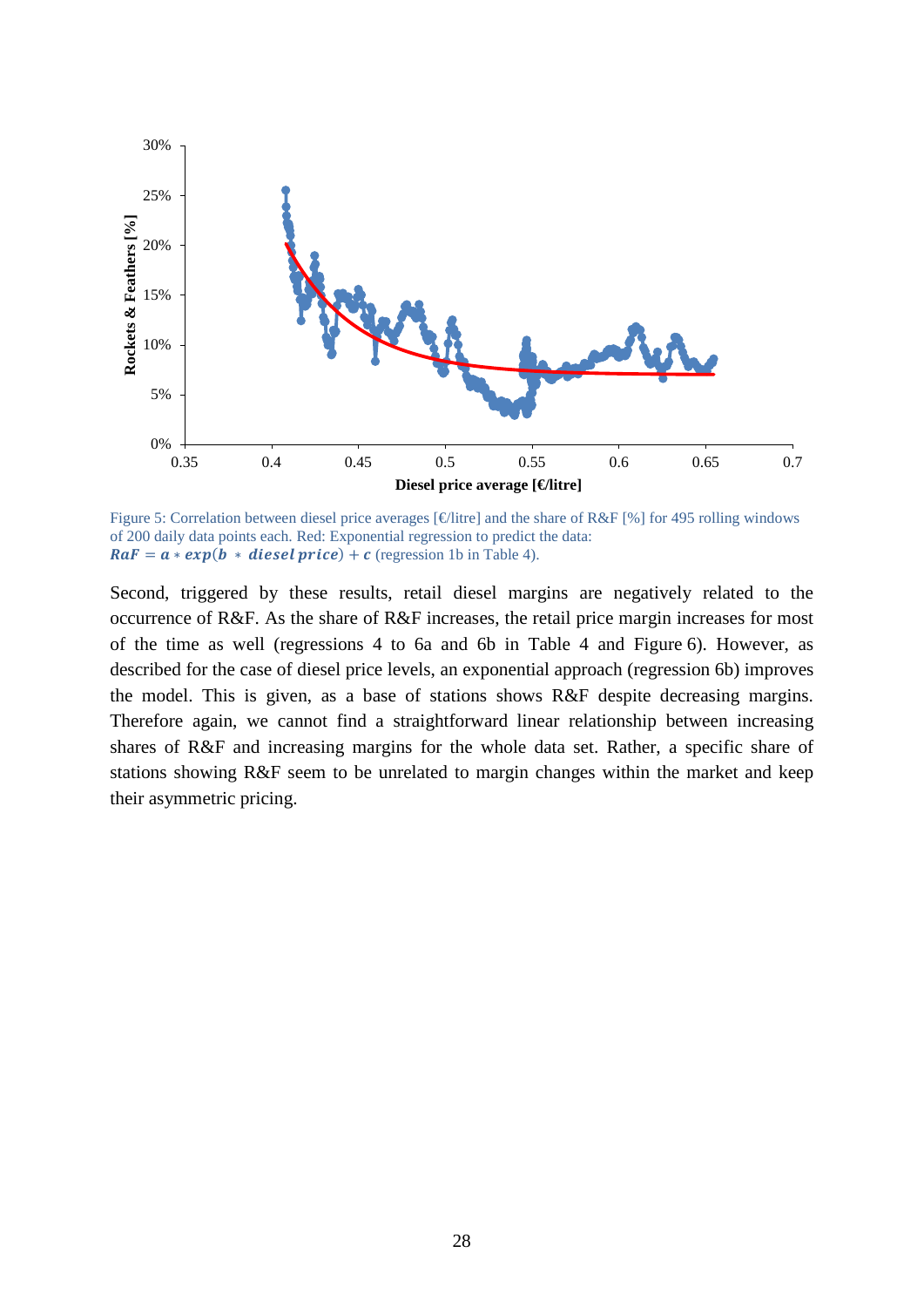

Figure 5: Correlation between diesel price averages  $\lceil \notin \text{litre} \rceil$  and the share of R&F  $\lceil \% \rceil$  for 495 rolling windows of 200 daily data points each. Red: Exponential regression to predict the data:  $RaF = a * exp(b * diesel price) + c$  (regression 1b in [Table 4\)](#page-26-0).

Second, triggered by these results, retail diesel margins are negatively related to the occurrence of R&F. As the share of R&F increases, the retail price margin increases for most of the time as well (regressions 4 to 6a and 6b in [Table 4](#page-26-0) and Figure 6). However, as described for the case of diesel price levels, an exponential approach (regression 6b) improves the model. This is given, as a base of stations shows R&F despite decreasing margins. Therefore again, we cannot find a straightforward linear relationship between increasing shares of R&F and increasing margins for the whole data set. Rather, a specific share of stations showing R&F seem to be unrelated to margin changes within the market and keep their asymmetric pricing.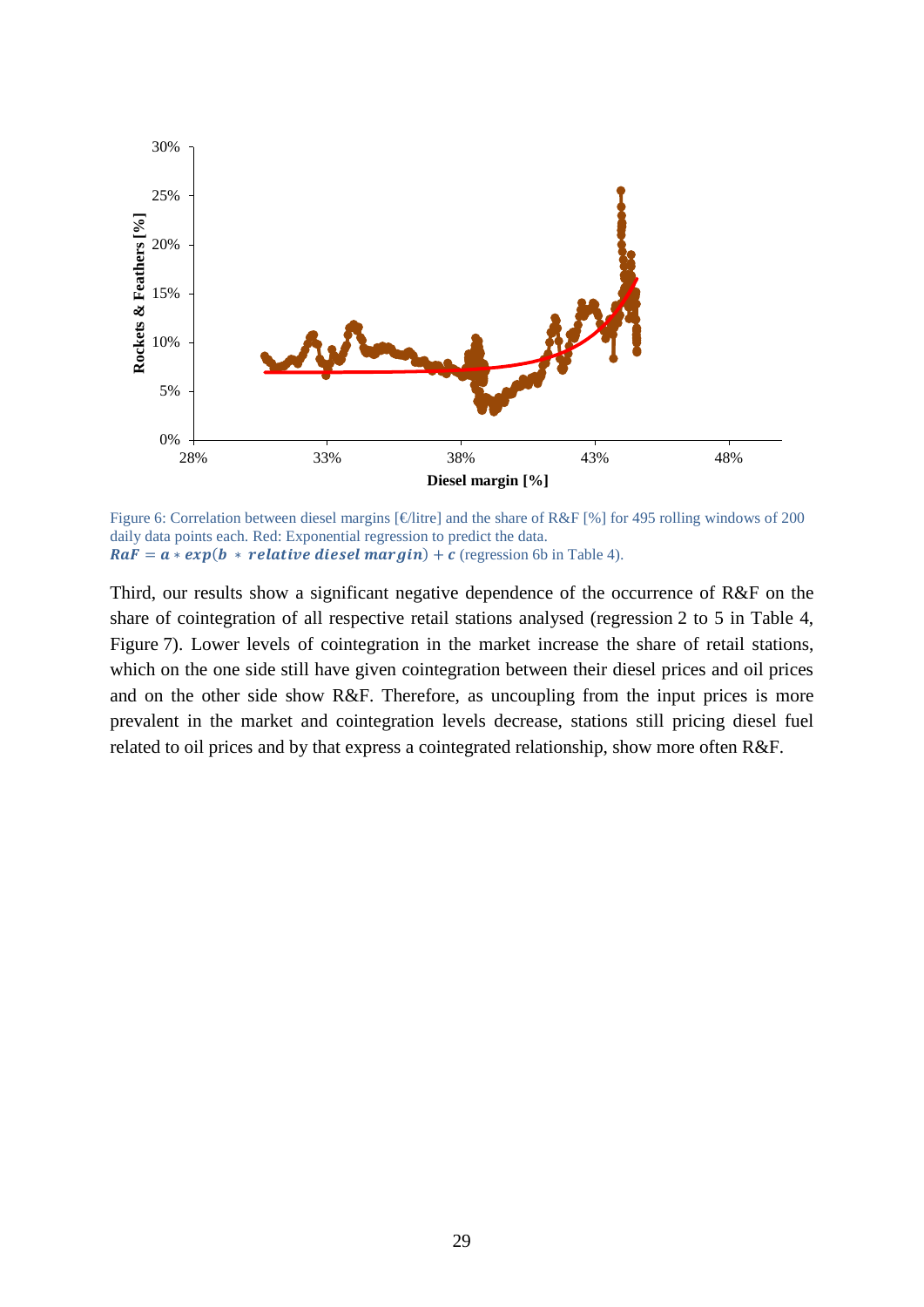

Figure 6: Correlation between diesel margins [€litre] and the share of R&F [%] for 495 rolling windows of 200 daily data points each. Red: Exponential regression to predict the data.  $RaF = a * exp(b * relative diesel margin) + c$  (regression 6b in [Table 4\)](#page-26-0).

Third, our results show a significant negative dependence of the occurrence of R&F on the share of cointegration of all respective retail stations analysed (regression 2 to 5 in [Table 4,](#page-26-0) Figure 7). Lower levels of cointegration in the market increase the share of retail stations, which on the one side still have given cointegration between their diesel prices and oil prices and on the other side show R&F. Therefore, as uncoupling from the input prices is more prevalent in the market and cointegration levels decrease, stations still pricing diesel fuel related to oil prices and by that express a cointegrated relationship, show more often R&F.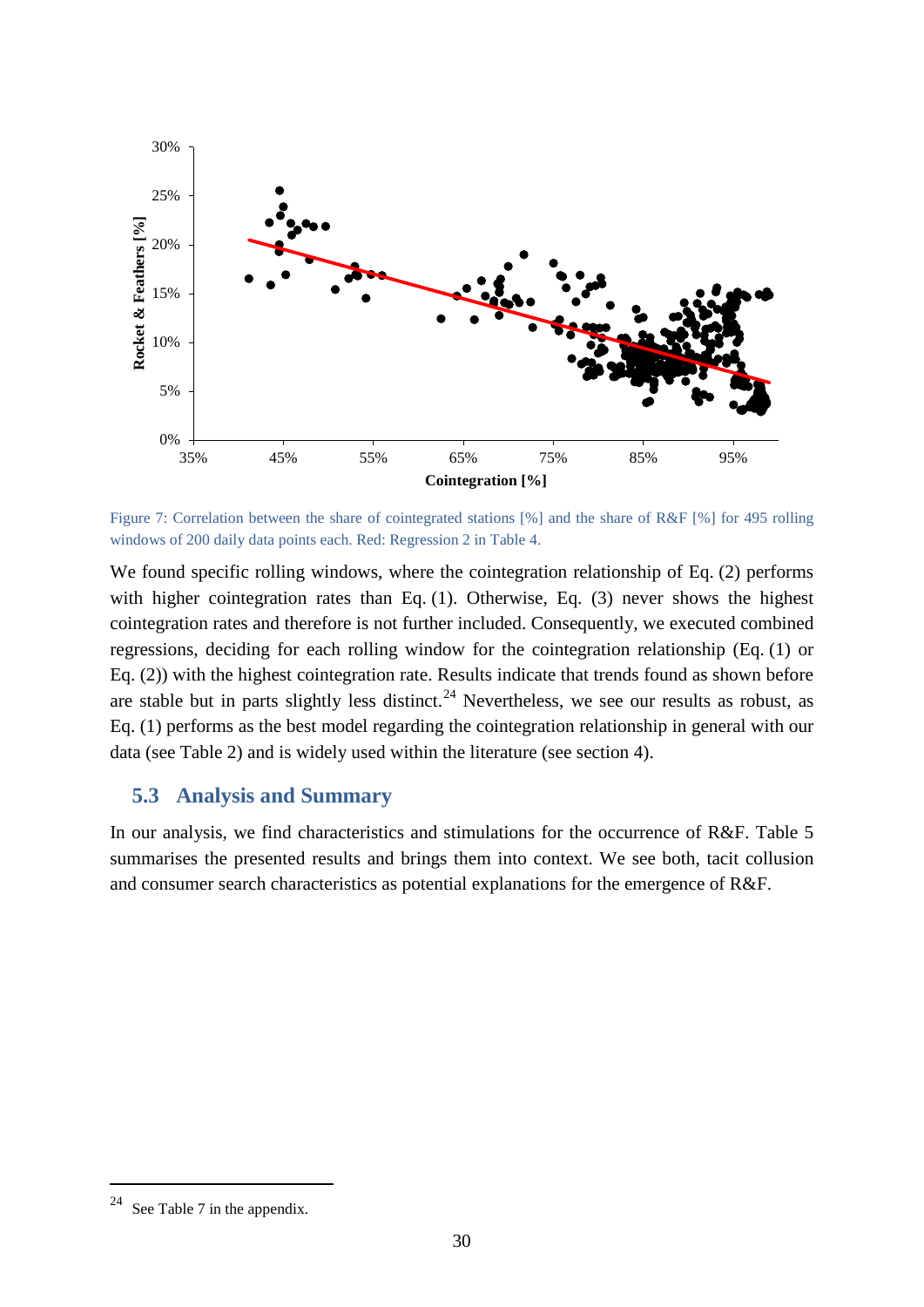

Figure 7: Correlation between the share of cointegrated stations [%] and the share of R&F [%] for 495 rolling windows of 200 daily data points each. Red: Regression 2 in [Table 4.](#page-26-0)

We found specific rolling windows, where the cointegration relationship of Eq. (2) performs with higher cointegration rates than Eq. (1). Otherwise, Eq. (3) never shows the highest cointegration rates and therefore is not further included. Consequently, we executed combined regressions, deciding for each rolling window for the cointegration relationship (Eq. (1) or Eq. (2)) with the highest cointegration rate. Results indicate that trends found as shown before are stable but in parts slightly less distinct.<sup>[24](#page-29-1)</sup> Nevertheless, we see our results as robust, as Eq. (1) performs as the best model regarding the cointegration relationship in general with our data (see [Table 2\)](#page-20-0) and is widely used within the literature (see section [4\)](#page-16-0).

#### <span id="page-29-0"></span>**5.3 Analysis and Summary**

In our analysis, we find characteristics and stimulations for the occurrence of R&F. [Table 5](#page-30-0) summarises the presented results and brings them into context. We see both, tacit collusion and consumer search characteristics as potential explanations for the emergence of R&F.

<span id="page-29-1"></span><sup>&</sup>lt;sup>24</sup> See [Table 7](#page-47-0) in the appendix.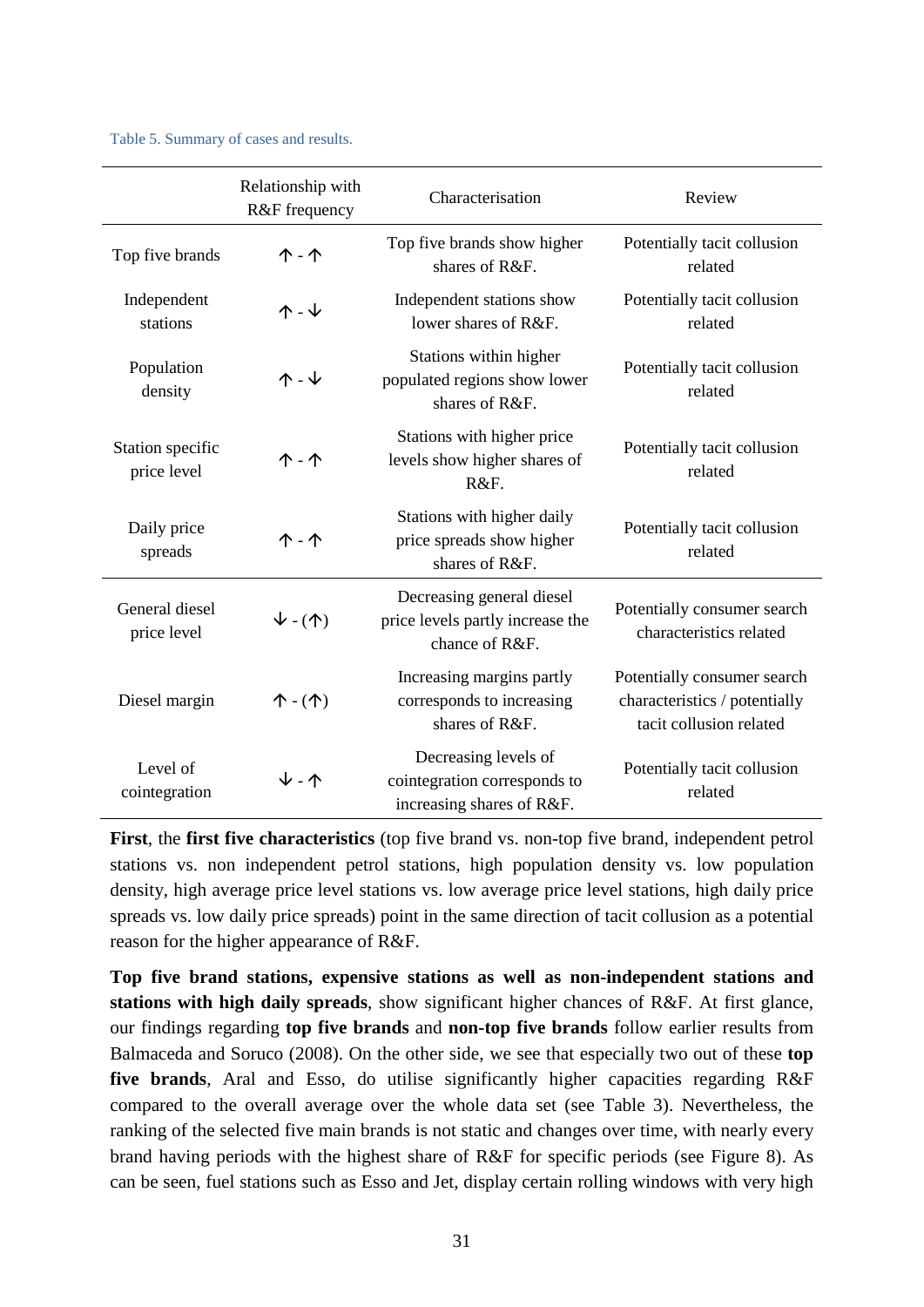<span id="page-30-0"></span>

|  | Table 5. Summary of cases and results. |  |  |  |  |
|--|----------------------------------------|--|--|--|--|
|--|----------------------------------------|--|--|--|--|

|                                 | Relationship with<br>R&F frequency   | Characterisation                                                                  | Review                                                                                  |
|---------------------------------|--------------------------------------|-----------------------------------------------------------------------------------|-----------------------------------------------------------------------------------------|
| Top five brands                 | $\uparrow$ - $\uparrow$              | Top five brands show higher<br>shares of R&F.                                     | Potentially tacit collusion<br>related                                                  |
| Independent<br>stations         | $\uparrow$ - $\downarrow$            | Independent stations show<br>lower shares of R&F.                                 | Potentially tacit collusion<br>related                                                  |
| Population<br>density           | $\uparrow$ - $\downarrow$            | Stations within higher<br>populated regions show lower<br>shares of R&F.          | Potentially tacit collusion<br>related                                                  |
| Station specific<br>price level |                                      | Stations with higher price<br>levels show higher shares of<br>R&F.                | Potentially tacit collusion<br>related                                                  |
| Daily price<br>spreads          | <b>↑ - ↑</b>                         | Stations with higher daily<br>price spreads show higher<br>shares of R&F.         | Potentially tacit collusion<br>related                                                  |
| General diesel<br>price level   | $V - (\uparrow)$                     | Decreasing general diesel<br>price levels partly increase the<br>chance of R&F.   | Potentially consumer search<br>characteristics related                                  |
| Diesel margin                   | $\uparrow$ - $(\uparrow)$            | Increasing margins partly<br>corresponds to increasing<br>shares of R&F.          | Potentially consumer search<br>characteristics / potentially<br>tacit collusion related |
| Level of<br>cointegration       | $\mathsf{\Psi}$ - $\mathsf{\Lambda}$ | Decreasing levels of<br>cointegration corresponds to<br>increasing shares of R&F. | Potentially tacit collusion<br>related                                                  |

**First**, the **first five characteristics** (top five brand vs. non-top five brand, independent petrol stations vs. non independent petrol stations, high population density vs. low population density, high average price level stations vs. low average price level stations, high daily price spreads vs. low daily price spreads) point in the same direction of tacit collusion as a potential reason for the higher appearance of R&F.

**Top five brand stations, expensive stations as well as non-independent stations and stations with high daily spreads**, show significant higher chances of R&F. At first glance, our findings regarding **top five brands** and **non-top five brands** follow earlier results from Balmaceda and Soruco (2008). On the other side, we see that especially two out of these **top five brands**, Aral and Esso, do utilise significantly higher capacities regarding R&F compared to the overall average over the whole data set (see [Table 3\)](#page-21-0). Nevertheless, the ranking of the selected five main brands is not static and changes over time, with nearly every brand having periods with the highest share of R&F for specific periods (see Figure 8). As can be seen, fuel stations such as Esso and Jet, display certain rolling windows with very high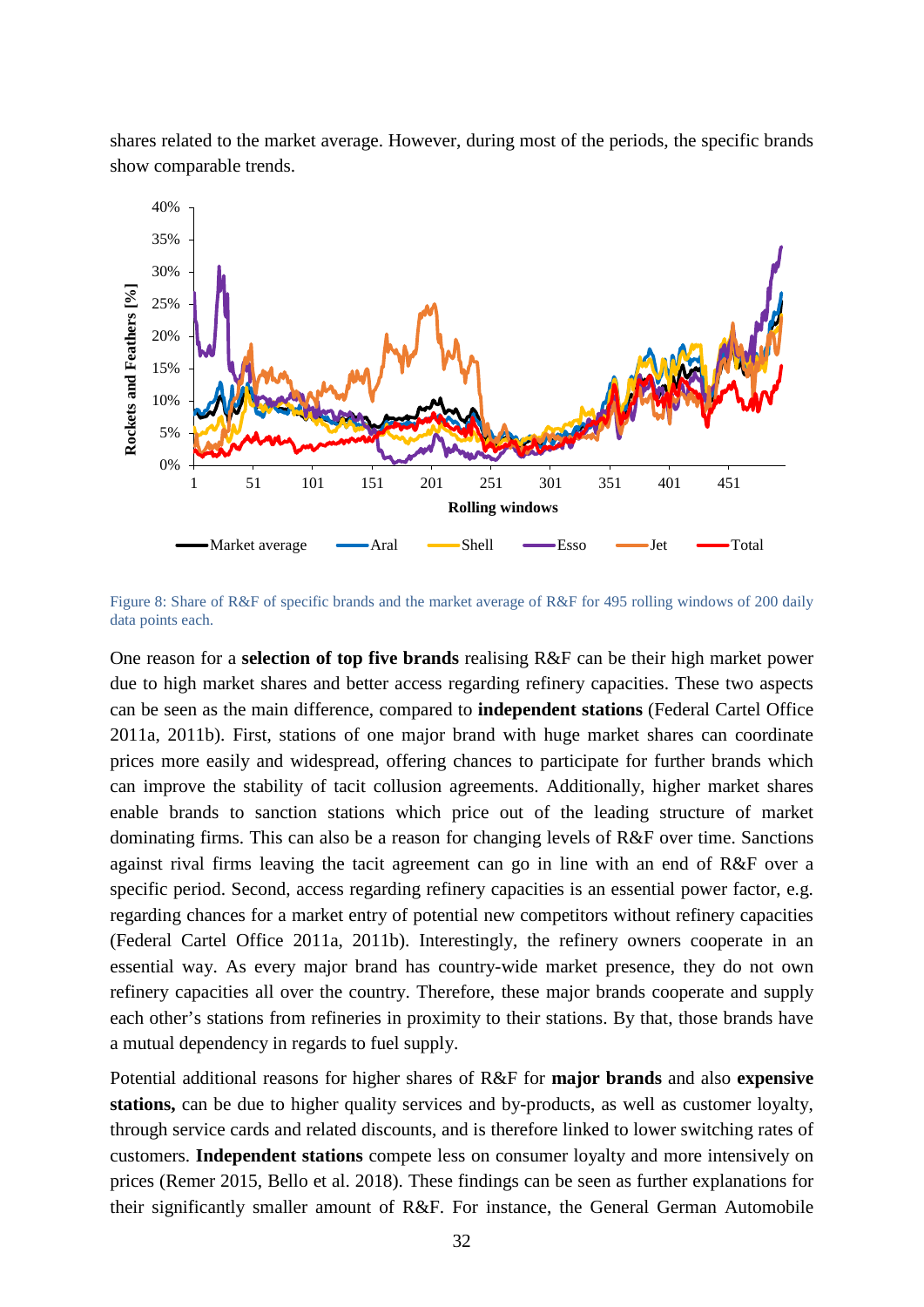shares related to the market average. However, during most of the periods, the specific brands show comparable trends.



Figure 8: Share of R&F of specific brands and the market average of R&F for 495 rolling windows of 200 daily data points each.

One reason for a **selection of top five brands** realising R&F can be their high market power due to high market shares and better access regarding refinery capacities. These two aspects can be seen as the main difference, compared to **independent stations** (Federal Cartel Office 2011a, 2011b). First, stations of one major brand with huge market shares can coordinate prices more easily and widespread, offering chances to participate for further brands which can improve the stability of tacit collusion agreements. Additionally, higher market shares enable brands to sanction stations which price out of the leading structure of market dominating firms. This can also be a reason for changing levels of R&F over time. Sanctions against rival firms leaving the tacit agreement can go in line with an end of R&F over a specific period. Second, access regarding refinery capacities is an essential power factor, e.g. regarding chances for a market entry of potential new competitors without refinery capacities (Federal Cartel Office 2011a, 2011b). Interestingly, the refinery owners cooperate in an essential way. As every major brand has country-wide market presence, they do not own refinery capacities all over the country. Therefore, these major brands cooperate and supply each other's stations from refineries in proximity to their stations. By that, those brands have a mutual dependency in regards to fuel supply.

Potential additional reasons for higher shares of R&F for **major brands** and also **expensive stations,** can be due to higher quality services and by-products, as well as customer loyalty, through service cards and related discounts, and is therefore linked to lower switching rates of customers. **Independent stations** compete less on consumer loyalty and more intensively on prices (Remer 2015, Bello et al. 2018). These findings can be seen as further explanations for their significantly smaller amount of R&F. For instance, the General German Automobile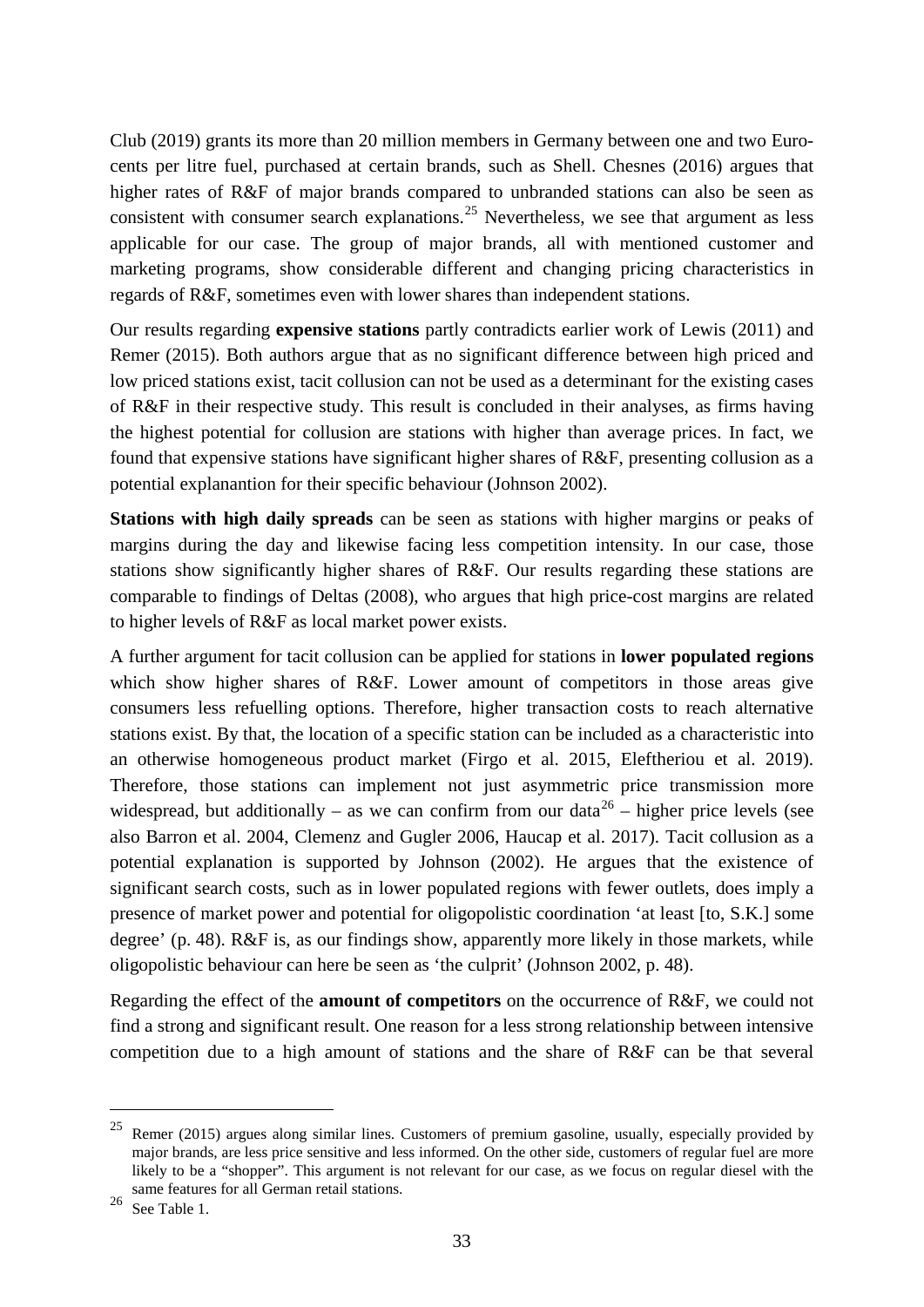Club (2019) grants its more than 20 million members in Germany between one and two Eurocents per litre fuel, purchased at certain brands, such as Shell. Chesnes (2016) argues that higher rates of R&F of major brands compared to unbranded stations can also be seen as consistent with consumer search explanations.<sup>[25](#page-32-0)</sup> Nevertheless, we see that argument as less applicable for our case. The group of major brands, all with mentioned customer and marketing programs, show considerable different and changing pricing characteristics in regards of R&F, sometimes even with lower shares than independent stations.

Our results regarding **expensive stations** partly contradicts earlier work of Lewis (2011) and Remer (2015). Both authors argue that as no significant difference between high priced and low priced stations exist, tacit collusion can not be used as a determinant for the existing cases of R&F in their respective study. This result is concluded in their analyses, as firms having the highest potential for collusion are stations with higher than average prices. In fact, we found that expensive stations have significant higher shares of R&F, presenting collusion as a potential explanantion for their specific behaviour (Johnson 2002).

**Stations with high daily spreads** can be seen as stations with higher margins or peaks of margins during the day and likewise facing less competition intensity. In our case, those stations show significantly higher shares of R&F. Our results regarding these stations are comparable to findings of Deltas (2008), who argues that high price-cost margins are related to higher levels of R&F as local market power exists.

A further argument for tacit collusion can be applied for stations in **lower populated regions** which show higher shares of R&F. Lower amount of competitors in those areas give consumers less refuelling options. Therefore, higher transaction costs to reach alternative stations exist. By that, the location of a specific station can be included as a characteristic into an otherwise homogeneous product market (Firgo et al. 2015, Eleftheriou et al. 2019). Therefore, those stations can implement not just asymmetric price transmission more widespread, but additionally – as we can confirm from our data<sup>[26](#page-32-1)</sup> – higher price levels (see also Barron et al. 2004, Clemenz and Gugler 2006, Haucap et al. 2017). Tacit collusion as a potential explanation is supported by Johnson (2002). He argues that the existence of significant search costs, such as in lower populated regions with fewer outlets, does imply a presence of market power and potential for oligopolistic coordination 'at least [to, S.K.] some degree' (p. 48). R&F is, as our findings show, apparently more likely in those markets, while oligopolistic behaviour can here be seen as 'the culprit' (Johnson 2002, p. 48).

Regarding the effect of the **amount of competitors** on the occurrence of R&F, we could not find a strong and significant result. One reason for a less strong relationship between intensive competition due to a high amount of stations and the share of R&F can be that several

<span id="page-32-0"></span> <sup>25</sup> Remer (2015) argues along similar lines. Customers of premium gasoline, usually, especially provided by major brands, are less price sensitive and less informed. On the other side, customers of regular fuel are more likely to be a "shopper". This argument is not relevant for our case, as we focus on regular diesel with the same features for all German retail stations.

<span id="page-32-1"></span> $26$  See Table 1.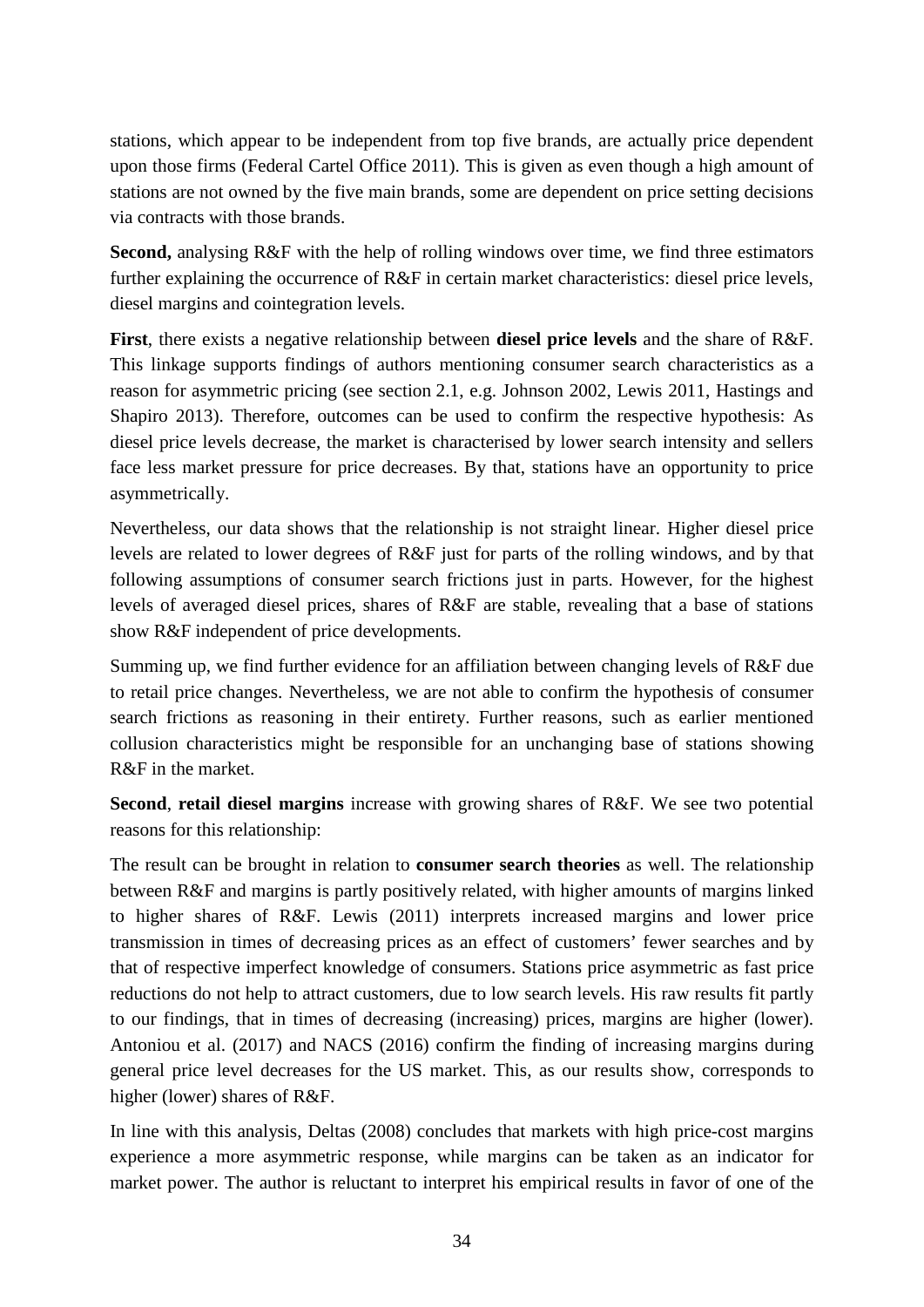stations, which appear to be independent from top five brands, are actually price dependent upon those firms (Federal Cartel Office 2011). This is given as even though a high amount of stations are not owned by the five main brands, some are dependent on price setting decisions via contracts with those brands.

**Second,** analysing R&F with the help of rolling windows over time, we find three estimators further explaining the occurrence of R&F in certain market characteristics: diesel price levels, diesel margins and cointegration levels.

**First**, there exists a negative relationship between **diesel price levels** and the share of R&F. This linkage supports findings of authors mentioning consumer search characteristics as a reason for asymmetric pricing (see section [2.1,](#page-6-1) e.g. Johnson 2002, Lewis 2011, Hastings and Shapiro 2013). Therefore, outcomes can be used to confirm the respective hypothesis: As diesel price levels decrease, the market is characterised by lower search intensity and sellers face less market pressure for price decreases. By that, stations have an opportunity to price asymmetrically.

Nevertheless, our data shows that the relationship is not straight linear. Higher diesel price levels are related to lower degrees of R&F just for parts of the rolling windows, and by that following assumptions of consumer search frictions just in parts. However, for the highest levels of averaged diesel prices, shares of R&F are stable, revealing that a base of stations show R&F independent of price developments.

Summing up, we find further evidence for an affiliation between changing levels of R&F due to retail price changes. Nevertheless, we are not able to confirm the hypothesis of consumer search frictions as reasoning in their entirety. Further reasons, such as earlier mentioned collusion characteristics might be responsible for an unchanging base of stations showing R&F in the market.

**Second**, **retail diesel margins** increase with growing shares of R&F. We see two potential reasons for this relationship:

The result can be brought in relation to **consumer search theories** as well. The relationship between R&F and margins is partly positively related, with higher amounts of margins linked to higher shares of R&F. Lewis (2011) interprets increased margins and lower price transmission in times of decreasing prices as an effect of customers' fewer searches and by that of respective imperfect knowledge of consumers. Stations price asymmetric as fast price reductions do not help to attract customers, due to low search levels. His raw results fit partly to our findings, that in times of decreasing (increasing) prices, margins are higher (lower). Antoniou et al. (2017) and NACS (2016) confirm the finding of increasing margins during general price level decreases for the US market. This, as our results show, corresponds to higher (lower) shares of R&F.

In line with this analysis, Deltas (2008) concludes that markets with high price-cost margins experience a more asymmetric response, while margins can be taken as an indicator for market power. The author is reluctant to interpret his empirical results in favor of one of the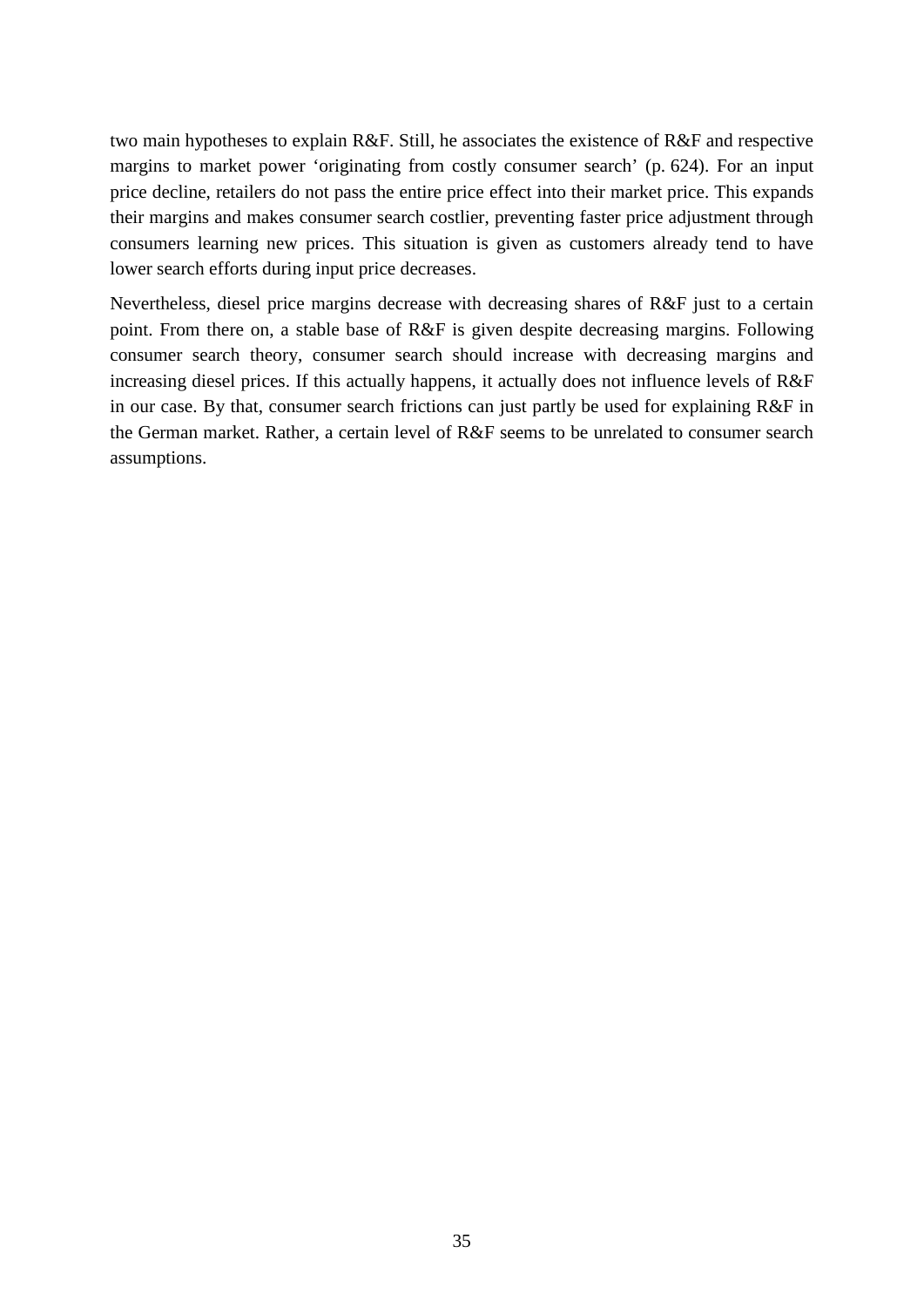two main hypotheses to explain R&F. Still, he associates the existence of R&F and respective margins to market power 'originating from costly consumer search' (p. 624). For an input price decline, retailers do not pass the entire price effect into their market price. This expands their margins and makes consumer search costlier, preventing faster price adjustment through consumers learning new prices. This situation is given as customers already tend to have lower search efforts during input price decreases.

Nevertheless, diesel price margins decrease with decreasing shares of R&F just to a certain point. From there on, a stable base of R&F is given despite decreasing margins. Following consumer search theory, consumer search should increase with decreasing margins and increasing diesel prices. If this actually happens, it actually does not influence levels of R&F in our case. By that, consumer search frictions can just partly be used for explaining R&F in the German market. Rather, a certain level of R&F seems to be unrelated to consumer search assumptions.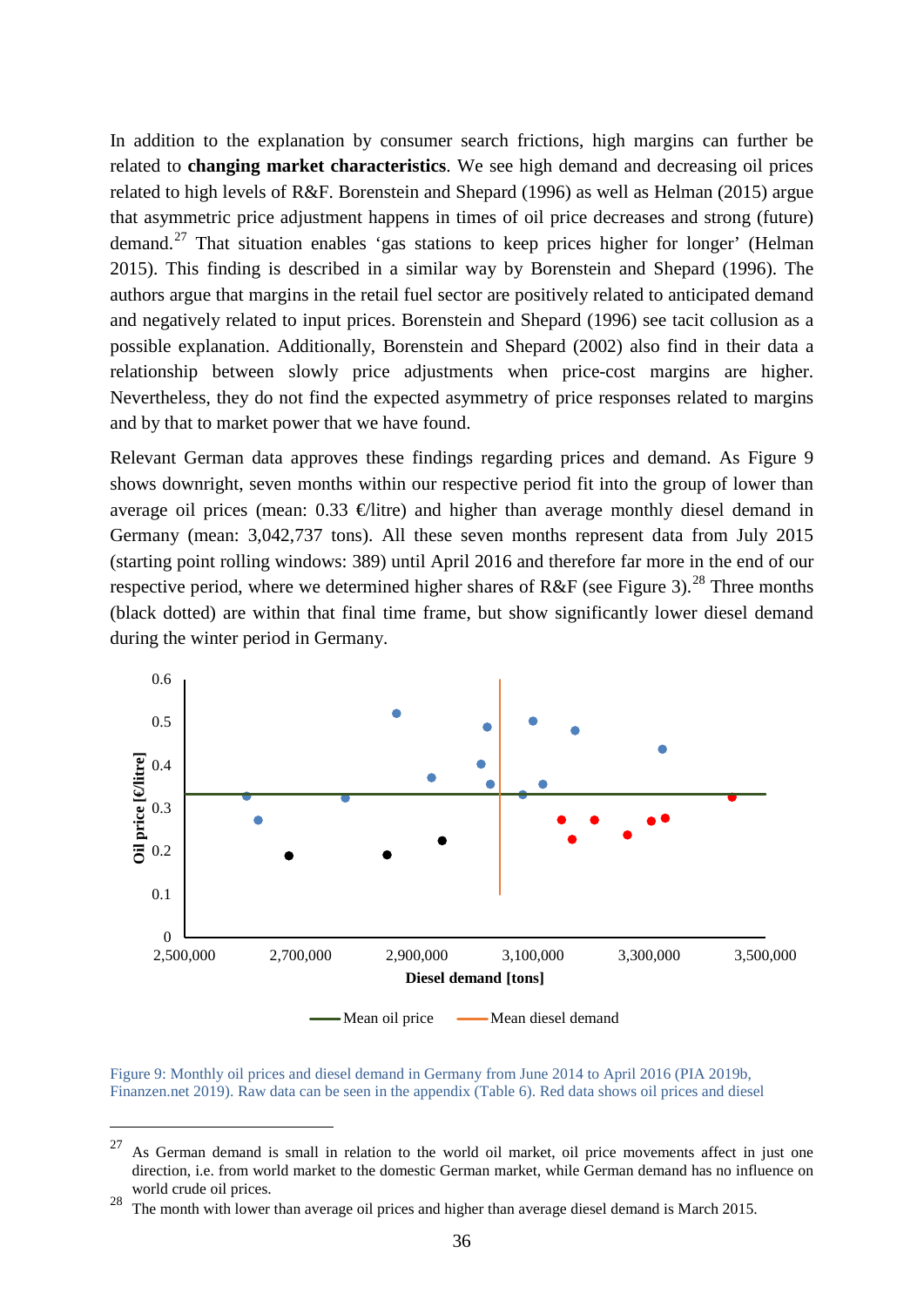In addition to the explanation by consumer search frictions, high margins can further be related to **changing market characteristics**. We see high demand and decreasing oil prices related to high levels of R&F. Borenstein and Shepard (1996) as well as Helman (2015) argue that asymmetric price adjustment happens in times of oil price decreases and strong (future) demand.<sup>[27](#page-35-1)</sup> That situation enables 'gas stations to keep prices higher for longer' (Helman 2015). This finding is described in a similar way by Borenstein and Shepard (1996). The authors argue that margins in the retail fuel sector are positively related to anticipated demand and negatively related to input prices. Borenstein and Shepard (1996) see tacit collusion as a possible explanation. Additionally, Borenstein and Shepard (2002) also find in their data a relationship between slowly price adjustments when price-cost margins are higher. Nevertheless, they do not find the expected asymmetry of price responses related to margins and by that to market power that we have found.

Relevant German data approves these findings regarding prices and demand. As [Figure 9](#page-35-0) shows downright, seven months within our respective period fit into the group of lower than average oil prices (mean:  $0.33 \oplus$ litre) and higher than average monthly diesel demand in Germany (mean: 3,042,737 tons). All these seven months represent data from July 2015 (starting point rolling windows: 389) until April 2016 and therefore far more in the end of our respective period, where we determined higher shares of R&F (see [Figure 3\)](#page-24-0).<sup>[28](#page-35-2)</sup> Three months (black dotted) are within that final time frame, but show significantly lower diesel demand during the winter period in Germany.



<span id="page-35-0"></span>Figure 9: Monthly oil prices and diesel demand in Germany from June 2014 to April 2016 (PIA 2019b, Finanzen.net 2019). Raw data can be seen in the appendix [\(Table 6\)](#page-46-1). Red data shows oil prices and diesel

<span id="page-35-1"></span> $27$  As German demand is small in relation to the world oil market, oil price movements affect in just one direction, i.e. from world market to the domestic German market, while German demand has no influence on world crude oil prices.

<span id="page-35-2"></span><sup>&</sup>lt;sup>28</sup> The month with lower than average oil prices and higher than average diesel demand is March 2015.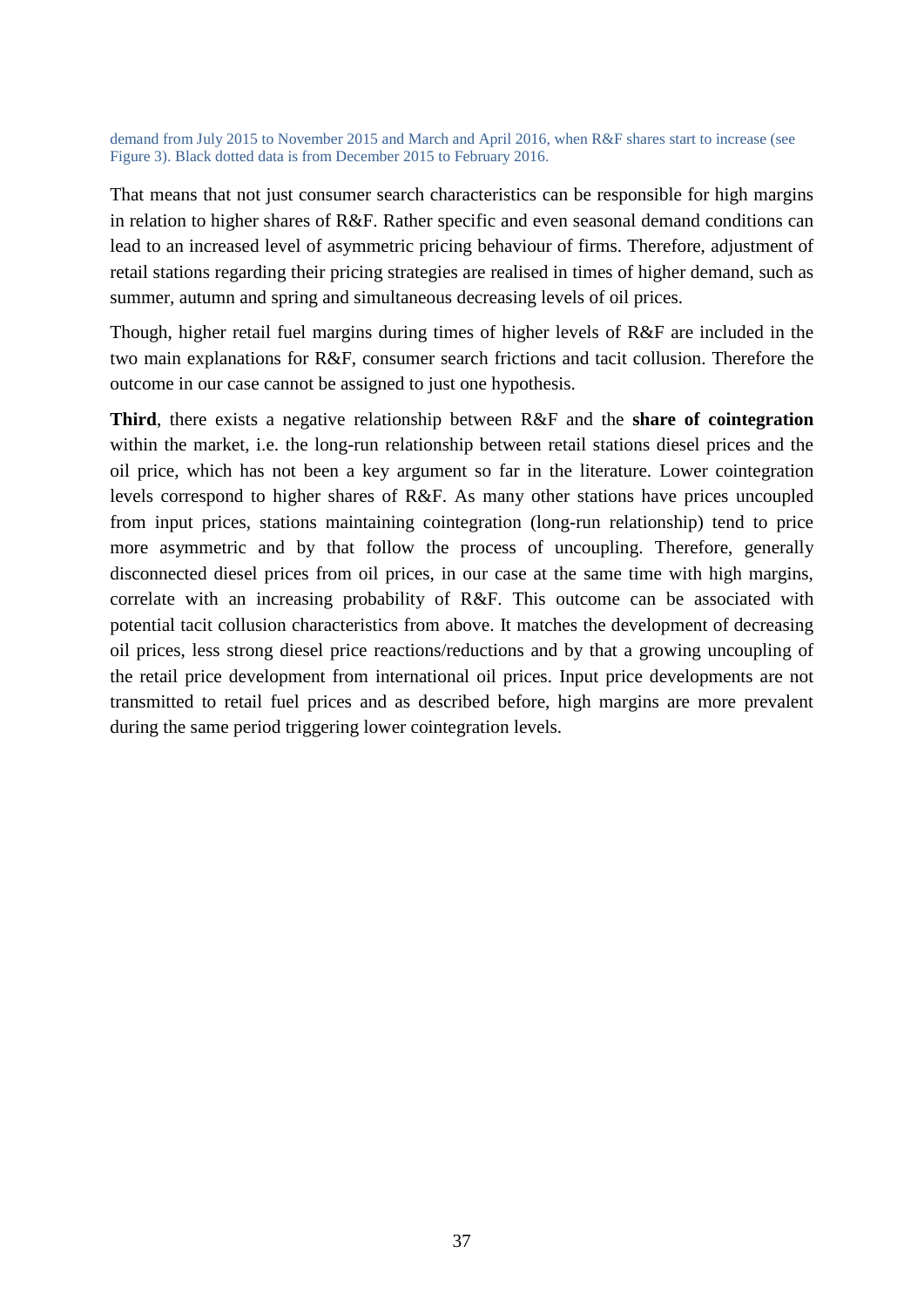demand from July 2015 to November 2015 and March and April 2016, when R&F shares start to increase (see [Figure 3\)](#page-24-0). Black dotted data is from December 2015 to February 2016.

That means that not just consumer search characteristics can be responsible for high margins in relation to higher shares of R&F. Rather specific and even seasonal demand conditions can lead to an increased level of asymmetric pricing behaviour of firms. Therefore, adjustment of retail stations regarding their pricing strategies are realised in times of higher demand, such as summer, autumn and spring and simultaneous decreasing levels of oil prices.

Though, higher retail fuel margins during times of higher levels of R&F are included in the two main explanations for R&F, consumer search frictions and tacit collusion. Therefore the outcome in our case cannot be assigned to just one hypothesis.

**Third**, there exists a negative relationship between R&F and the **share of cointegration**  within the market, i.e. the long-run relationship between retail stations diesel prices and the oil price, which has not been a key argument so far in the literature. Lower cointegration levels correspond to higher shares of R&F. As many other stations have prices uncoupled from input prices, stations maintaining cointegration (long-run relationship) tend to price more asymmetric and by that follow the process of uncoupling. Therefore, generally disconnected diesel prices from oil prices, in our case at the same time with high margins, correlate with an increasing probability of R&F. This outcome can be associated with potential tacit collusion characteristics from above. It matches the development of decreasing oil prices, less strong diesel price reactions/reductions and by that a growing uncoupling of the retail price development from international oil prices. Input price developments are not transmitted to retail fuel prices and as described before, high margins are more prevalent during the same period triggering lower cointegration levels.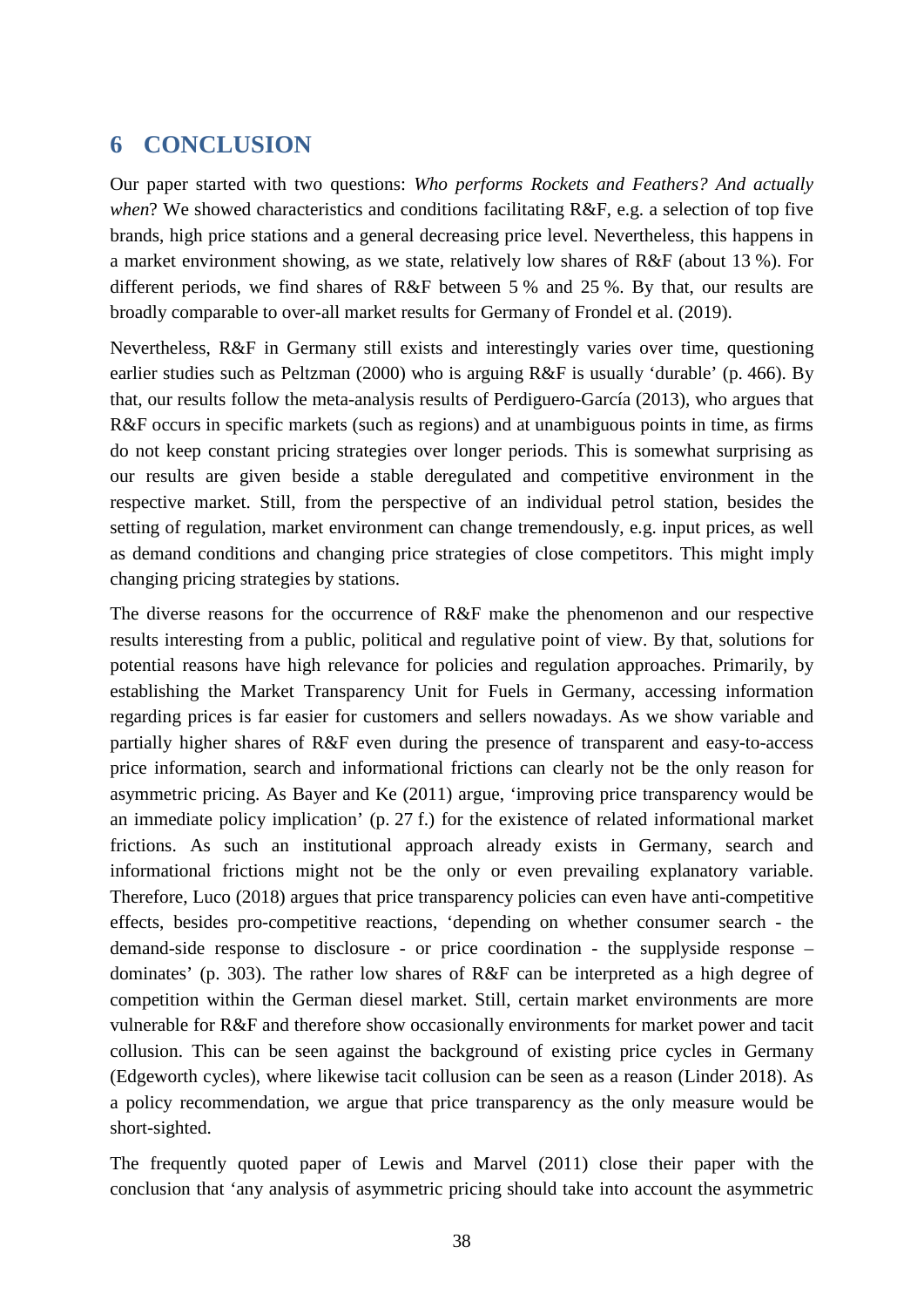#### <span id="page-37-0"></span>**6 CONCLUSION**

Our paper started with two questions: *Who performs Rockets and Feathers? And actually when*? We showed characteristics and conditions facilitating R&F, e.g. a selection of top five brands, high price stations and a general decreasing price level. Nevertheless, this happens in a market environment showing, as we state, relatively low shares of R&F (about 13 %). For different periods, we find shares of R&F between 5 % and 25 %. By that, our results are broadly comparable to over-all market results for Germany of Frondel et al. (2019).

Nevertheless, R&F in Germany still exists and interestingly varies over time, questioning earlier studies such as Peltzman (2000) who is arguing R&F is usually 'durable' (p. 466). By that, our results follow the meta-analysis results of Perdiguero-García (2013), who argues that R&F occurs in specific markets (such as regions) and at unambiguous points in time, as firms do not keep constant pricing strategies over longer periods. This is somewhat surprising as our results are given beside a stable deregulated and competitive environment in the respective market. Still, from the perspective of an individual petrol station, besides the setting of regulation, market environment can change tremendously, e.g. input prices, as well as demand conditions and changing price strategies of close competitors. This might imply changing pricing strategies by stations.

The diverse reasons for the occurrence of R&F make the phenomenon and our respective results interesting from a public, political and regulative point of view. By that, solutions for potential reasons have high relevance for policies and regulation approaches. Primarily, by establishing the Market Transparency Unit for Fuels in Germany, accessing information regarding prices is far easier for customers and sellers nowadays. As we show variable and partially higher shares of R&F even during the presence of transparent and easy-to-access price information, search and informational frictions can clearly not be the only reason for asymmetric pricing. As Bayer and Ke (2011) argue, 'improving price transparency would be an immediate policy implication' (p. 27 f.) for the existence of related informational market frictions. As such an institutional approach already exists in Germany, search and informational frictions might not be the only or even prevailing explanatory variable. Therefore, Luco (2018) argues that price transparency policies can even have anti-competitive effects, besides pro-competitive reactions, 'depending on whether consumer search - the demand-side response to disclosure - or price coordination - the supplyside response – dominates' (p. 303). The rather low shares of R&F can be interpreted as a high degree of competition within the German diesel market. Still, certain market environments are more vulnerable for R&F and therefore show occasionally environments for market power and tacit collusion. This can be seen against the background of existing price cycles in Germany (Edgeworth cycles), where likewise tacit collusion can be seen as a reason (Linder 2018). As a policy recommendation, we argue that price transparency as the only measure would be short-sighted.

The frequently quoted paper of Lewis and Marvel (2011) close their paper with the conclusion that 'any analysis of asymmetric pricing should take into account the asymmetric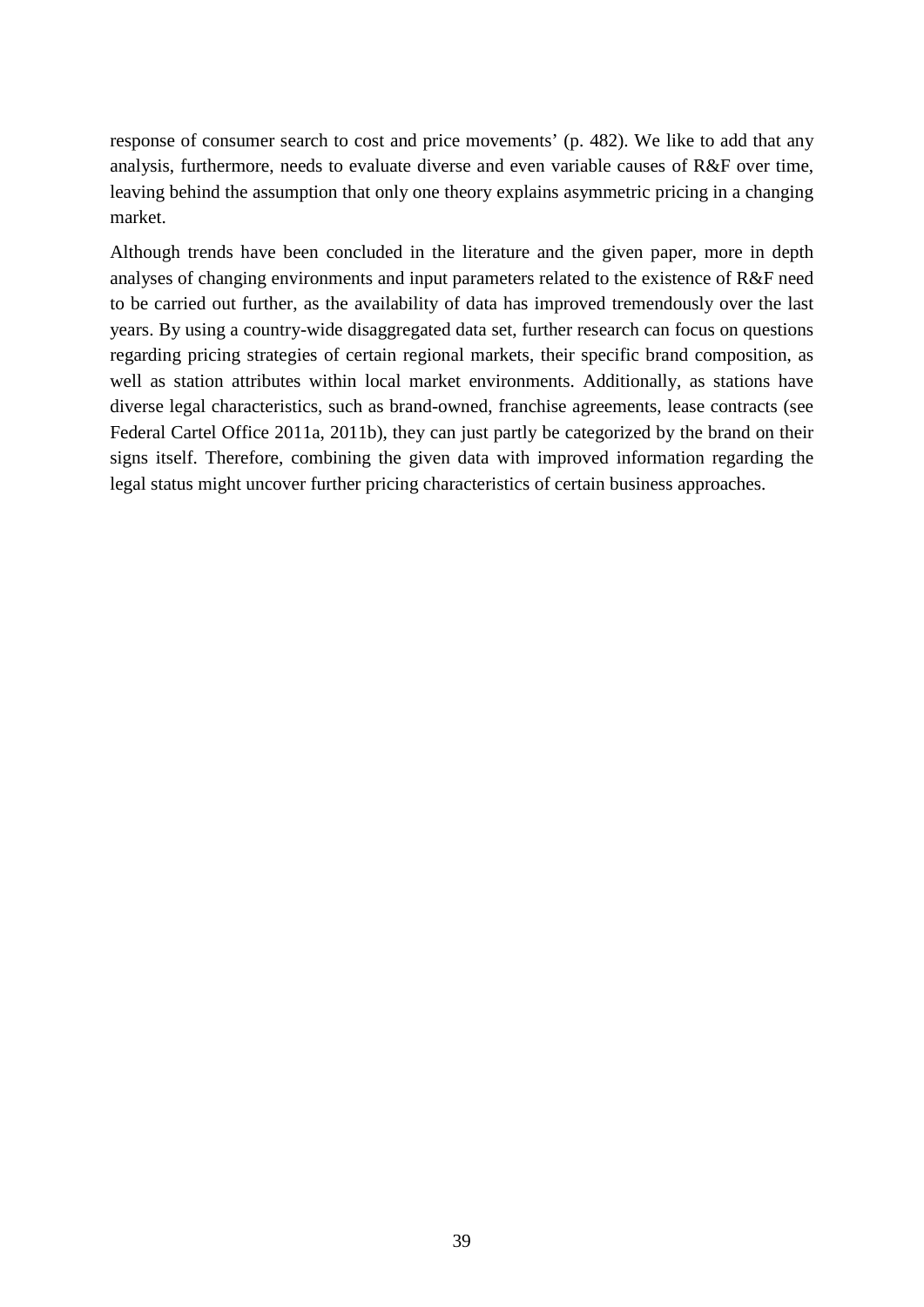response of consumer search to cost and price movements' (p. 482). We like to add that any analysis, furthermore, needs to evaluate diverse and even variable causes of R&F over time, leaving behind the assumption that only one theory explains asymmetric pricing in a changing market.

Although trends have been concluded in the literature and the given paper, more in depth analyses of changing environments and input parameters related to the existence of R&F need to be carried out further, as the availability of data has improved tremendously over the last years. By using a country-wide disaggregated data set, further research can focus on questions regarding pricing strategies of certain regional markets, their specific brand composition, as well as station attributes within local market environments. Additionally, as stations have diverse legal characteristics, such as brand-owned, franchise agreements, lease contracts (see Federal Cartel Office 2011a, 2011b), they can just partly be categorized by the brand on their signs itself. Therefore, combining the given data with improved information regarding the legal status might uncover further pricing characteristics of certain business approaches.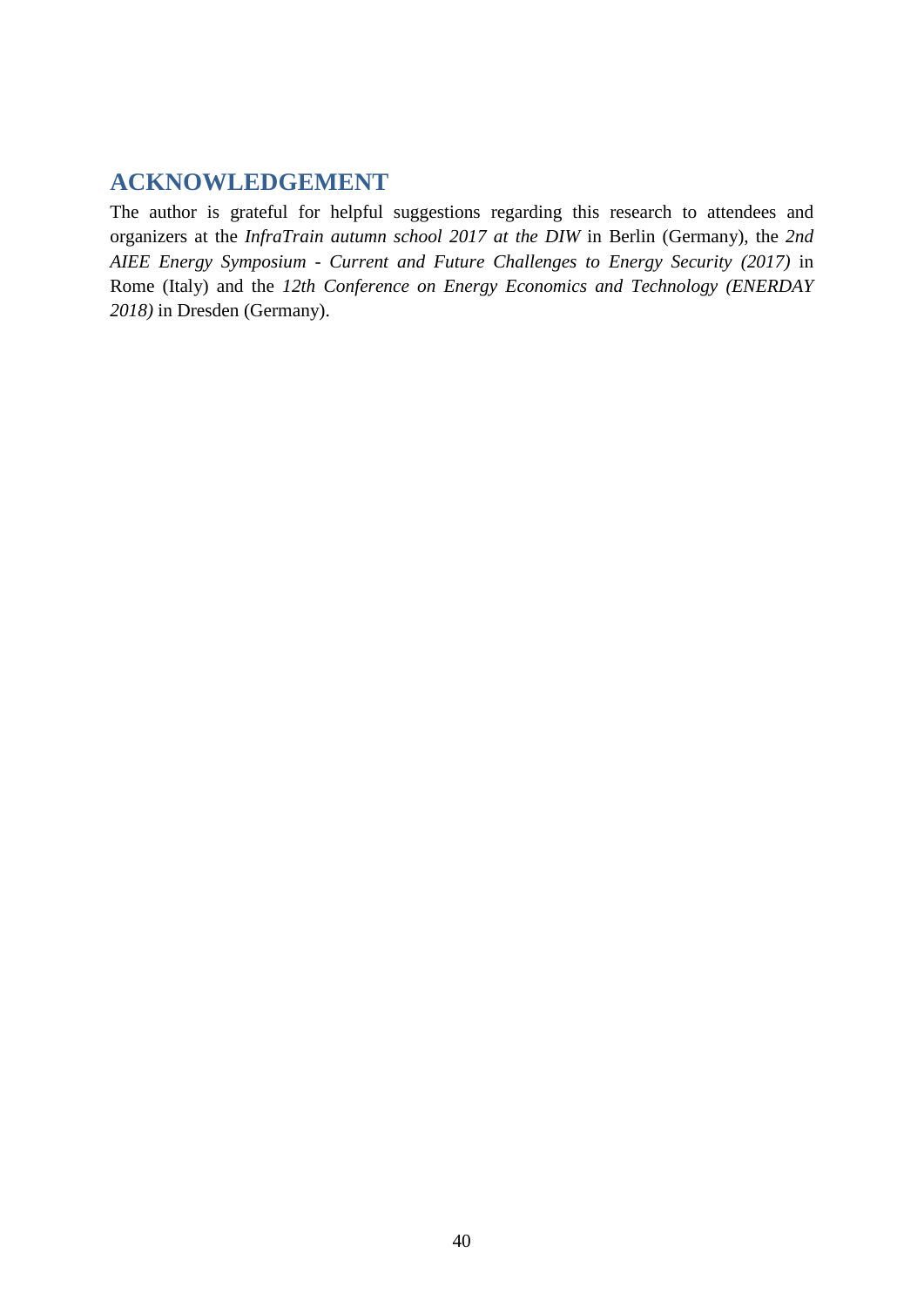### <span id="page-39-0"></span>**ACKNOWLEDGEMENT**

The author is grateful for helpful suggestions regarding this research to attendees and organizers at the *InfraTrain autumn school 2017 at the DIW* in Berlin (Germany), the *2nd AIEE Energy Symposium - Current and Future Challenges to Energy Security (2017)* in Rome (Italy) and the *12th Conference on Energy Economics and Technology (ENERDAY 2018)* in Dresden (Germany).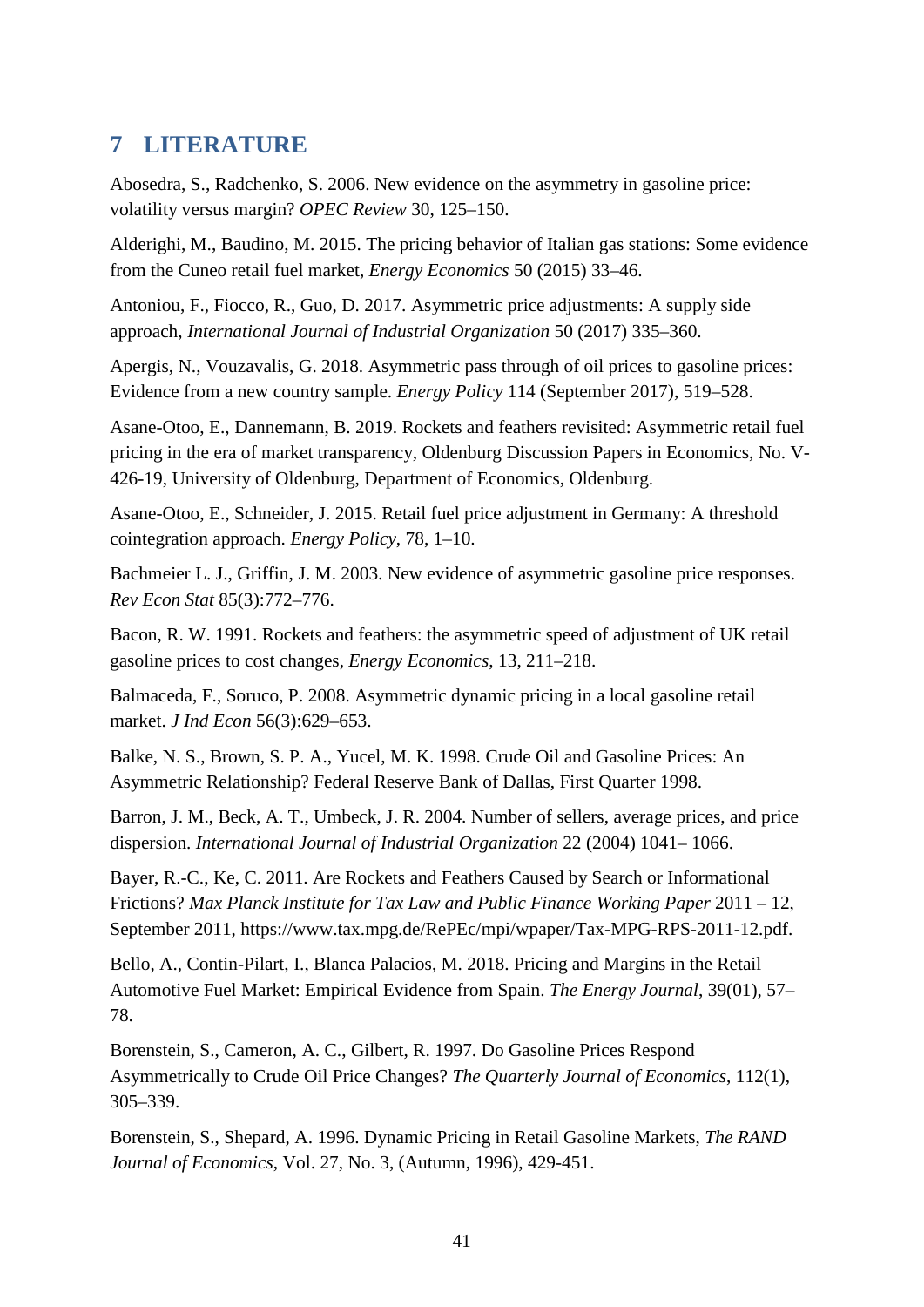#### <span id="page-40-0"></span>**7 LITERATURE**

Abosedra, S., Radchenko, S. 2006. New evidence on the asymmetry in gasoline price: volatility versus margin? *OPEC Review* 30, 125–150.

Alderighi, M., Baudino, M. 2015. The pricing behavior of Italian gas stations: Some evidence from the Cuneo retail fuel market, *Energy Economics* 50 (2015) 33–46.

Antoniou, F., Fiocco, R., Guo, D. 2017. Asymmetric price adjustments: A supply side approach, *International Journal of Industrial Organization* 50 (2017) 335–360.

Apergis, N., Vouzavalis, G. 2018. Asymmetric pass through of oil prices to gasoline prices: Evidence from a new country sample. *Energy Policy* 114 (September 2017), 519–528.

Asane-Otoo, E., Dannemann, B. 2019. Rockets and feathers revisited: Asymmetric retail fuel pricing in the era of market transparency, Oldenburg Discussion Papers in Economics, No. V-426-19, University of Oldenburg, Department of Economics, Oldenburg.

Asane-Otoo, E., Schneider, J. 2015. Retail fuel price adjustment in Germany: A threshold cointegration approach. *Energy Policy*, 78, 1–10.

Bachmeier L. J., Griffin, J. M. 2003. New evidence of asymmetric gasoline price responses. *Rev Econ Stat* 85(3):772–776.

Bacon, R. W. 1991. Rockets and feathers: the asymmetric speed of adjustment of UK retail gasoline prices to cost changes, *Energy Economics*, 13, 211–218.

Balmaceda, F., Soruco, P. 2008. Asymmetric dynamic pricing in a local gasoline retail market. *J Ind Econ* 56(3):629–653.

Balke, N. S., Brown, S. P. A., Yucel, M. K. 1998. Crude Oil and Gasoline Prices: An Asymmetric Relationship? Federal Reserve Bank of Dallas, First Quarter 1998.

Barron, J. M., Beck, A. T., Umbeck, J. R. 2004. Number of sellers, average prices, and price dispersion. *International Journal of Industrial Organization* 22 (2004) 1041– 1066.

Bayer, R.-C., Ke, C. 2011. Are Rockets and Feathers Caused by Search or Informational Frictions? *Max Planck Institute for Tax Law and Public Finance Working Paper* 2011 – 12, September 2011, https://www.tax.mpg.de/RePEc/mpi/wpaper/Tax-MPG-RPS-2011-12.pdf.

Bello, A., Contin-Pilart, I., Blanca Palacios, M. 2018. Pricing and Margins in the Retail Automotive Fuel Market: Empirical Evidence from Spain. *The Energy Journal*, 39(01), 57– 78.

Borenstein, S., Cameron, A. C., Gilbert, R. 1997. Do Gasoline Prices Respond Asymmetrically to Crude Oil Price Changes? *The Quarterly Journal of Economics*, 112(1), 305–339.

Borenstein, S., Shepard, A. 1996. Dynamic Pricing in Retail Gasoline Markets, *The RAND Journal of Economics*, Vol. 27, No. 3, (Autumn, 1996), 429-451.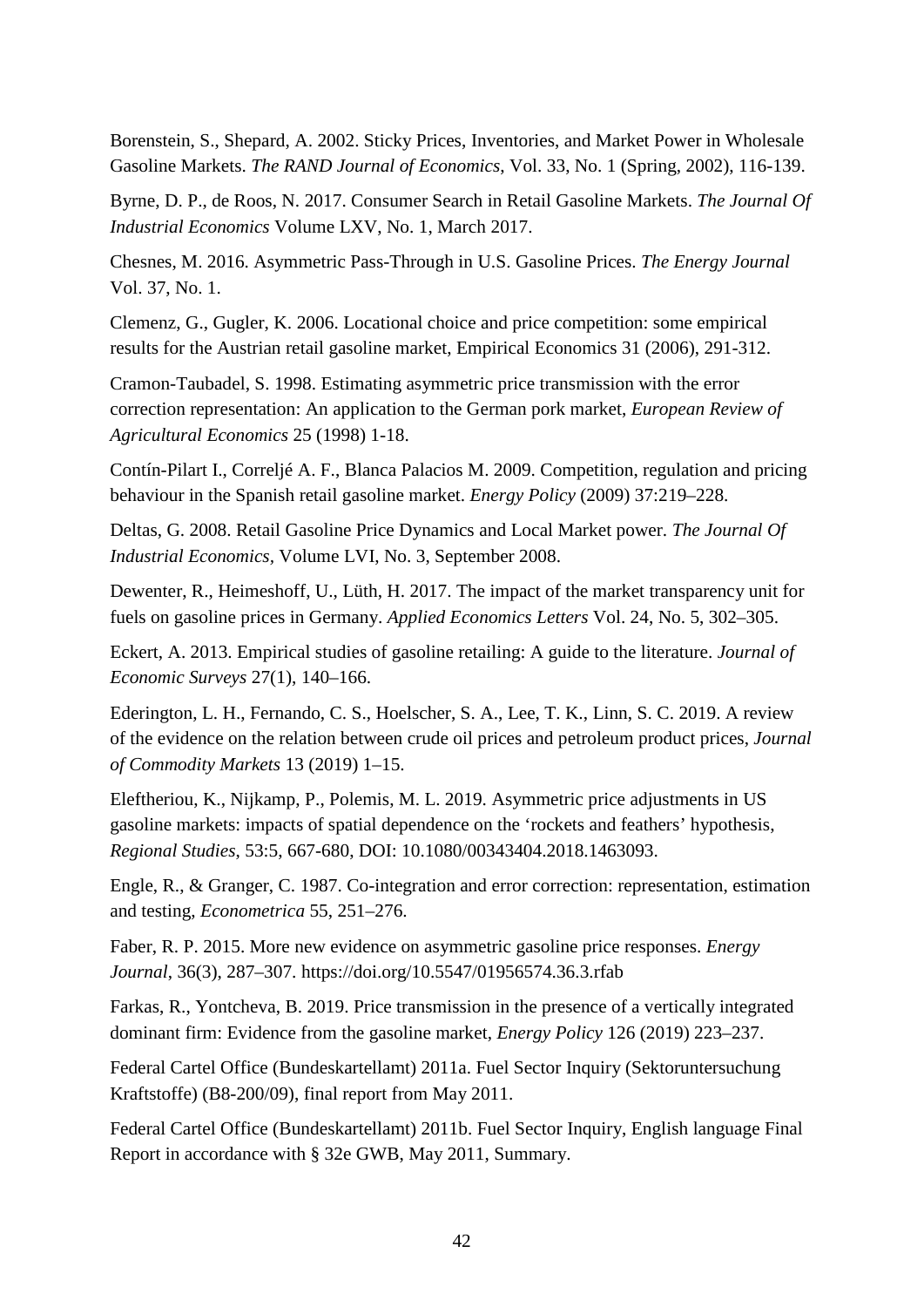Borenstein, S., Shepard, A. 2002. Sticky Prices, Inventories, and Market Power in Wholesale Gasoline Markets. *The RAND Journal of Economics*, Vol. 33, No. 1 (Spring, 2002), 116-139.

Byrne, D. P., de Roos, N. 2017. Consumer Search in Retail Gasoline Markets. *The Journal Of Industrial Economics* Volume LXV, No. 1, March 2017.

Chesnes, M. 2016. Asymmetric Pass-Through in U.S. Gasoline Prices. *The Energy Journal* Vol. 37, No. 1.

Clemenz, G., Gugler, K. 2006. Locational choice and price competition: some empirical results for the Austrian retail gasoline market, Empirical Economics 31 (2006), 291-312.

Cramon-Taubadel, S. 1998. Estimating asymmetric price transmission with the error correction representation: An application to the German pork market, *European Review of Agricultural Economics* 25 (1998) 1-18.

Contín-Pilart I., Correljé A. F., Blanca Palacios M. 2009. Competition, regulation and pricing behaviour in the Spanish retail gasoline market. *Energy Policy* (2009) 37:219–228.

Deltas, G. 2008. Retail Gasoline Price Dynamics and Local Market power. *The Journal Of Industrial Economics,* Volume LVI, No. 3, September 2008.

Dewenter, R., Heimeshoff, U., Lüth, H. 2017. The impact of the market transparency unit for fuels on gasoline prices in Germany. *Applied Economics Letters* Vol. 24, No. 5, 302–305.

Eckert, A. 2013. Empirical studies of gasoline retailing: A guide to the literature. *Journal of Economic Surveys* 27(1), 140–166.

Ederington, L. H., Fernando, C. S., Hoelscher, S. A., Lee, T. K., Linn, S. C. 2019. A review of the evidence on the relation between crude oil prices and petroleum product prices, *Journal of Commodity Markets* 13 (2019) 1–15.

Eleftheriou, K., Nijkamp, P., Polemis, M. L. 2019. Asymmetric price adjustments in US gasoline markets: impacts of spatial dependence on the 'rockets and feathers' hypothesis, *Regional Studies*, 53:5, 667-680, DOI: 10.1080/00343404.2018.1463093.

Engle, R., & Granger, C. 1987. Co-integration and error correction: representation, estimation and testing, *Econometrica* 55, 251–276.

Faber, R. P. 2015. More new evidence on asymmetric gasoline price responses. *Energy Journal*, 36(3), 287–307. https://doi.org/10.5547/01956574.36.3.rfab

Farkas, R., Yontcheva, B. 2019. Price transmission in the presence of a vertically integrated dominant firm: Evidence from the gasoline market, *Energy Policy* 126 (2019) 223–237.

Federal Cartel Office (Bundeskartellamt) 2011a. Fuel Sector Inquiry (Sektoruntersuchung Kraftstoffe) (B8-200/09), final report from May 2011.

Federal Cartel Office (Bundeskartellamt) 2011b. Fuel Sector Inquiry, English language Final Report in accordance with § 32e GWB, May 2011, Summary.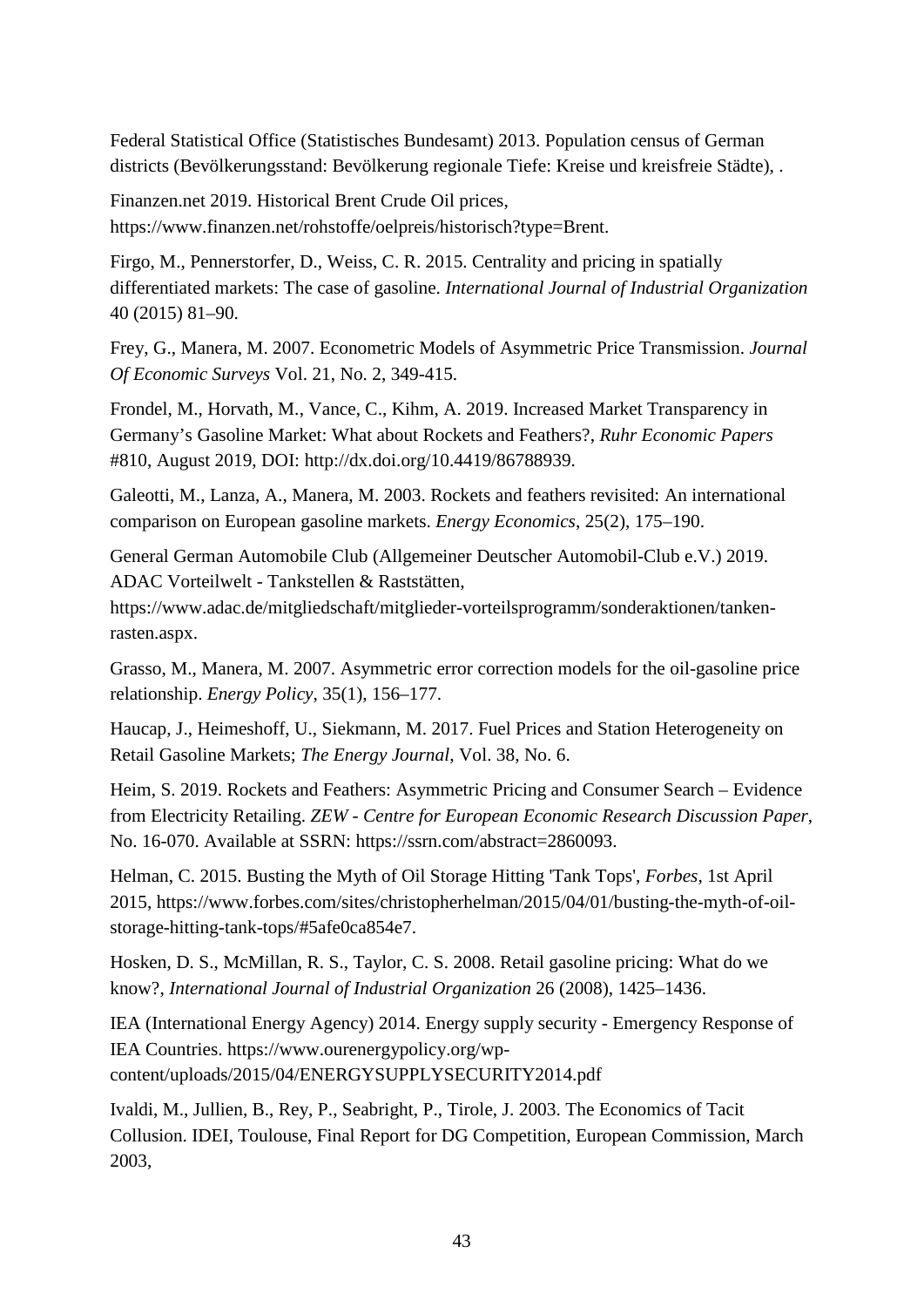Federal Statistical Office (Statistisches Bundesamt) 2013. Population census of German districts (Bevölkerungsstand: Bevölkerung regionale Tiefe: Kreise und kreisfreie Städte), .

Finanzen.net 2019. Historical Brent Crude Oil prices, https://www.finanzen.net/rohstoffe/oelpreis/historisch?type=Brent.

Firgo, M., Pennerstorfer, D., Weiss, C. R. 2015. Centrality and pricing in spatially differentiated markets: The case of gasoline. *International Journal of Industrial Organization* 40 (2015) 81–90.

Frey, G., Manera, M. 2007. Econometric Models of Asymmetric Price Transmission. *Journal Of Economic Surveys* Vol. 21, No. 2, 349-415.

Frondel, M., Horvath, M., Vance, C., Kihm, A. 2019. Increased Market Transparency in Germany's Gasoline Market: What about Rockets and Feathers?, *Ruhr Economic Papers* #810, August 2019, DOI: http://dx.doi.org/10.4419/86788939.

Galeotti, M., Lanza, A., Manera, M. 2003. Rockets and feathers revisited: An international comparison on European gasoline markets. *Energy Economics*, 25(2), 175–190.

General German Automobile Club (Allgemeiner Deutscher Automobil-Club e.V.) 2019. ADAC Vorteilwelt - Tankstellen & Raststätten,

https://www.adac.de/mitgliedschaft/mitglieder-vorteilsprogramm/sonderaktionen/tankenrasten.aspx.

Grasso, M., Manera, M. 2007. Asymmetric error correction models for the oil-gasoline price relationship. *Energy Policy*, 35(1), 156–177.

Haucap, J., Heimeshoff, U., Siekmann, M. 2017. Fuel Prices and Station Heterogeneity on Retail Gasoline Markets; *The Energy Journal*, Vol. 38, No. 6.

Heim, S. 2019. Rockets and Feathers: Asymmetric Pricing and Consumer Search – Evidence from Electricity Retailing. *ZEW - Centre for European Economic Research Discussion Paper*, No. 16-070. Available at SSRN: https://ssrn.com/abstract=2860093.

Helman, C. 2015. Busting the Myth of Oil Storage Hitting 'Tank Tops', *Forbes*, 1st April 2015, https://www.forbes.com/sites/christopherhelman/2015/04/01/busting-the-myth-of-oilstorage-hitting-tank-tops/#5afe0ca854e7.

Hosken, D. S., McMillan, R. S., Taylor, C. S. 2008. Retail gasoline pricing: What do we know?, *International Journal of Industrial Organization* 26 (2008), 1425–1436.

IEA (International Energy Agency) 2014. Energy supply security - Emergency Response of IEA Countries. https://www.ourenergypolicy.org/wpcontent/uploads/2015/04/ENERGYSUPPLYSECURITY2014.pdf

Ivaldi, M., Jullien, B., Rey, P., Seabright, P., Tirole, J. 2003. The Economics of Tacit Collusion. IDEI, Toulouse, Final Report for DG Competition, European Commission, March 2003,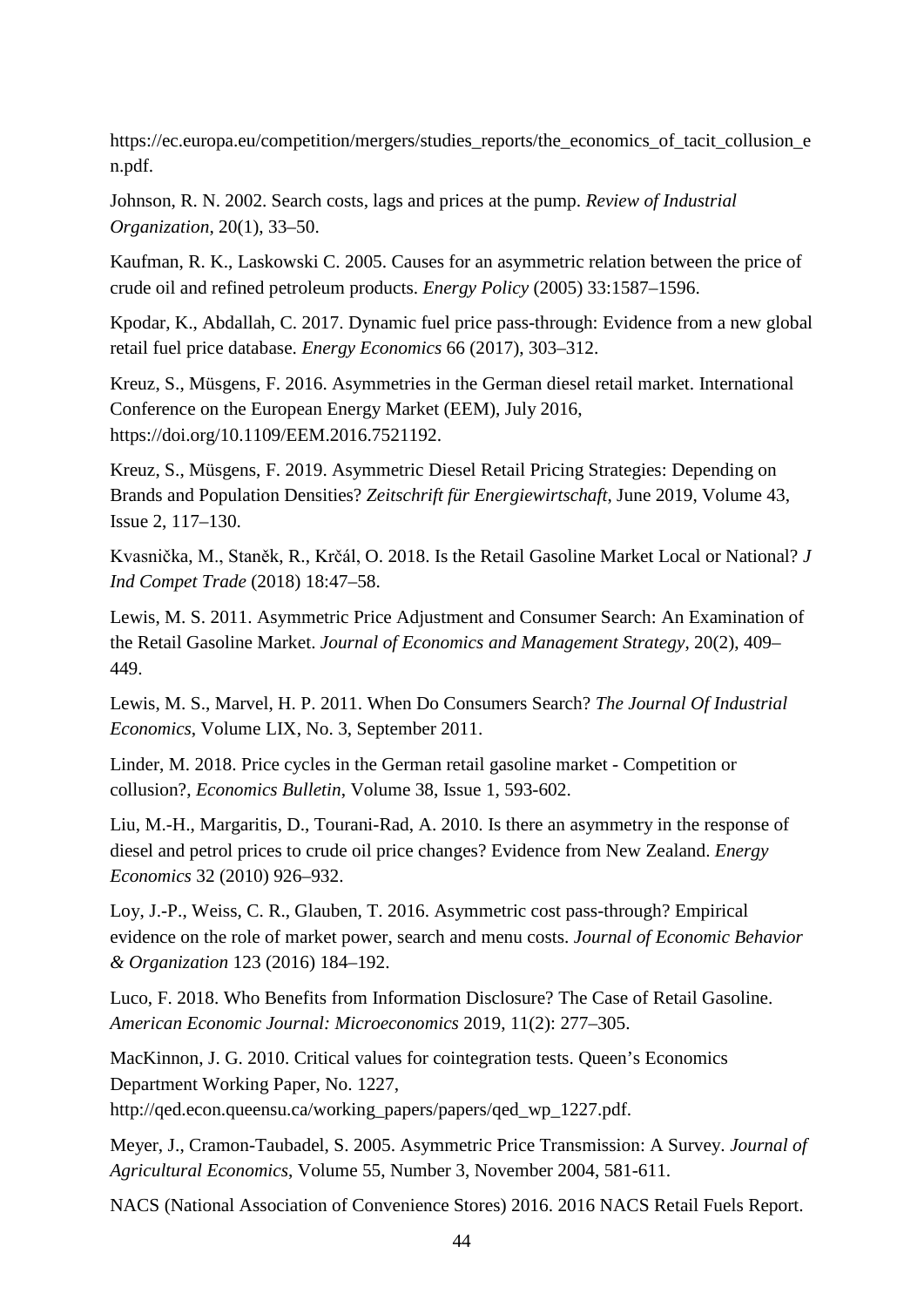https://ec.europa.eu/competition/mergers/studies\_reports/the\_economics\_of\_tacit\_collusion\_e n.pdf.

Johnson, R. N. 2002. Search costs, lags and prices at the pump. *Review of Industrial Organization*, 20(1), 33–50.

Kaufman, R. K., Laskowski C. 2005. Causes for an asymmetric relation between the price of crude oil and refined petroleum products. *Energy Policy* (2005) 33:1587–1596.

Kpodar, K., Abdallah, C. 2017. Dynamic fuel price pass-through: Evidence from a new global retail fuel price database. *Energy Economics* 66 (2017), 303–312.

Kreuz, S., Müsgens, F. 2016. Asymmetries in the German diesel retail market. International Conference on the European Energy Market (EEM), July 2016, https://doi.org/10.1109/EEM.2016.7521192.

Kreuz, S., Müsgens, F. 2019. Asymmetric Diesel Retail Pricing Strategies: Depending on Brands and Population Densities? *Zeitschrift für Energiewirtschaft*, June 2019, Volume 43, Issue 2, 117–130.

Kvasnička, M., Staněk, R., Krčál, O. 2018. Is the Retail Gasoline Market Local or National? *J Ind Compet Trade* (2018) 18:47–58.

Lewis, M. S. 2011. Asymmetric Price Adjustment and Consumer Search: An Examination of the Retail Gasoline Market. *Journal of Economics and Management Strategy*, 20(2), 409– 449.

Lewis, M. S., Marvel, H. P. 2011. When Do Consumers Search? *The Journal Of Industrial Economics*, Volume LIX, No. 3, September 2011.

Linder, M. 2018. Price cycles in the German retail gasoline market - Competition or collusion?, *Economics Bulletin*, Volume 38, Issue 1, 593-602.

Liu, M.-H., Margaritis, D., Tourani-Rad, A. 2010. Is there an asymmetry in the response of diesel and petrol prices to crude oil price changes? Evidence from New Zealand. *Energy Economics* 32 (2010) 926–932.

Loy, J.-P., Weiss, C. R., Glauben, T. 2016. Asymmetric cost pass-through? Empirical evidence on the role of market power, search and menu costs. *Journal of Economic Behavior & Organization* 123 (2016) 184–192.

Luco, F. 2018. Who Benefits from Information Disclosure? The Case of Retail Gasoline. *American Economic Journal: Microeconomics* 2019, 11(2): 277–305.

MacKinnon, J. G. 2010. Critical values for cointegration tests. Queen's Economics Department Working Paper, No. 1227, http://qed.econ.queensu.ca/working\_papers/papers/qed\_wp\_1227.pdf.

Meyer, J., Cramon-Taubadel, S. 2005. Asymmetric Price Transmission: A Survey. *Journal of Agricultural Economics*, Volume 55, Number 3, November 2004, 581-611.

NACS (National Association of Convenience Stores) 2016. 2016 NACS Retail Fuels Report.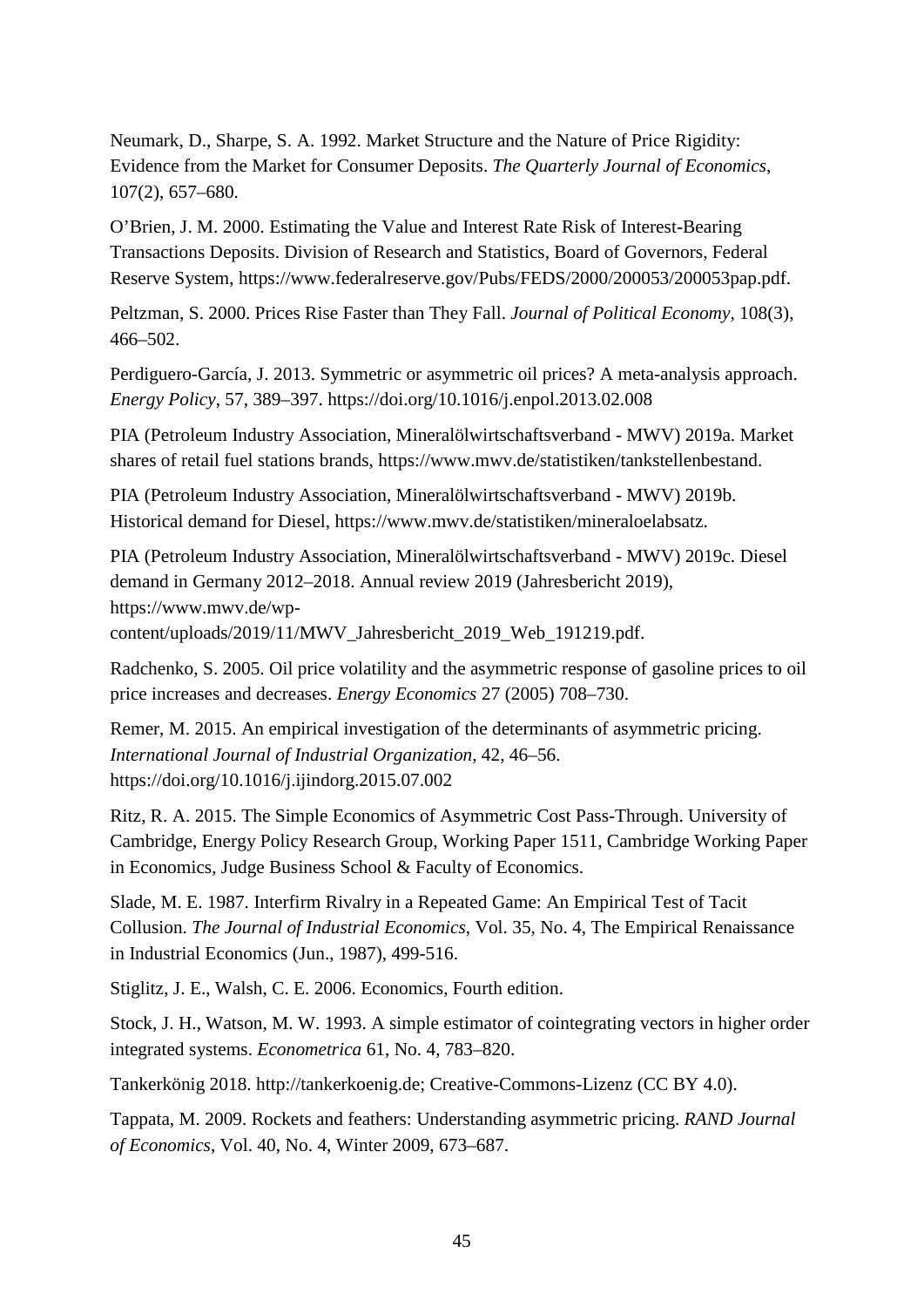Neumark, D., Sharpe, S. A. 1992. Market Structure and the Nature of Price Rigidity: Evidence from the Market for Consumer Deposits. *The Quarterly Journal of Economics*, 107(2), 657–680.

O'Brien, J. M. 2000. Estimating the Value and Interest Rate Risk of Interest-Bearing Transactions Deposits. Division of Research and Statistics, Board of Governors, Federal Reserve System, https://www.federalreserve.gov/Pubs/FEDS/2000/200053/200053pap.pdf.

Peltzman, S. 2000. Prices Rise Faster than They Fall. *Journal of Political Economy*, 108(3), 466–502.

Perdiguero-García, J. 2013. Symmetric or asymmetric oil prices? A meta-analysis approach. *Energy Policy*, 57, 389–397. https://doi.org/10.1016/j.enpol.2013.02.008

PIA (Petroleum Industry Association, Mineralölwirtschaftsverband - MWV) 2019a. Market shares of retail fuel stations brands, https://www.mwv.de/statistiken/tankstellenbestand.

PIA (Petroleum Industry Association, Mineralölwirtschaftsverband - MWV) 2019b. Historical demand for Diesel, https://www.mwv.de/statistiken/mineraloelabsatz.

PIA (Petroleum Industry Association, Mineralölwirtschaftsverband - MWV) 2019c. Diesel demand in Germany 2012–2018. Annual review 2019 (Jahresbericht 2019), https://www.mwv.de/wp-

content/uploads/2019/11/MWV\_Jahresbericht\_2019\_Web\_191219.pdf.

Radchenko, S. 2005. Oil price volatility and the asymmetric response of gasoline prices to oil price increases and decreases. *Energy Economics* 27 (2005) 708–730.

Remer, M. 2015. An empirical investigation of the determinants of asymmetric pricing. *International Journal of Industrial Organization*, 42, 46–56. https://doi.org/10.1016/j.ijindorg.2015.07.002

Ritz, R. A. 2015. The Simple Economics of Asymmetric Cost Pass-Through. University of Cambridge, Energy Policy Research Group, Working Paper 1511, Cambridge Working Paper in Economics, Judge Business School & Faculty of Economics.

Slade, M. E. 1987. Interfirm Rivalry in a Repeated Game: An Empirical Test of Tacit Collusion. *The Journal of Industrial Economics*, Vol. 35, No. 4, The Empirical Renaissance in Industrial Economics (Jun., 1987), 499-516.

Stiglitz, J. E., Walsh, C. E. 2006. Economics, Fourth edition.

Stock, J. H., Watson, M. W. 1993. A simple estimator of cointegrating vectors in higher order integrated systems. *Econometrica* 61, No. 4, 783–820.

Tankerkönig 2018. http://tankerkoenig.de; Creative-Commons-Lizenz (CC BY 4.0).

Tappata, M. 2009. Rockets and feathers: Understanding asymmetric pricing. *RAND Journal of Economics*, Vol. 40, No. 4, Winter 2009, 673–687.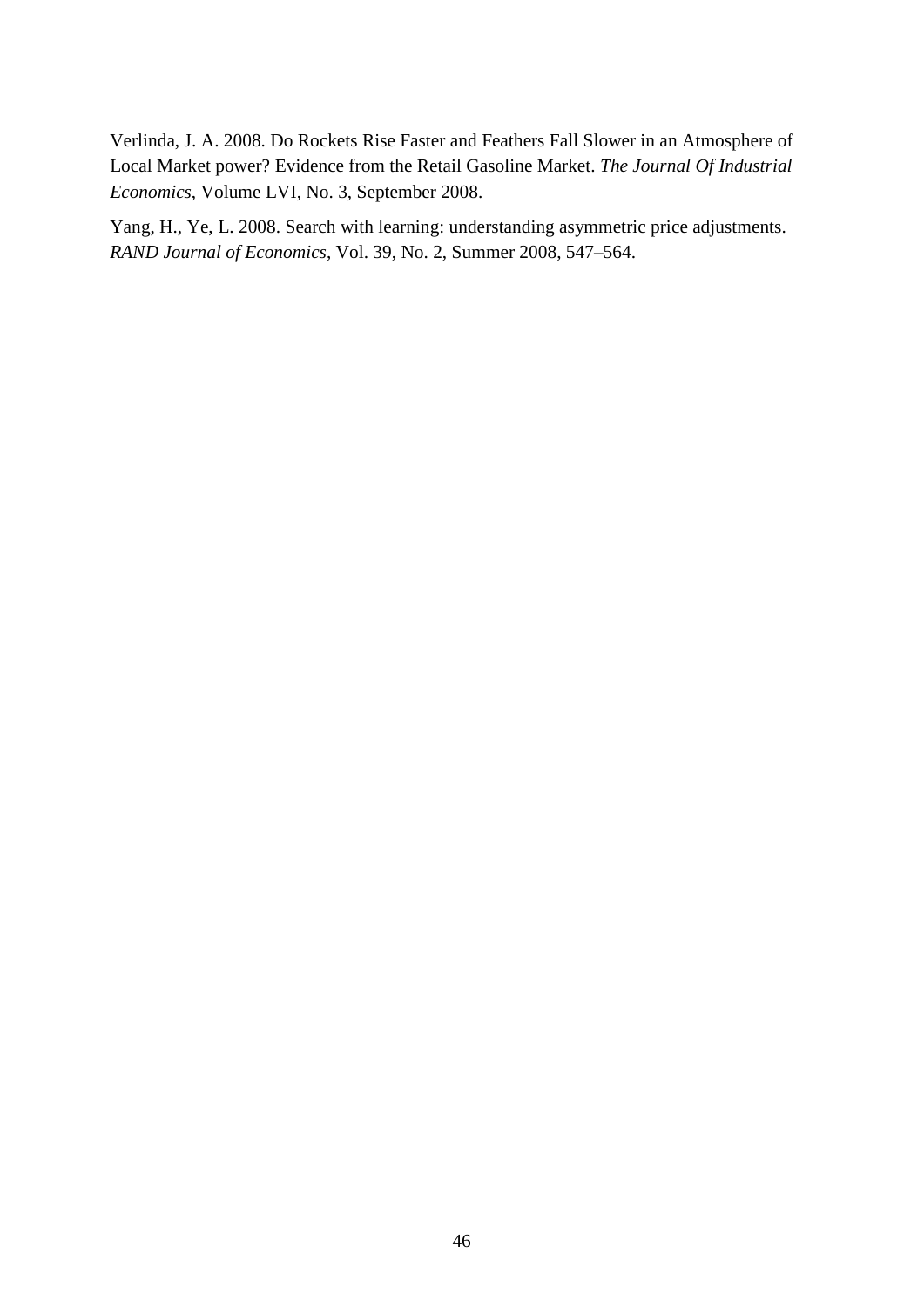Verlinda, J. A. 2008. Do Rockets Rise Faster and Feathers Fall Slower in an Atmosphere of Local Market power? Evidence from the Retail Gasoline Market. *The Journal Of Industrial Economics*, Volume LVI, No. 3, September 2008.

Yang, H., Ye, L. 2008. Search with learning: understanding asymmetric price adjustments. *RAND Journal of Economics*, Vol. 39, No. 2, Summer 2008, 547–564.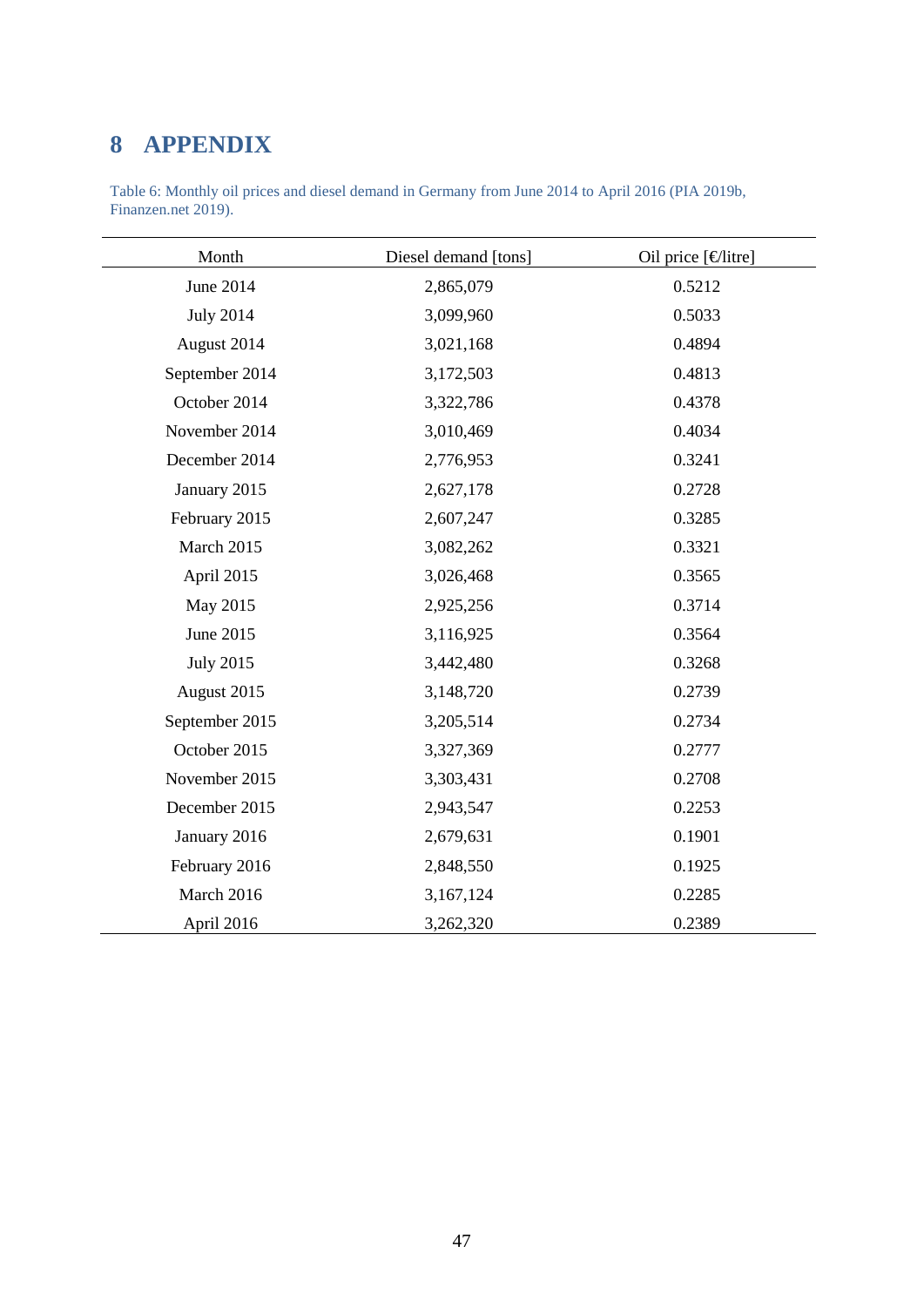## <span id="page-46-0"></span>**8 APPENDIX**

<span id="page-46-1"></span>

| Table 6: Monthly oil prices and diesel demand in Germany from June 2014 to April 2016 (PIA 2019b, |  |
|---------------------------------------------------------------------------------------------------|--|
| Finanzen.net 2019).                                                                               |  |

| Month            | Diesel demand [tons] | Oil price [€litre] |
|------------------|----------------------|--------------------|
| June 2014        | 2,865,079            | 0.5212             |
| <b>July 2014</b> | 3,099,960            | 0.5033             |
| August 2014      | 3,021,168            | 0.4894             |
| September 2014   | 3,172,503            | 0.4813             |
| October 2014     | 3,322,786            | 0.4378             |
| November 2014    | 3,010,469            | 0.4034             |
| December 2014    | 2,776,953            | 0.3241             |
| January 2015     | 2,627,178            | 0.2728             |
| February 2015    | 2,607,247            | 0.3285             |
| March 2015       | 3,082,262            | 0.3321             |
| April 2015       | 3,026,468            | 0.3565             |
| May 2015         | 2,925,256            | 0.3714             |
| June 2015        | 3,116,925            | 0.3564             |
| <b>July 2015</b> | 3,442,480            | 0.3268             |
| August 2015      | 3,148,720            | 0.2739             |
| September 2015   | 3,205,514            | 0.2734             |
| October 2015     | 3,327,369            | 0.2777             |
| November 2015    | 3,303,431            | 0.2708             |
| December 2015    | 2,943,547            | 0.2253             |
| January 2016     | 2,679,631            | 0.1901             |
| February 2016    | 2,848,550            | 0.1925             |
| March 2016       | 3,167,124            | 0.2285             |
| April 2016       | 3,262,320            | 0.2389             |